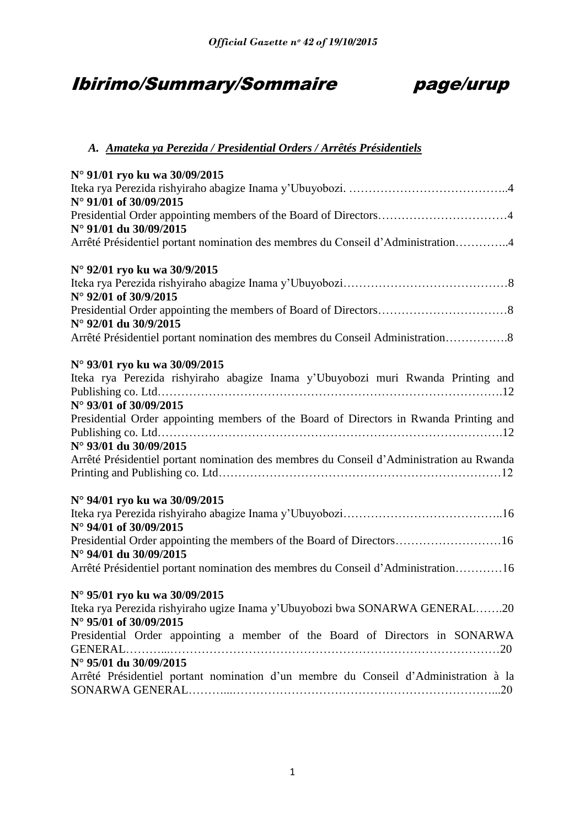# Ibirimo/Summary/Sommaire page/urup



## *A. Amateka ya Perezida / Presidential Orders / Arrêtés Présidentiels*

| N° 91/01 ryo ku wa 30/09/2015                                                                         |
|-------------------------------------------------------------------------------------------------------|
|                                                                                                       |
| N° 91/01 of 30/09/2015                                                                                |
| Presidential Order appointing members of the Board of Directors4                                      |
| N° 91/01 du 30/09/2015                                                                                |
| Arrêté Présidentiel portant nomination des membres du Conseil d'Administration4                       |
| N° 92/01 ryo ku wa 30/9/2015                                                                          |
| N° 92/01 of 30/9/2015                                                                                 |
| N° 92/01 du 30/9/2015                                                                                 |
| Arrêté Présidentiel portant nomination des membres du Conseil Administration8                         |
| N° 93/01 ryo ku wa 30/09/2015                                                                         |
| Iteka rya Perezida rishyiraho abagize Inama y'Ubuyobozi muri Rwanda Printing and                      |
|                                                                                                       |
| N° 93/01 of 30/09/2015                                                                                |
| Presidential Order appointing members of the Board of Directors in Rwanda Printing and                |
|                                                                                                       |
| N° 93/01 du 30/09/2015                                                                                |
| Arrêté Présidentiel portant nomination des membres du Conseil d'Administration au Rwanda              |
| N° 94/01 ryo ku wa 30/09/2015                                                                         |
| N° 94/01 of 30/09/2015                                                                                |
| Presidential Order appointing the members of the Board of Directors16<br>N° 94/01 du 30/09/2015       |
| Arrêté Présidentiel portant nomination des membres du Conseil d'Administration16                      |
| N° 95/01 ryo ku wa 30/09/2015                                                                         |
| Iteka rya Perezida rishyiraho ugize Inama y'Ubuyobozi bwa SONARWA GENERAL20<br>N° 95/01 of 30/09/2015 |
| Presidential Order appointing a member of the Board of Directors in SONARWA                           |
| N° 95/01 du 30/09/2015                                                                                |
| Arrêté Présidentiel portant nomination d'un membre du Conseil d'Administration à la                   |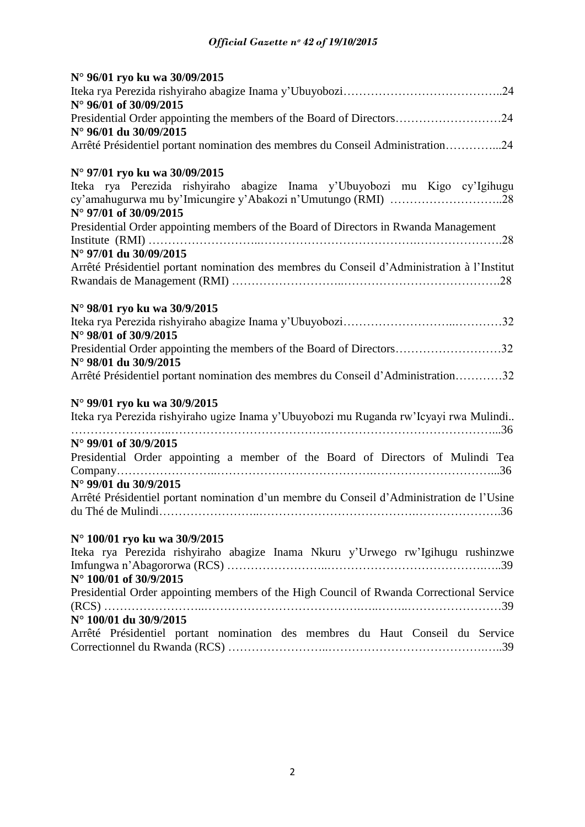| N° 96/01 ryo ku wa 30/09/2015                                                               |
|---------------------------------------------------------------------------------------------|
|                                                                                             |
| N° 96/01 of 30/09/2015                                                                      |
| Presidential Order appointing the members of the Board of Directors24                       |
| N° 96/01 du 30/09/2015                                                                      |
| Arrêté Présidentiel portant nomination des membres du Conseil Administration24              |
| N° 97/01 ryo ku wa 30/09/2015                                                               |
| Iteka rya Perezida rishyiraho abagize Inama y'Ubuyobozi mu Kigo cy'Igihugu                  |
|                                                                                             |
| N° 97/01 of 30/09/2015                                                                      |
| Presidential Order appointing members of the Board of Directors in Rwanda Management        |
|                                                                                             |
| N° 97/01 du 30/09/2015                                                                      |
| Arrêté Présidentiel portant nomination des membres du Conseil d'Administration à l'Institut |
|                                                                                             |
| N° 98/01 ryo ku wa 30/9/2015                                                                |
|                                                                                             |
| N° 98/01 of 30/9/2015                                                                       |
| Presidential Order appointing the members of the Board of Directors32                       |
| N° 98/01 du 30/9/2015                                                                       |
| Arrêté Présidentiel portant nomination des membres du Conseil d'Administration32            |
| N° 99/01 ryo ku wa 30/9/2015                                                                |
| Iteka rya Perezida rishyiraho ugize Inama y'Ubuyobozi mu Ruganda rw'Icyayi rwa Mulindi      |
|                                                                                             |
| N° 99/01 of 30/9/2015                                                                       |
| Presidential Order appointing a member of the Board of Directors of Mulindi Tea             |
|                                                                                             |
| N° 99/01 du 30/9/2015                                                                       |
| Arrêté Présidentiel portant nomination d'un membre du Conseil d'Administration de l'Usine   |
|                                                                                             |
| N° 100/01 ryo ku wa 30/9/2015                                                               |
| Iteka rya Perezida rishyiraho abagize Inama Nkuru y'Urwego rw'Igihugu rushinzwe             |
|                                                                                             |
| N° 100/01 of 30/9/2015                                                                      |
| Presidential Order appointing members of the High Council of Rwanda Correctional Service    |
|                                                                                             |
| N° 100/01 du 30/9/2015                                                                      |
| Arrêté Présidentiel portant nomination des membres du Haut Conseil du Service               |
|                                                                                             |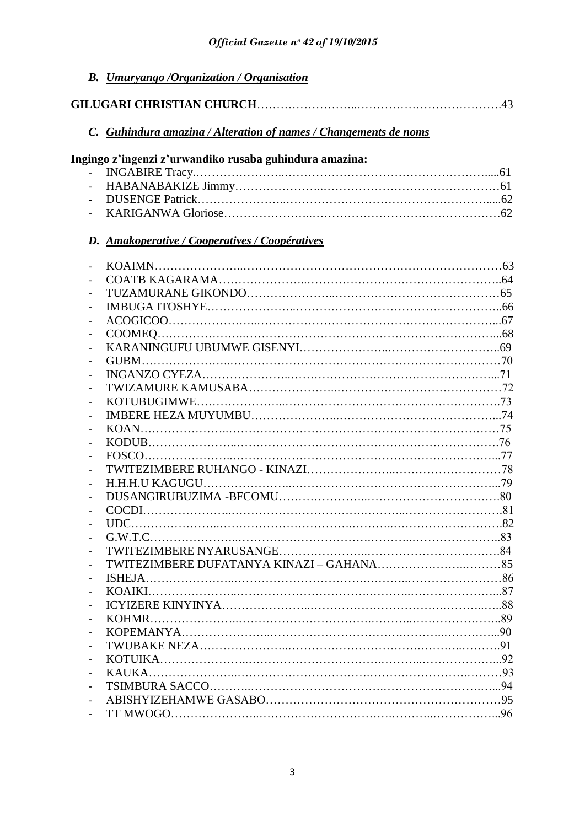| <b>B.</b> Umuryango /Organization / Organisation                 |  |
|------------------------------------------------------------------|--|
|                                                                  |  |
| C. Guhindura amazina / Alteration of names / Changements de noms |  |
| Ingingo z'ingenzi z'urwandiko rusaba guhindura amazina:          |  |
|                                                                  |  |
|                                                                  |  |
|                                                                  |  |
|                                                                  |  |
| D. Amakoperative / Cooperatives / Coopératives                   |  |
|                                                                  |  |
|                                                                  |  |
|                                                                  |  |
|                                                                  |  |
|                                                                  |  |
|                                                                  |  |
|                                                                  |  |
|                                                                  |  |
|                                                                  |  |
|                                                                  |  |
|                                                                  |  |
|                                                                  |  |
|                                                                  |  |
|                                                                  |  |
|                                                                  |  |
|                                                                  |  |
|                                                                  |  |
|                                                                  |  |
|                                                                  |  |
|                                                                  |  |
|                                                                  |  |
|                                                                  |  |
|                                                                  |  |
|                                                                  |  |
|                                                                  |  |
|                                                                  |  |
|                                                                  |  |
|                                                                  |  |
|                                                                  |  |
|                                                                  |  |
|                                                                  |  |
|                                                                  |  |
|                                                                  |  |
|                                                                  |  |
|                                                                  |  |
|                                                                  |  |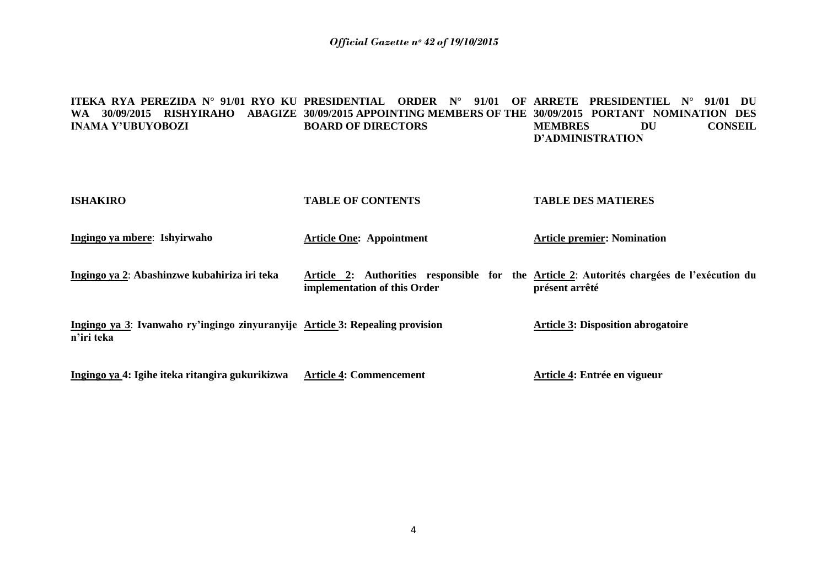#### **ITEKA RYA PEREZIDA N° 91/01 RYO KU PRESIDENTIAL ORDER N° 91/01 OF ARRETE PRESIDENTIEL N° 91/01 DU WA 30/09/2015 RISHYIRAHO ABAGIZE 30/09/2015 APPOINTING MEMBERS OF THE 30/09/2015 PORTANT NOMINATION DES INAMA Y'UBUYOBOZI BOARD OF DIRECTORS MEMBRES DU CONSEIL D'ADMINISTRATION**

| <b>ISHAKIRO</b>                                                                             | <b>TABLE OF CONTENTS</b>        | <b>TABLE DES MATIERES</b>                                                                                    |
|---------------------------------------------------------------------------------------------|---------------------------------|--------------------------------------------------------------------------------------------------------------|
| Ingingo ya mbere: Ishyirwaho                                                                | <b>Article One: Appointment</b> | <b>Article premier: Nomination</b>                                                                           |
| Ingingo ya 2: Abashinzwe kubahiriza iri teka                                                | implementation of this Order    | Article 2: Authorities responsible for the Article 2: Autorités chargées de l'exécution du<br>présent arrêté |
| Ingingo ya 3: Ivanwaho ry'ingingo zinyuranyije Article 3: Repealing provision<br>n'iri teka |                                 | <b>Article 3: Disposition abrogatoire</b>                                                                    |
| Ingingo ya 4: Igihe iteka ritangira gukurikizwa                                             | <b>Article 4: Commencement</b>  | Article 4: Entrée en vigueur                                                                                 |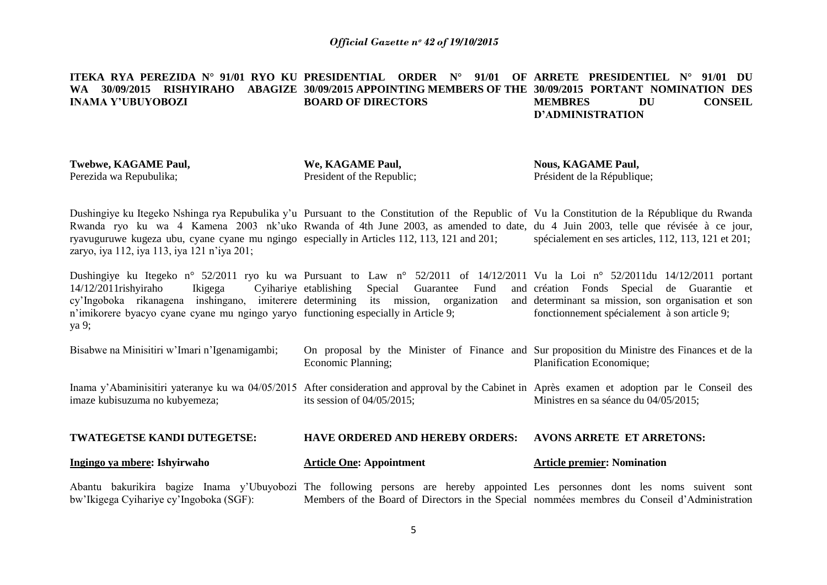#### **ITEKA RYA PEREZIDA N° 91/01 RYO KU PRESIDENTIAL ORDER N° 91/01 OF ARRETE PRESIDENTIEL N° 91/01 DU WA 30/09/2015 RISHYIRAHO ABAGIZE 30/09/2015 APPOINTING MEMBERS OF THE 30/09/2015 PORTANT NOMINATION DES INAMA Y'UBUYOBOZI BOARD OF DIRECTORS MEMBRES DU CONSEIL D'ADMINISTRATION**

**Twebwe, KAGAME Paul,** Perezida wa Repubulika;

**We, KAGAME Paul,** President of the Republic; **Nous, KAGAME Paul,** Président de la République;

Dushingiye ku Itegeko Nshinga rya Repubulika y'u Pursuant to the Constitution of the Republic of Vu la Constitution de la République du Rwanda Rwanda ryo ku wa 4 Kamena 2003 nk'uko Rwanda of 4th June 2003, as amended to date, du 4 Juin 2003, telle que révisée à ce jour, ryavuguruwe kugeza ubu, cyane cyane mu ngingo especially in Articles 112, 113, 121 and 201; zaryo, iya 112, iya 113, iya 121 n"iya 201; spécialement en ses articles, 112, 113, 121 et 201;

Dushingiye ku Itegeko n° 52/2011 ryo ku wa Pursuant to Law n° 52/2011 of 14/12/2011 Vu la Loi n° 52/2011du 14/12/2011 portant  $14/12/2011$ rishyiraho Ikigega cy"Ingoboka rikanagena inshingano, imiterere determining its mission, organization and n'imikorere byacyo cyane cyane mu ngingo yaryo functioning especially in Article 9; ya 9; Cyihariye etablishing Special Guarantee Fund création Fonds Special de Guarantie et and determinant sa mission, son organisation et son fonctionnement spécialement à son article 9;

| Ingingo ya mbere: Ishyirwaho                                                                                                                                                      | <b>Article One: Appointment</b>                                                                                    | <b>Article premier: Nomination</b>    |
|-----------------------------------------------------------------------------------------------------------------------------------------------------------------------------------|--------------------------------------------------------------------------------------------------------------------|---------------------------------------|
| <b>TWATEGETSE KANDI DUTEGETSE:</b>                                                                                                                                                | <b>HAVE ORDERED AND HEREBY ORDERS:</b>                                                                             | <b>AVONS ARRETE ET ARRETONS:</b>      |
| Inama y'Abaminisitiri yateranye ku wa 04/05/2015 After consideration and approval by the Cabinet in Après examen et adoption par le Conseil des<br>imaze kubisuzuma no kubyemeza; | its session of $04/05/2015$ ;                                                                                      | Ministres en sa séance du 04/05/2015; |
| Bisabwe na Minisitiri w'Imari n'Igenamigambi;                                                                                                                                     | On proposal by the Minister of Finance and Sur proposition du Ministre des Finances et de la<br>Economic Planning; | Planification Economique;             |

Abantu bakurikira bagize Inama y"Ubuyobozi The following persons are hereby appointed Les personnes dont les noms suivent sont bw"Ikigega Cyihariye cy"Ingoboka (SGF): Members of the Board of Directors in the Special nommées membres du Conseil d"Administration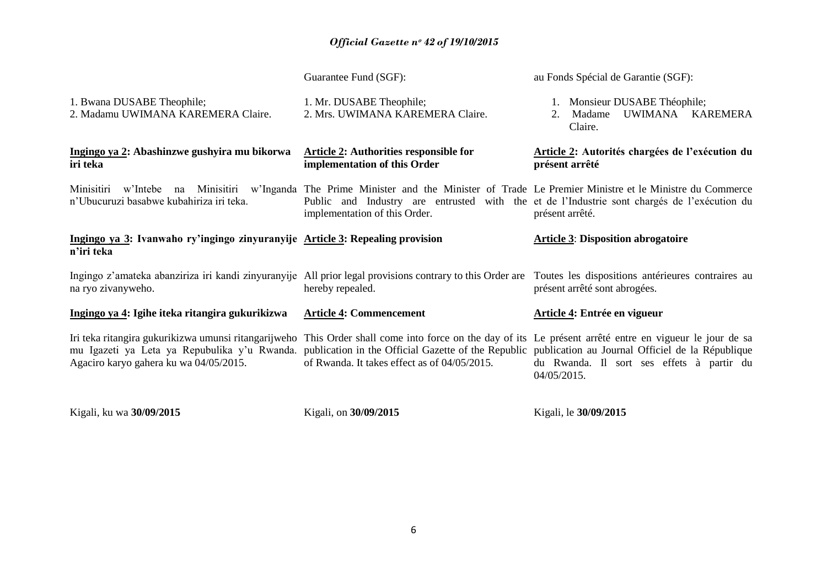|                                                                                             | Guarantee Fund (SGF):                                                                                                                                                                                                                                                                                                                                         | au Fonds Spécial de Garantie (SGF):                                          |
|---------------------------------------------------------------------------------------------|---------------------------------------------------------------------------------------------------------------------------------------------------------------------------------------------------------------------------------------------------------------------------------------------------------------------------------------------------------------|------------------------------------------------------------------------------|
| 1. Bwana DUSABE Theophile;<br>2. Madamu UWIMANA KAREMERA Claire.                            | 1. Mr. DUSABE Theophile;<br>2. Mrs. UWIMANA KAREMERA Claire.                                                                                                                                                                                                                                                                                                  | 1. Monsieur DUSABE Théophile;<br>UWIMANA KAREMERA<br>Madame<br>2.<br>Claire. |
| Ingingo ya 2: Abashinzwe gushyira mu bikorwa<br>iri teka                                    | <b>Article 2: Authorities responsible for</b><br>implementation of this Order                                                                                                                                                                                                                                                                                 | Article 2: Autorités chargées de l'exécution du<br>présent arrêté            |
| n'Ubucuruzi basabwe kubahiriza iri teka.                                                    | Minisitiri w'Intebe na Minisitiri w'Inganda The Prime Minister and the Minister of Trade Le Premier Ministre et le Ministre du Commerce<br>Public and Industry are entrusted with the et de l'Industrie sont chargés de l'exécution du<br>implementation of this Order.                                                                                       | présent arrêté.                                                              |
| Ingingo ya 3: Ivanwaho ry'ingingo zinyuranyije Article 3: Repealing provision<br>n'iri teka |                                                                                                                                                                                                                                                                                                                                                               | <b>Article 3: Disposition abrogatoire</b>                                    |
| na ryo zivanyweho.                                                                          | Ingingo z'amateka abanziriza iri kandi zinyuranyije All prior legal provisions contrary to this Order are Toutes les dispositions antérieures contraires au<br>hereby repealed.                                                                                                                                                                               | présent arrêté sont abrogées.                                                |
| Ingingo ya 4: Igihe iteka ritangira gukurikizwa                                             | <b>Article 4: Commencement</b>                                                                                                                                                                                                                                                                                                                                | Article 4: Entrée en vigueur                                                 |
| Agaciro karyo gahera ku wa 04/05/2015.                                                      | Iri teka ritangira gukurikizwa umunsi ritangarijweho This Order shall come into force on the day of its Le présent arrêté entre en vigueur le jour de sa<br>mu Igazeti ya Leta ya Repubulika y'u Rwanda. publication in the Official Gazette of the Republic publication au Journal Officiel de la République<br>of Rwanda. It takes effect as of 04/05/2015. | du Rwanda. Il sort ses effets à partir du<br>04/05/2015.                     |
| Kigali, ku wa 30/09/2015                                                                    | Kigali, on 30/09/2015                                                                                                                                                                                                                                                                                                                                         | Kigali, le 30/09/2015                                                        |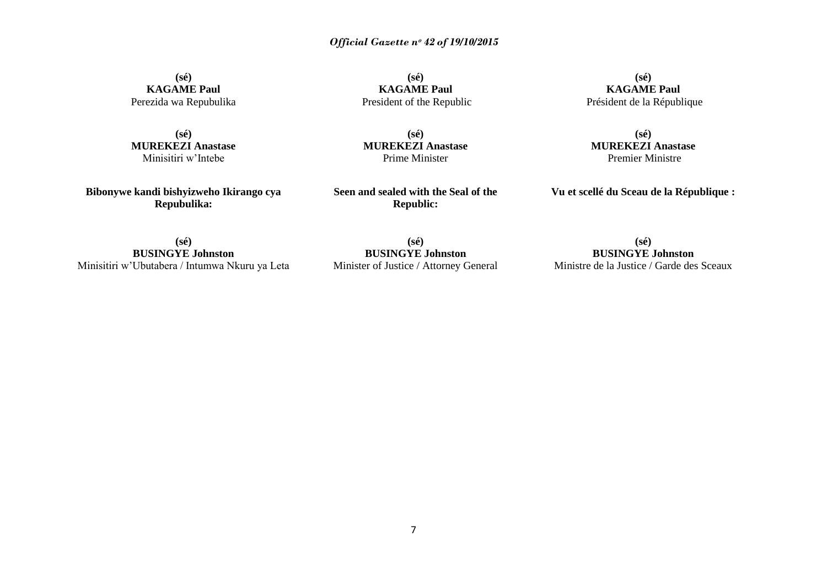**(sé) KAGAME Paul** Perezida wa Repubulika

**(sé) MUREKEZI Anastase** Minisitiri w"Intebe

**Bibonywe kandi bishyizweho Ikirango cya Repubulika:**

**(sé) KAGAME Paul** President of the Republic

**(sé) MUREKEZI Anastase** Prime Minister

**Seen and sealed with the Seal of the Republic:**

**(sé) KAGAME Paul** Président de la République

**(sé) MUREKEZI Anastase** Premier Ministre

**Vu et scellé du Sceau de la République :**

**(sé) BUSINGYE Johnston** Minisitiri w"Ubutabera / Intumwa Nkuru ya Leta

**(sé) BUSINGYE Johnston** Minister of Justice / Attorney General

**(sé) BUSINGYE Johnston** Ministre de la Justice / Garde des Sceaux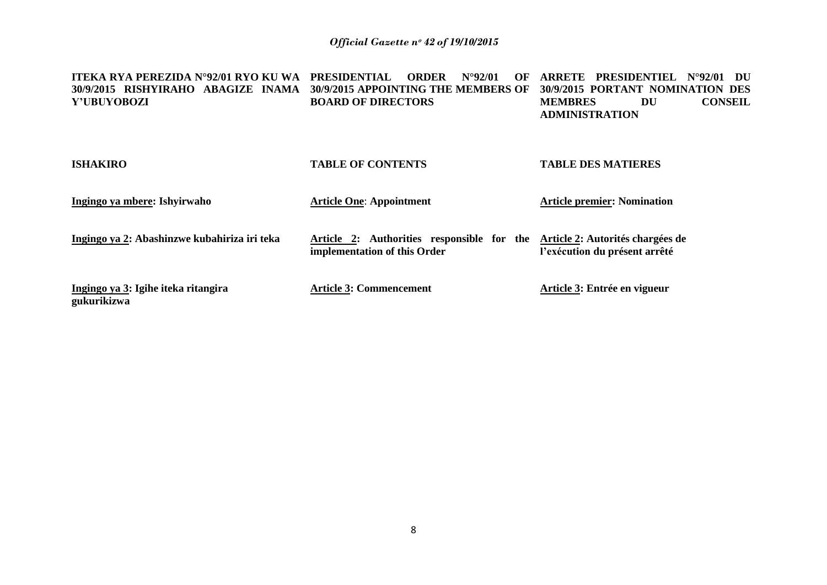| ITEKA RYA PEREZIDA N°92/01 RYO KU WA<br>30/9/2015 RISHYIRAHO ABAGIZE INAMA<br>Y'UBUYOBOZI | <b>PRESIDENTIAL</b><br><b>ORDER</b><br>$N^{\circ}92/01$<br>OF<br>30/9/2015 APPOINTING THE MEMBERS OF<br><b>BOARD OF DIRECTORS</b> | <b>PRESIDENTIEL</b><br>ARRETE<br>$N^{\circ}92/01$<br>- DU<br>30/9/2015 PORTANT NOMINATION DES<br><b>CONSEIL</b><br><b>MEMBRES</b><br>DU<br><b>ADMINISTRATION</b> |
|-------------------------------------------------------------------------------------------|-----------------------------------------------------------------------------------------------------------------------------------|------------------------------------------------------------------------------------------------------------------------------------------------------------------|
| <b>ISHAKIRO</b>                                                                           | <b>TABLE OF CONTENTS</b>                                                                                                          | <b>TABLE DES MATIERES</b>                                                                                                                                        |
| Ingingo ya mbere: Ishyirwaho                                                              | <b>Article One: Appointment</b>                                                                                                   | <b>Article premier: Nomination</b>                                                                                                                               |
| Ingingo ya 2: Abashinzwe kubahiriza iri teka                                              | Article 2: Authorities responsible for the<br>implementation of this Order                                                        | Article 2: Autorités chargées de<br>l'exécution du présent arrêté                                                                                                |
| Ingingo ya 3: Igihe iteka ritangira<br>gukurikizwa                                        | <b>Article 3: Commencement</b>                                                                                                    | Article 3: Entrée en vigueur                                                                                                                                     |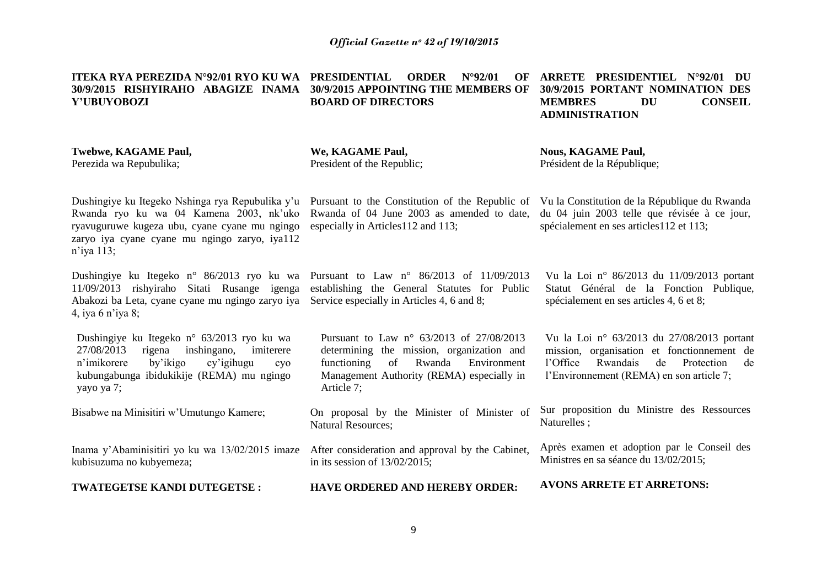**ITEKA RYA PEREZIDA N°92/01 RYO KU WA PRESIDENTIAL ORDER N°92/01 OF 30/9/2015 RISHYIRAHO ABAGIZE INAMA 30/9/2015 APPOINTING THE MEMBERS OF Y'UBUYOBOZI**

**BOARD OF DIRECTORS**

**ARRETE PRESIDENTIEL N°92/01 DU 30/9/2015 PORTANT NOMINATION DES MEMBRES DU CONSEIL ADMINISTRATION**

#### **Twebwe, KAGAME Paul,** Perezida wa Repubulika;

**We, KAGAME Paul,** President of the Republic; **Nous, KAGAME Paul,** Président de la République;

Dushingiye ku Itegeko Nshinga rya Repubulika y'u Pursuant to the Constitution of the Republic of Vu la Constitution de la République du Rwanda Rwanda ryo ku wa 04 Kamena 2003, nk"uko ryavuguruwe kugeza ubu, cyane cyane mu ngingo zaryo iya cyane cyane mu ngingo zaryo, iya112 n"iya 113;

11/09/2013 rishyiraho Sitati Rusange igenga establishing the General Statutes for Public Abakozi ba Leta, cyane cyane mu ngingo zaryo iya Service especially in Articles 4, 6 and 8; 4, iya 6 n"iya 8;

Dushingiye ku Itegeko n° 63/2013 ryo ku wa 27/08/2013 rigena inshingano, imiterere n"imikorere by"ikigo cy"igihugu cyo kubungabunga ibidukikije (REMA) mu ngingo yayo ya 7;

Bisabwe na Minisitiri w"Umutungo Kamere;

Inama y"Abaminisitiri yo ku wa 13/02/2015 imaze kubisuzuma no kubyemeza;

**TWATEGETSE KANDI DUTEGETSE :**

Rwanda of 04 June 2003 as amended to date, especially in Articles112 and 113;

du 04 juin 2003 telle que révisée à ce jour, spécialement en ses articles112 et 113;

Dushingiye ku Itegeko n° 86/2013 ryo ku wa Pursuant to Law n° 86/2013 of 11/09/2013

Pursuant to Law n° 63/2013 of 27/08/2013 determining the mission, organization and functioning of Rwanda Environment Management Authority (REMA) especially in Article 7;

On proposal by the Minister of Minister of Natural Resources;

After consideration and approval by the Cabinet, in its session of 13/02/2015;

**HAVE ORDERED AND HEREBY ORDER:**

Vu la Loi n° 86/2013 du 11/09/2013 portant Statut Général de la Fonction Publique, spécialement en ses articles 4, 6 et 8;

Vu la Loi n° 63/2013 du 27/08/2013 portant mission, organisation et fonctionnement de l"Office Rwandais de Protection de l"Environnement (REMA) en son article 7;

Sur proposition du Ministre des Ressources Naturelles ;

Après examen et adoption par le Conseil des Ministres en sa séance du 13/02/2015;

**AVONS ARRETE ET ARRETONS:**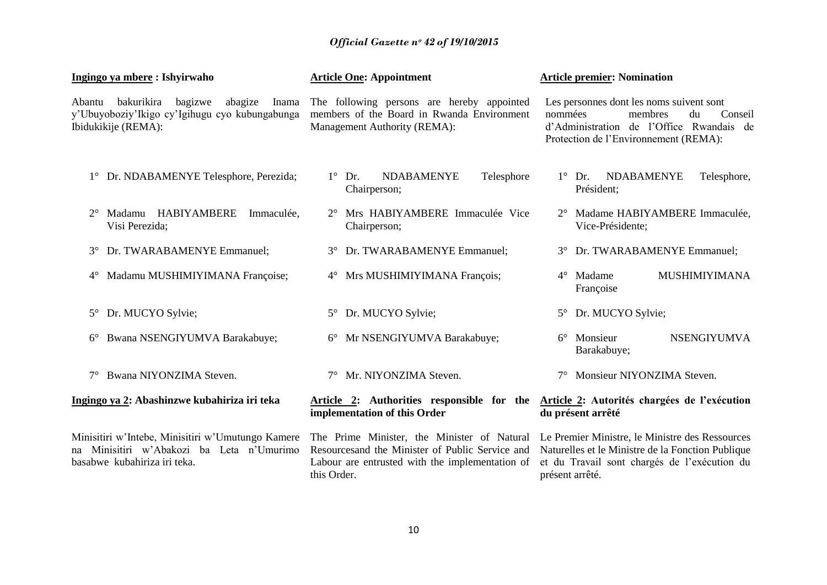| Ingingo ya mbere: Ishyirwaho                                                                                                 | <b>Article One: Appointment</b>                                                                                                                                   | <b>Article premier: Nomination</b>                                                                                                                                      |
|------------------------------------------------------------------------------------------------------------------------------|-------------------------------------------------------------------------------------------------------------------------------------------------------------------|-------------------------------------------------------------------------------------------------------------------------------------------------------------------------|
| bakurikira<br>bagizwe<br>abagize<br>Inama<br>Abantu<br>y'Ubuyoboziy'Ikigo cy'Igihugu cyo kubungabunga<br>Ibidukikije (REMA): | The following persons are hereby appointed<br>members of the Board in Rwanda Environment<br>Management Authority (REMA):                                          | Les personnes dont les noms suivent sont<br>nommées<br>membres<br>du<br>Conseil<br>d'Administration de l'Office Rwandais de<br>Protection de l'Environnement (REMA):    |
| 1° Dr. NDABAMENYE Telesphore, Perezida;                                                                                      | $1^{\circ}$ Dr.<br><b>NDABAMENYE</b><br>Telesphore<br>Chairperson;                                                                                                | <b>NDABAMENYE</b><br>$1^{\circ}$ Dr.<br>Telesphore,<br>Président;                                                                                                       |
| Madamu HABIYAMBERE<br>Immaculée,<br>Visi Perezida;                                                                           | 2° Mrs HABIYAMBERE Immaculée Vice<br>Chairperson;                                                                                                                 | 2° Madame HABIYAMBERE Immaculée,<br>Vice-Présidente;                                                                                                                    |
| Dr. TWARABAMENYE Emmanuel;<br>$3^\circ$                                                                                      | Dr. TWARABAMENYE Emmanuel;<br>$3^\circ$                                                                                                                           | 3° Dr. TWARABAMENYE Emmanuel;                                                                                                                                           |
| Madamu MUSHIMIYIMANA Françoise;<br>$4^{\circ}$                                                                               | 4° Mrs MUSHIMIYIMANA François;                                                                                                                                    | <b>MUSHIMIYIMANA</b><br>Madame<br>$4^\circ$<br>Françoise                                                                                                                |
| Dr. MUCYO Sylvie;<br>$5^{\circ}$                                                                                             | Dr. MUCYO Sylvie;<br>$5^{\circ}$                                                                                                                                  | 5° Dr. MUCYO Sylvie;                                                                                                                                                    |
| Bwana NSENGIYUMVA Barakabuye;<br>$6^\circ$                                                                                   | 6° Mr NSENGIYUMVA Barakabuye;                                                                                                                                     | <b>NSENGIYUMVA</b><br>$6^{\circ}$ Monsieur<br>Barakabuye;                                                                                                               |
| Bwana NIYONZIMA Steven.                                                                                                      | 7° Mr. NIYONZIMA Steven.                                                                                                                                          | Monsieur NIYONZIMA Steven.                                                                                                                                              |
| Ingingo ya 2: Abashinzwe kubahiriza iri teka                                                                                 | Article 2: Authorities responsible for the<br>implementation of this Order                                                                                        | Article 2: Autorités chargées de l'exécution<br>du présent arrêté                                                                                                       |
| Minisitiri w'Intebe, Minisitiri w'Umutungo Kamere<br>Minisitiri w'Abakozi ba Leta n'Umurimo<br>basabwe kubahiriza iri teka.  | The Prime Minister, the Minister of Natural<br>Resources and the Minister of Public Service and<br>Labour are entrusted with the implementation of<br>this Order. | Le Premier Ministre, le Ministre des Ressources<br>Naturelles et le Ministre de la Fonction Publique<br>et du Travail sont chargés de l'exécution du<br>présent arrêté. |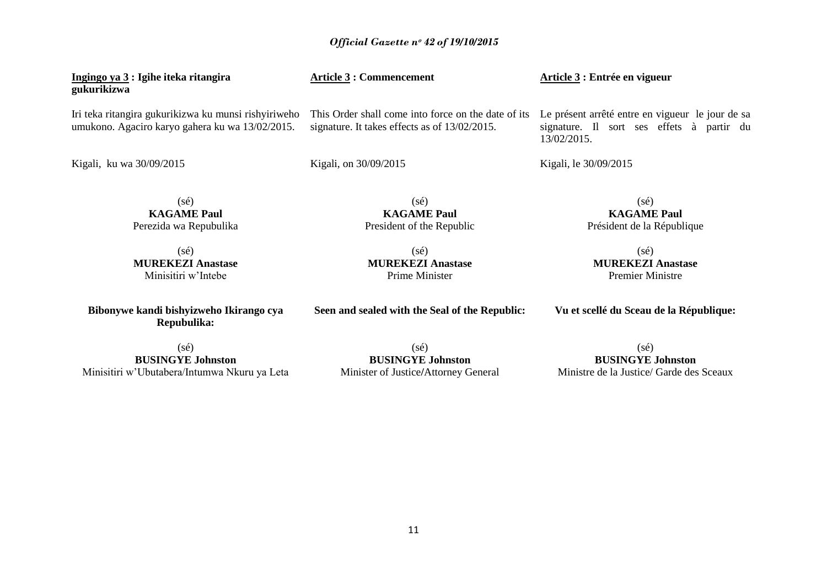| Ingingo ya 3 : Igihe iteka ritangira<br>gukurikizwa                                                     | <b>Article 3 : Commencement</b>                                                                      | Article 3 : Entrée en vigueur                                                                                |
|---------------------------------------------------------------------------------------------------------|------------------------------------------------------------------------------------------------------|--------------------------------------------------------------------------------------------------------------|
| Iri teka ritangira gukurikizwa ku munsi rishyiriweho<br>umukono. Agaciro karyo gahera ku wa 13/02/2015. | This Order shall come into force on the date of its<br>signature. It takes effects as of 13/02/2015. | Le présent arrêté entre en vigueur le jour de sa<br>signature. Il sort ses effets à partir du<br>13/02/2015. |
| Kigali, ku wa 30/09/2015                                                                                | Kigali, on 30/09/2015                                                                                | Kigali, le 30/09/2015                                                                                        |
| (sé)                                                                                                    | $(s\acute{e})$                                                                                       | (sé)                                                                                                         |

(sé) **KAGAME Paul** Perezida wa Repubulika

(sé) **MUREKEZI Anastase** Minisitiri w"Intebe

**Bibonywe kandi bishyizweho Ikirango cya Repubulika:**

(sé) **MUREKEZI Anastase** Prime Minister

**KAGAME Paul** President of the Republic

**Seen and sealed with the Seal of the Republic:**

**KAGAME Paul** Président de la République

(sé) **MUREKEZI Anastase** Premier Ministre

**Vu et scellé du Sceau de la République:**

(sé) **BUSINGYE Johnston** Minisitiri w"Ubutabera/Intumwa Nkuru ya Leta

(sé) **BUSINGYE Johnston** Minister of Justice**/**Attorney General

(sé) **BUSINGYE Johnston** Ministre de la Justice/ Garde des Sceaux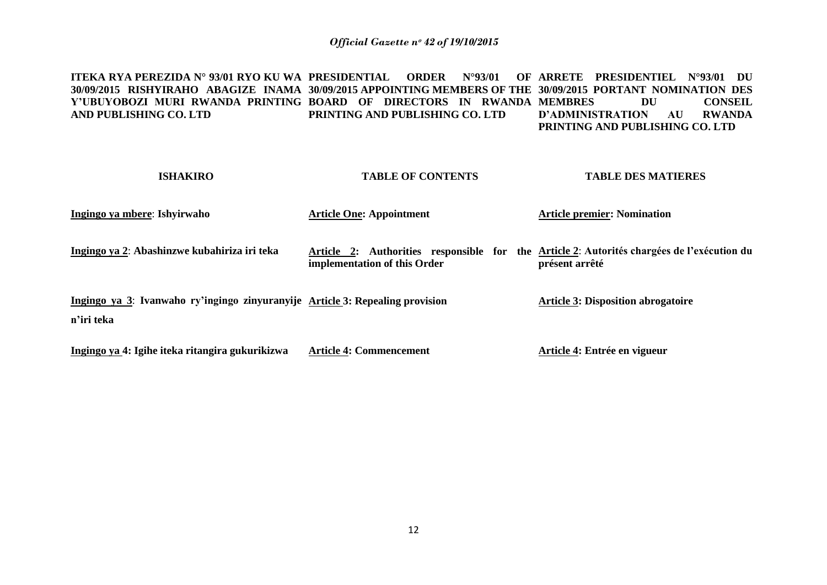**ITEKA RYA PEREZIDA N° 93/01 RYO KU WA PRESIDENTIAL ORDER N°93/01 OF ARRETE PRESIDENTIEL N°93/01 DU 30/09/2015 RISHYIRAHO ABAGIZE INAMA 30/09/2015 APPOINTING MEMBERS OF THE 30/09/2015 PORTANT NOMINATION DES Y'UBUYOBOZI MURI RWANDA PRINTING BOARD OF DIRECTORS IN RWANDA MEMBRES DU CONSEIL AND PUBLISHING CO. LTD PRINTING AND PUBLISHING CO. LTD D'ADMINISTRATION AU RWANDA PRINTING AND PUBLISHING CO. LTD**

| <b>ISHAKIRO</b>                                                                             | <b>TABLE OF CONTENTS</b>                                                                                                   | <b>TABLE DES MATIERES</b>                 |
|---------------------------------------------------------------------------------------------|----------------------------------------------------------------------------------------------------------------------------|-------------------------------------------|
| Ingingo ya mbere: Ishyirwaho                                                                | <b>Article One: Appointment</b>                                                                                            | <b>Article premier: Nomination</b>        |
| Ingingo ya 2: Abashinzwe kubahiriza iri teka                                                | Article 2: Authorities responsible for the Article 2: Autorités chargées de l'exécution du<br>implementation of this Order | présent arrêté                            |
| Ingingo ya 3: Ivanwaho ry'ingingo zinyuranyije Article 3: Repealing provision<br>n'iri teka |                                                                                                                            | <b>Article 3: Disposition abrogatoire</b> |
| Ingingo ya 4: Igihe iteka ritangira gukurikizwa                                             | <b>Article 4: Commencement</b>                                                                                             | Article 4: Entrée en vigueur              |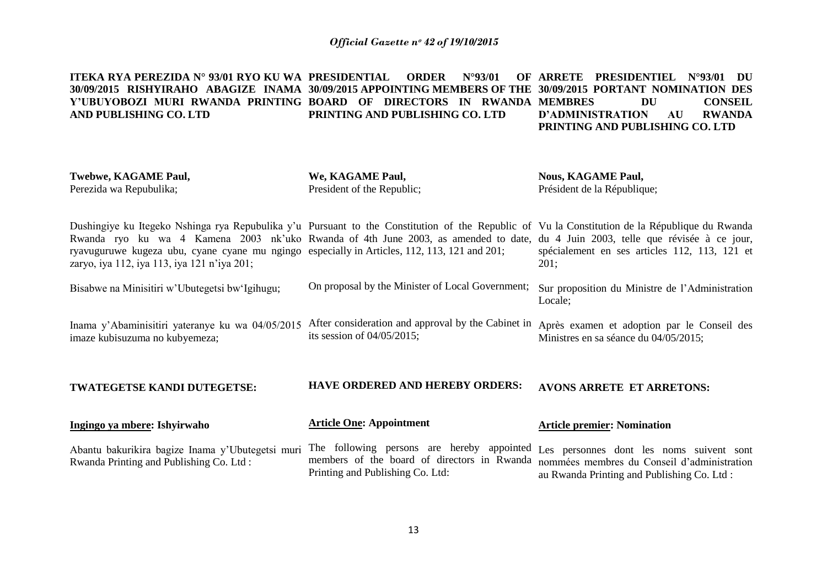**ITEKA RYA PEREZIDA N° 93/01 RYO KU WA PRESIDENTIAL ORDER N°93/01 OF 30/09/2015 RISHYIRAHO ABAGIZE INAMA 30/09/2015 APPOINTING MEMBERS OF THE 30/09/2015 PORTANT NOMINATION DES**  Y'UBUYOBOZI MURI RWANDA PRINTING BOARD OF DIRECTORS IN RWANDA MEMBRES DU CONSEIL **AND PUBLISHING CO. LTD PRINTING AND PUBLISHING CO. LTD ARRETE PRESIDENTIEL N°93/01 DU D'ADMINISTRATION AU RWANDA PRINTING AND PUBLISHING CO. LTD**

**Twebwe, KAGAME Paul,** Perezida wa Repubulika; Dushingiye ku Itegeko Nshinga rya Repubulika y'u Pursuant to the Constitution of the Republic of Vu la Constitution de la République du Rwanda Rwanda ryo ku wa 4 Kamena 2003 nk'uko Rwanda of 4th June 2003, as amended to date, du 4 Juin 2003, telle que révisée à ce jour, ryavuguruwe kugeza ubu, cyane cyane mu ngingo especially in Articles, 112, 113, 121 and 201; zaryo, iya 112, iya 113, iya 121 n"iya 201; Bisabwe na Minisitiri w"Ubutegetsi bw"Igihugu; Inama y"Abaminisitiri yateranye ku wa 04/05/2015 imaze kubisuzuma no kubyemeza; **TWATEGETSE KANDI DUTEGETSE: Ingingo ya mbere: Ishyirwaho** Abantu bakurikira bagize Inama y"Ubutegetsi muri Rwanda Printing and Publishing Co. Ltd : **We, KAGAME Paul,** President of the Republic; On proposal by the Minister of Local Government; After consideration and approval by the Cabinet in Après examen et adoption par le Conseil des its session of 04/05/2015; **HAVE ORDERED AND HEREBY ORDERS: Article One: Appointment**  The following persons are hereby appointed members of the board of directors in Rwanda **Nous, KAGAME Paul,** Président de la République; spécialement en ses articles 112, 113, 121 et 201; Sur proposition du Ministre de l"Administration Locale; Ministres en sa séance du 04/05/2015; **AVONS ARRETE ET ARRETONS: Article premier: Nomination** Les personnes dont les noms suivent sont nommées membres du Conseil d"administration

au Rwanda Printing and Publishing Co. Ltd :

Printing and Publishing Co. Ltd: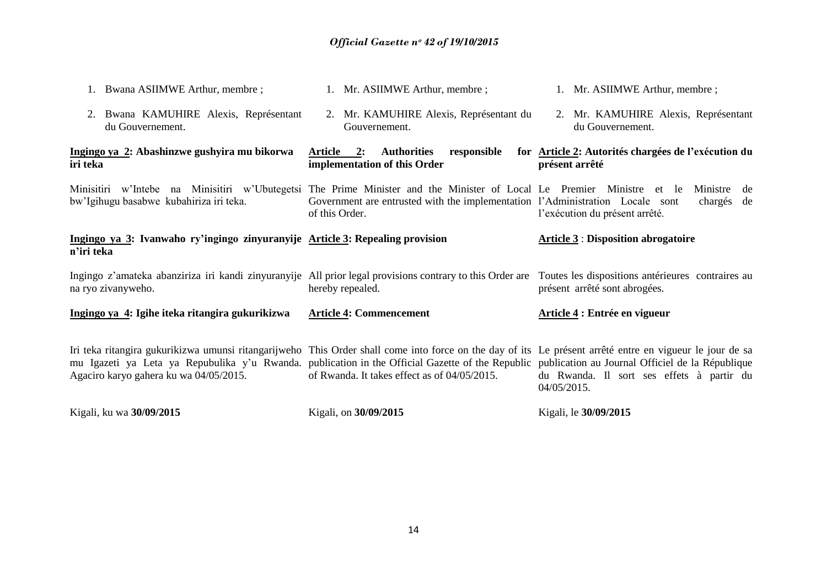| 1. Bwana ASIIMWE Arthur, membre;                                                                                                                                                                                                                                                                                                                        | 1. Mr. ASIIMWE Arthur, membre;                                                                  | 1. Mr. ASIIMWE Arthur, membre;                                        |
|---------------------------------------------------------------------------------------------------------------------------------------------------------------------------------------------------------------------------------------------------------------------------------------------------------------------------------------------------------|-------------------------------------------------------------------------------------------------|-----------------------------------------------------------------------|
| 2. Bwana KAMUHIRE Alexis, Représentant<br>du Gouvernement.                                                                                                                                                                                                                                                                                              | 2. Mr. KAMUHIRE Alexis, Représentant du<br>Gouvernement.                                        | 2. Mr. KAMUHIRE Alexis, Représentant<br>du Gouvernement.              |
| Ingingo ya 2: Abashinzwe gushyira mu bikorwa<br>iri teka                                                                                                                                                                                                                                                                                                | Article 2:<br><b>Authorities</b><br>responsible<br>implementation of this Order                 | for Article 2: Autorités chargées de l'exécution du<br>présent arrêté |
| Minisitiri w'Intebe na Minisitiri w'Ubutegetsi The Prime Minister and the Minister of Local Le Premier Ministre et le<br>bw'Igihugu basabwe kubahiriza iri teka.                                                                                                                                                                                        | Government are entrusted with the implementation l'Administration Locale sont<br>of this Order. | Ministre<br>de<br>chargés<br>de<br>l'exécution du présent arrêté.     |
| Ingingo ya 3: Ivanwaho ry'ingingo zinyuranyije Article 3: Repealing provision<br>n'iri teka                                                                                                                                                                                                                                                             |                                                                                                 | <b>Article 3: Disposition abrogatoire</b>                             |
| Ingingo z'amateka abanziriza iri kandi zinyuranyije All prior legal provisions contrary to this Order are Toutes les dispositions antérieures contraires au<br>na ryo zivanyweho.                                                                                                                                                                       | hereby repealed.                                                                                | présent arrêté sont abrogées.                                         |
| Ingingo ya 4: Igihe iteka ritangira gukurikizwa                                                                                                                                                                                                                                                                                                         | <b>Article 4: Commencement</b>                                                                  | Article 4 : Entrée en vigueur                                         |
| Iri teka ritangira gukurikizwa umunsi ritangarijweho This Order shall come into force on the day of its Le présent arrêté entre en vigueur le jour de sa<br>mu Igazeti ya Leta ya Repubulika y'u Rwanda. publication in the Official Gazette of the Republic publication au Journal Officiel de la République<br>Agaciro karyo gahera ku wa 04/05/2015. | of Rwanda. It takes effect as of 04/05/2015.                                                    | du Rwanda. Il sort ses effets à partir du<br>04/05/2015.              |
| Kigali, ku wa 30/09/2015                                                                                                                                                                                                                                                                                                                                | Kigali, on 30/09/2015                                                                           | Kigali, le 30/09/2015                                                 |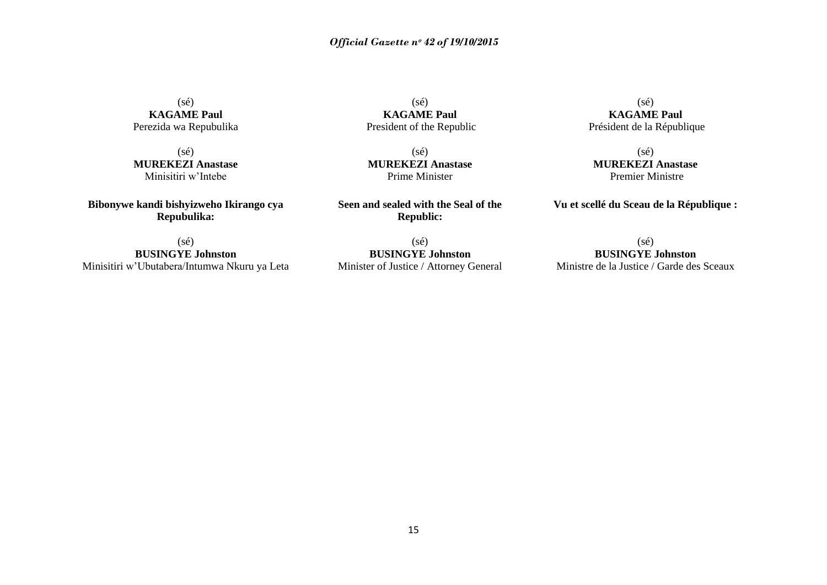(sé) **KAGAME Paul** Perezida wa Repubulika

(sé) **MUREKEZI Anastase** Minisitiri w"Intebe

**Bibonywe kandi bishyizweho Ikirango cya Repubulika:**

(sé) **BUSINGYE Johnston** Minisitiri w"Ubutabera/Intumwa Nkuru ya Leta

(sé) **KAGAME Paul** President of the Republic

(sé) **MUREKEZI Anastase** Prime Minister

**Seen and sealed with the Seal of the Republic:**

(sé) **BUSINGYE Johnston** Minister of Justice / Attorney General

(sé) **KAGAME Paul** Président de la République

(sé) **MUREKEZI Anastase** Premier Ministre

**Vu et scellé du Sceau de la République :**

(sé) **BUSINGYE Johnston**

Ministre de la Justice / Garde des Sceaux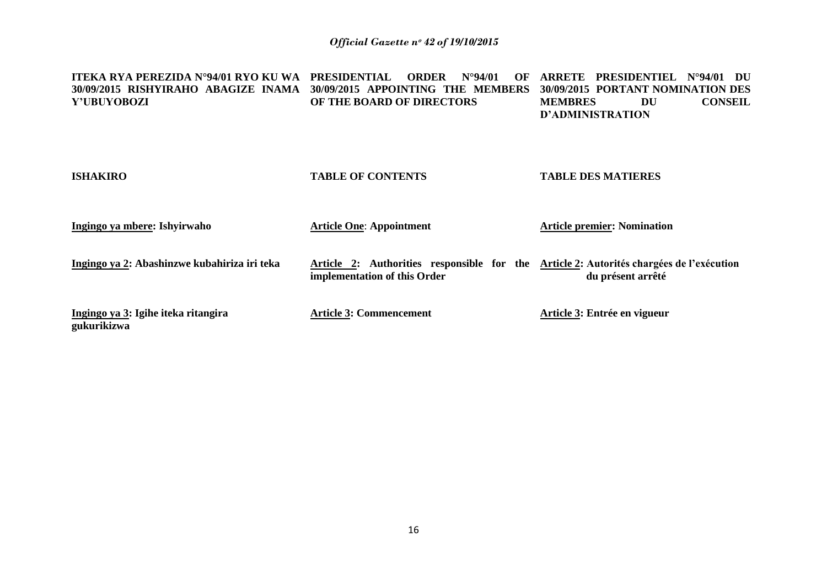| <b>ITEKA RYA PEREZIDA N°94/01 RYO KU WA</b><br>30/09/2015 RISHYIRAHO ABAGIZE INAMA<br>Y'UBUYOBOZI | <b>PRESIDENTIAL</b><br><b>ORDER</b><br>$N^{\circ}94/01$<br>OF<br>30/09/2015 APPOINTING THE MEMBERS<br>OF THE BOARD OF DIRECTORS | <b>PRESIDENTIEL</b><br><b>ARRETE</b><br>$N^{\circ}94/01$<br>- DU<br>30/09/2015 PORTANT NOMINATION DES<br><b>CONSEIL</b><br>DU<br><b>MEMBRES</b><br><b>D'ADMINISTRATION</b> |
|---------------------------------------------------------------------------------------------------|---------------------------------------------------------------------------------------------------------------------------------|----------------------------------------------------------------------------------------------------------------------------------------------------------------------------|
| <b>ISHAKIRO</b>                                                                                   | <b>TABLE OF CONTENTS</b>                                                                                                        | <b>TABLE DES MATIERES</b>                                                                                                                                                  |
| Ingingo ya mbere: Ishyirwaho                                                                      | <b>Article One: Appointment</b>                                                                                                 | <b>Article premier: Nomination</b>                                                                                                                                         |
| Ingingo ya 2: Abashinzwe kubahiriza iri teka                                                      | Article 2: Authorities responsible for the<br>implementation of this Order                                                      | Article 2: Autorités chargées de l'exécution<br>du présent arrêté                                                                                                          |
| Ingingo ya 3: Igihe iteka ritangira<br>gukurikizwa                                                | <b>Article 3: Commencement</b>                                                                                                  | Article 3: Entrée en vigueur                                                                                                                                               |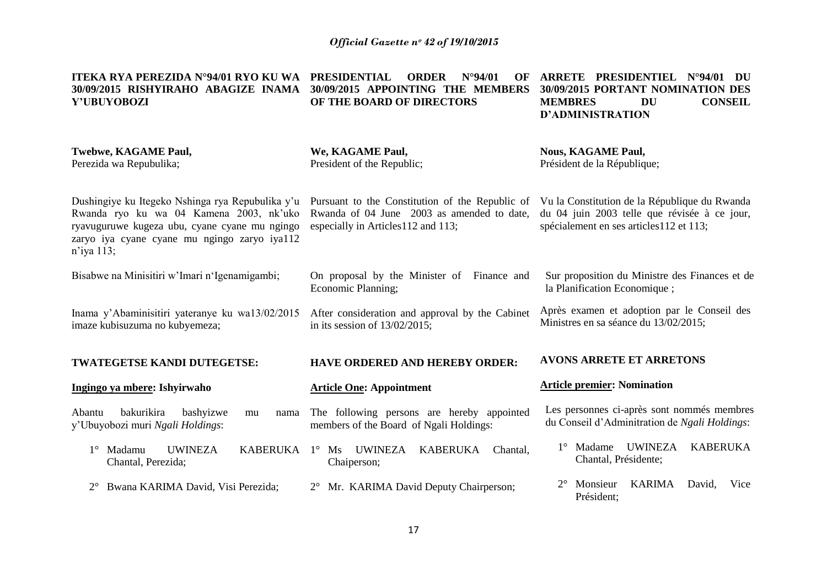| ITEKA RYA PEREZIDA N°94/01 RYO KU WA<br>30/09/2015 RISHYIRAHO ABAGIZE INAMA<br>Y'UBUYOBOZI                                                                                                                    | <b>PRESIDENTIAL</b><br>$N^{\circ}94/01$<br><b>ORDER</b><br>OF<br>30/09/2015 APPOINTING THE MEMBERS<br>OF THE BOARD OF DIRECTORS     | <b>ARRETE PRESIDENTIEL</b><br>$N^{\circ}94/01$ DU<br>30/09/2015 PORTANT NOMINATION DES<br><b>CONSEIL</b><br><b>MEMBRES</b><br><b>DU</b><br><b>D'ADMINISTRATION</b> |
|---------------------------------------------------------------------------------------------------------------------------------------------------------------------------------------------------------------|-------------------------------------------------------------------------------------------------------------------------------------|--------------------------------------------------------------------------------------------------------------------------------------------------------------------|
| Twebwe, KAGAME Paul,<br>Perezida wa Repubulika;                                                                                                                                                               | We, KAGAME Paul,<br>President of the Republic;                                                                                      | <b>Nous, KAGAME Paul,</b><br>Président de la République;                                                                                                           |
| Dushingiye ku Itegeko Nshinga rya Repubulika y'u<br>Rwanda ryo ku wa 04 Kamena 2003, nk'uko<br>ryavuguruwe kugeza ubu, cyane cyane mu ngingo<br>zaryo iya cyane cyane mu ngingo zaryo iya112<br>$n$ 'iya 113; | Pursuant to the Constitution of the Republic of<br>Rwanda of 04 June 2003 as amended to date,<br>especially in Articles112 and 113; | Vu la Constitution de la République du Rwanda<br>du 04 juin 2003 telle que révisée à ce jour,<br>spécialement en ses articles112 et 113;                           |
| Bisabwe na Minisitiri w'Imari n'Igenamigambi;                                                                                                                                                                 | On proposal by the Minister of Finance and<br>Economic Planning;                                                                    | Sur proposition du Ministre des Finances et de<br>la Planification Economique;                                                                                     |
| Inama y'Abaminisitiri yateranye ku wa13/02/2015<br>imaze kubisuzuma no kubyemeza;                                                                                                                             | After consideration and approval by the Cabinet<br>in its session of $13/02/2015$ ;                                                 | Après examen et adoption par le Conseil des<br>Ministres en sa séance du 13/02/2015;                                                                               |
| TWATEGETSE KANDI DUTEGETSE:                                                                                                                                                                                   | HAVE ORDERED AND HEREBY ORDER:                                                                                                      | <b>AVONS ARRETE ET ARRETONS</b>                                                                                                                                    |
| Ingingo ya mbere: Ishyirwaho                                                                                                                                                                                  | <b>Article One: Appointment</b>                                                                                                     | <b>Article premier: Nomination</b>                                                                                                                                 |
| bakurikira<br>bashyizwe<br>Abantu<br>mu<br>nama<br>y'Ubuyobozi muri Ngali Holdings:                                                                                                                           | The following persons are hereby appointed<br>members of the Board of Ngali Holdings:                                               | Les personnes ci-après sont nommés membres<br>du Conseil d'Adminitration de Ngali Holdings:                                                                        |
| <b>UWINEZA</b><br><b>KABERUKA</b><br>$1^\circ$ Madamu<br>Chantal, Perezida;                                                                                                                                   | 1° Ms UWINEZA<br><b>KABERUKA</b><br>Chantal,<br>Chaiperson;                                                                         | <b>UWINEZA</b><br><b>KABERUKA</b><br>$1^{\circ}$ Madame<br>Chantal, Présidente;                                                                                    |
| Bwana KARIMA David, Visi Perezida;                                                                                                                                                                            | 2° Mr. KARIMA David Deputy Chairperson;                                                                                             | <b>KARIMA</b><br>Monsieur<br>David,<br>Vice<br>Président;                                                                                                          |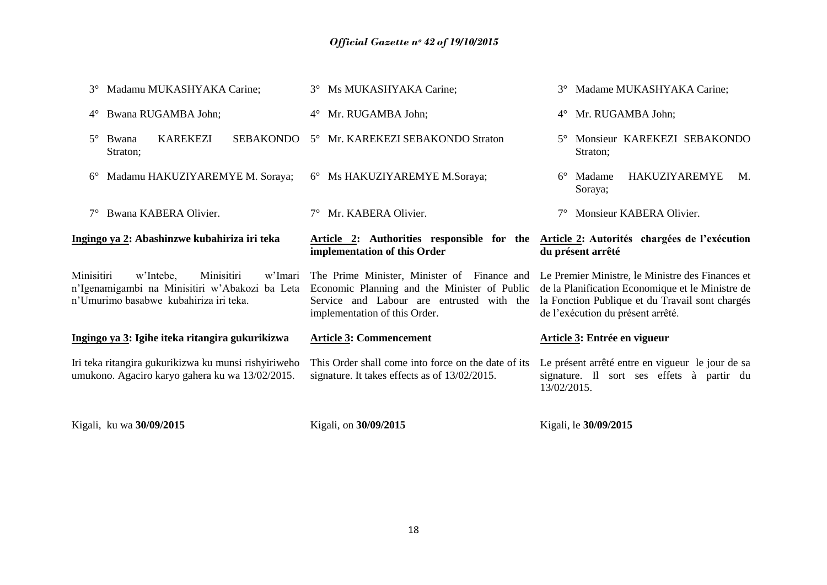| $3^\circ$   | Madamu MUKASHYAKA Carine;                                                                                                      | 3° Ms MUKASHYAKA Carine;                                                                                                                                                                                                   | Madame MUKASHYAKA Carine;                                                                                                                |
|-------------|--------------------------------------------------------------------------------------------------------------------------------|----------------------------------------------------------------------------------------------------------------------------------------------------------------------------------------------------------------------------|------------------------------------------------------------------------------------------------------------------------------------------|
| $4^{\circ}$ | Bwana RUGAMBA John;                                                                                                            | 4° Mr. RUGAMBA John;                                                                                                                                                                                                       | Mr. RUGAMBA John;<br>$4^\circ$                                                                                                           |
| $5^\circ$   | <b>KAREKEZI</b><br><b>SEBAKONDO</b><br>Bwana<br>Straton;                                                                       | 5° Mr. KAREKEZI SEBAKONDO Straton                                                                                                                                                                                          | Monsieur KAREKEZI SEBAKONDO<br>$5^\circ$<br>Straton:                                                                                     |
| $6^{\circ}$ | Madamu HAKUZIYAREMYE M. Soraya;                                                                                                | 6° Ms HAKUZIYAREMYE M.Soraya;                                                                                                                                                                                              | <b>HAKUZIYAREMYE</b><br>Madame<br>M.<br>$6^{\circ}$<br>Soraya;                                                                           |
|             | Bwana KABERA Olivier.                                                                                                          | Mr. KABERA Olivier.                                                                                                                                                                                                        | Monsieur KABERA Olivier.                                                                                                                 |
|             | Ingingo ya 2: Abashinzwe kubahiriza iri teka                                                                                   | Article 2: Authorities responsible for the<br>implementation of this Order                                                                                                                                                 | Article 2: Autorités chargées de l'exécution<br>du présent arrêté                                                                        |
|             |                                                                                                                                |                                                                                                                                                                                                                            |                                                                                                                                          |
| Minisitiri  | w'Intebe,<br>Minisitiri<br>w'Imari<br>n'Igenamigambi na Minisitiri w'Abakozi ba Leta<br>n'Umurimo basabwe kubahiriza iri teka. | The Prime Minister, Minister of Finance and Le Premier Ministre, le Ministre des Finances et<br>Economic Planning and the Minister of Public<br>Service and Labour are entrusted with the<br>implementation of this Order. | de la Planification Economique et le Ministre de<br>la Fonction Publique et du Travail sont chargés<br>de l'exécution du présent arrêté. |
|             | Ingingo ya 3: Igihe iteka ritangira gukurikizwa                                                                                | <b>Article 3: Commencement</b>                                                                                                                                                                                             | Article 3: Entrée en vigueur                                                                                                             |
|             | Iri teka ritangira gukurikizwa ku munsi rishyiriweho<br>umukono. Agaciro karyo gahera ku wa 13/02/2015.                        | This Order shall come into force on the date of its<br>signature. It takes effects as of 13/02/2015.                                                                                                                       | Le présent arrêté entre en vigueur le jour de sa<br>signature. Il sort ses effets à partir du<br>13/02/2015.                             |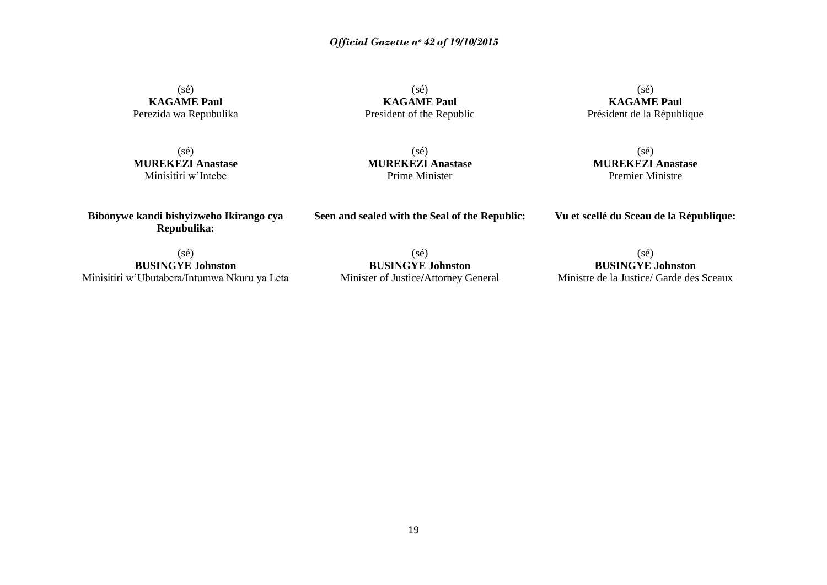(sé) **KAGAME Paul** Perezida wa Repubulika

(sé) **KAGAME Paul** President of the Republic

(sé) **KAGAME Paul** Président de la République

(sé) **MUREKEZI Anastase** Minisitiri w"Intebe

(sé) **MUREKEZI Anastase** Prime Minister

(sé) **MUREKEZI Anastase** Premier Ministre

**Bibonywe kandi bishyizweho Ikirango cya Repubulika:**

**Seen and sealed with the Seal of the Republic:**

**Vu et scellé du Sceau de la République:**

(sé)

**BUSINGYE Johnston** Minisitiri w"Ubutabera/Intumwa Nkuru ya Leta

(sé) **BUSINGYE Johnston** Minister of Justice**/**Attorney General

(sé) **BUSINGYE Johnston** Ministre de la Justice/ Garde des Sceaux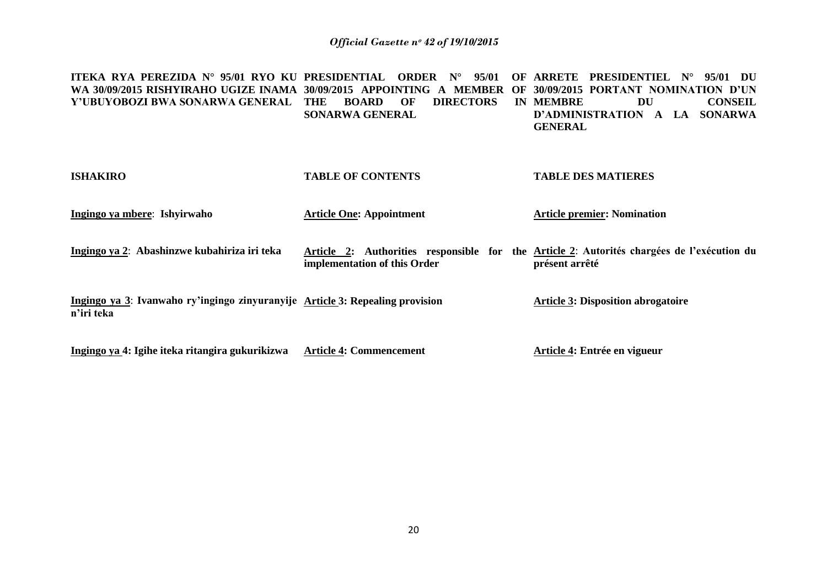**ITEKA RYA PEREZIDA N° 95/01 RYO KU PRESIDENTIAL ORDER N° 95/01 OF ARRETE PRESIDENTIEL N° 95/01 DU WA 30/09/2015 RISHYIRAHO UGIZE INAMA 30/09/2015 APPOINTING A MEMBER OF 30/09/2015 PORTANT NOMINATION D'UN Y'UBUYOBOZI BWA SONARWA GENERAL THE BOARD OF DIRECTORS IN SONARWA GENERAL DU CONSEIL D'ADMINISTRATION A LA SONARWA GENERAL**

| <b>ISHAKIRO</b>                                                                             | <b>TABLE OF CONTENTS</b>                                                                                                   | <b>TABLE DES MATIERES</b>                 |
|---------------------------------------------------------------------------------------------|----------------------------------------------------------------------------------------------------------------------------|-------------------------------------------|
| Ingingo ya mbere: Ishyirwaho                                                                | <b>Article One: Appointment</b>                                                                                            | <b>Article premier: Nomination</b>        |
| Ingingo ya 2: Abashinzwe kubahiriza iri teka                                                | Article 2: Authorities responsible for the Article 2: Autorités chargées de l'exécution du<br>implementation of this Order | présent arrêté                            |
| Ingingo ya 3: Ivanwaho ry'ingingo zinyuranyije Article 3: Repealing provision<br>n'iri teka |                                                                                                                            | <b>Article 3: Disposition abrogatoire</b> |
| Ingingo ya 4: Igihe iteka ritangira gukurikizwa                                             | <b>Article 4: Commencement</b>                                                                                             | Article 4: Entrée en vigueur              |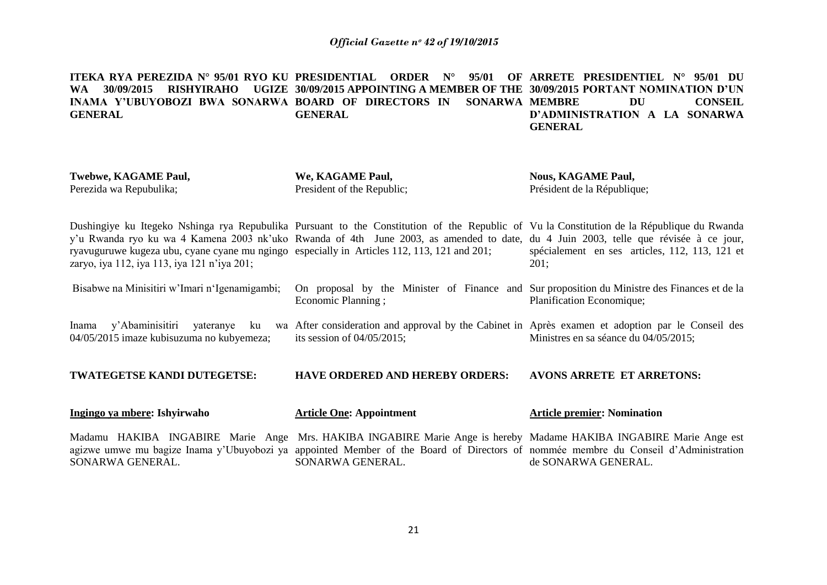**ITEKA RYA PEREZIDA N° 95/01 RYO KU PRESIDENTIAL ORDER N° 95/01 OF ARRETE PRESIDENTIEL N° 95/01 DU WA 30/09/2015 RISHYIRAHO UGIZE 30/09/2015 APPOINTING A MEMBER OF THE 30/09/2015 PORTANT NOMINATION D'UN INAMA Y'UBUYOBOZI BWA SONARWA BOARD OF DIRECTORS IN SONARWA MEMBRE DU CONSEIL GENERAL GENERAL D'ADMINISTRATION A LA SONARWA GENERAL**

| <b>Twebwe, KAGAME Paul,</b><br>Perezida wa Repubulika;                                                                                     | We, KAGAME Paul,<br>President of the Republic;                                                                                                                                                                                                                                    | <b>Nous, KAGAME Paul,</b><br>Président de la République; |
|--------------------------------------------------------------------------------------------------------------------------------------------|-----------------------------------------------------------------------------------------------------------------------------------------------------------------------------------------------------------------------------------------------------------------------------------|----------------------------------------------------------|
| ryavuguruwe kugeza ubu, cyane cyane mu ngingo especially in Articles 112, 113, 121 and 201;<br>zaryo, iya 112, iya 113, iya 121 n'iya 201; | Dushingiye ku Itegeko Nshinga rya Repubulika Pursuant to the Constitution of the Republic of Vu la Constitution de la République du Rwanda<br>y'u Rwanda ryo ku wa 4 Kamena 2003 nk'uko Rwanda of 4th June 2003, as amended to date, du 4 Juin 2003, telle que révisée à ce jour, | spécialement en ses articles, 112, 113, 121 et<br>201;   |
| Bisabwe na Minisitiri w'Imari n'Igenamigambi;                                                                                              | On proposal by the Minister of Finance and Sur proposition du Ministre des Finances et de la<br>Economic Planning;                                                                                                                                                                | Planification Economique;                                |
| y'Abaminisitiri<br>yateranye<br>ku<br>Inama<br>04/05/2015 imaze kubisuzuma no kubyemeza;                                                   | wa After consideration and approval by the Cabinet in Après examen et adoption par le Conseil des<br>its session of $04/05/2015$ ;                                                                                                                                                | Ministres en sa séance du 04/05/2015;                    |
| TWATEGETSE KANDI DUTEGETSE:                                                                                                                | <b>HAVE ORDERED AND HEREBY ORDERS:</b>                                                                                                                                                                                                                                            | <b>AVONS ARRETE ET ARRETONS:</b>                         |
| Ingingo ya mbere: Ishyirwaho                                                                                                               | <b>Article One: Appointment</b>                                                                                                                                                                                                                                                   | <b>Article premier: Nomination</b>                       |
| SONARWA GENERAL.                                                                                                                           | Madamu HAKIBA INGABIRE Marie Ange Mrs. HAKIBA INGABIRE Marie Ange is hereby Madame HAKIBA INGABIRE Marie Ange est<br>agizwe umwe mu bagize Inama y'Ubuyobozi ya appointed Member of the Board of Directors of nommée membre du Conseil d'Administration<br>SONARWA GENERAL.       | de SONARWA GENERAL.                                      |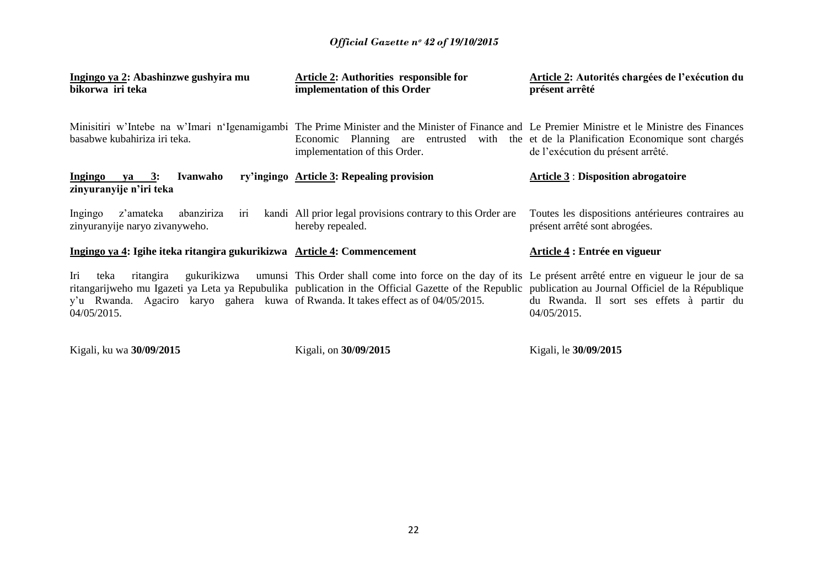| Ingingo ya 2: Abashinzwe gushyira mu<br>bikorwa iri teka                                                                      | <b>Article 2: Authorities responsible for</b><br>implementation of this Order                                                                                                                                                                                                  | Article 2: Autorités chargées de l'exécution du<br>présent arrêté                  |
|-------------------------------------------------------------------------------------------------------------------------------|--------------------------------------------------------------------------------------------------------------------------------------------------------------------------------------------------------------------------------------------------------------------------------|------------------------------------------------------------------------------------|
| basabwe kubahiriza iri teka.                                                                                                  | Minisitiri w'Intebe na w'Imari n'Igenamigambi The Prime Minister and the Minister of Finance and Le Premier Ministre et le Ministre des Finances<br>Economic Planning are entrusted with the et de la Planification Economique sont chargés<br>implementation of this Order.   | de l'exécution du présent arrêté.                                                  |
| Ingingo ya 3:<br>Ivanwaho<br>zinyuranyije n'iri teka                                                                          | ry'ingingo Article 3: Repealing provision                                                                                                                                                                                                                                      | <b>Article 3 : Disposition abrogatoire</b>                                         |
| z'amateka<br>abanziriza<br>Ingingo<br>1r1<br>zinyuranyije naryo zivanyweho.                                                   | kandi All prior legal provisions contrary to this Order are<br>hereby repealed.                                                                                                                                                                                                | Toutes les dispositions antérieures contraires au<br>présent arrêté sont abrogées. |
| Ingingo ya 4: Igihe iteka ritangira gukurikizwa Article 4: Commencement                                                       |                                                                                                                                                                                                                                                                                | Article 4 : Entrée en vigueur                                                      |
| Iri<br>teka<br>ritangira<br>y'u Rwanda. Agaciro karyo gahera kuwa of Rwanda. It takes effect as of 04/05/2015.<br>04/05/2015. | gukurikizwa umunsi This Order shall come into force on the day of its Le présent arrêté entre en vigueur le jour de sa<br>ritangarijweho mu Igazeti ya Leta ya Repubulika publication in the Official Gazette of the Republic publication au Journal Officiel de la République | du Rwanda. Il sort ses effets à partir du<br>04/05/2015.                           |
|                                                                                                                               |                                                                                                                                                                                                                                                                                |                                                                                    |

Kigali, ku wa **30/09/2015**

Kigali, on **30/09/2015**

Kigali, le **30/09/2015**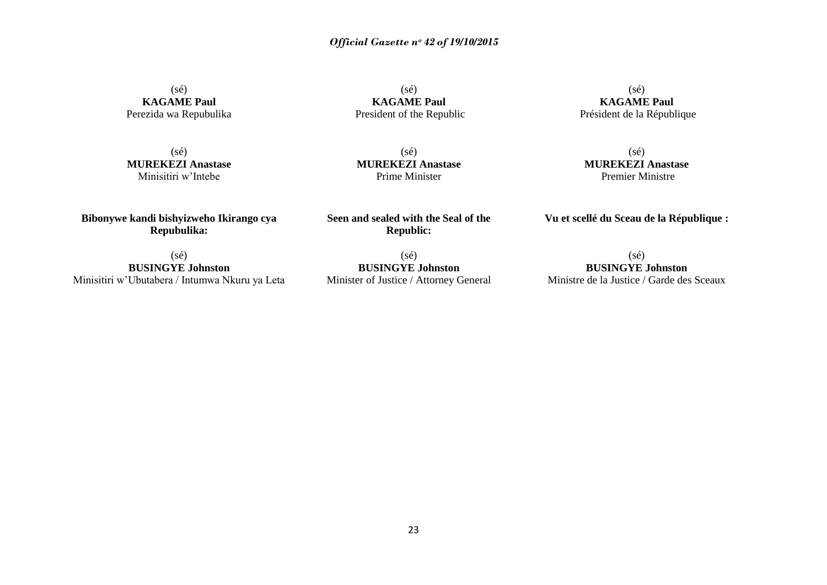(sé)

(sé) **KAGAME Paul** Perezida wa Repubulika

**KAGAME Paul** President of the Republic

(sé) **MUREKEZI Anastase** Minisitiri w"Intebe

(sé) **MUREKEZI Anastase** Prime Minister

(sé) **KAGAME Paul** Président de la République

(sé) **MUREKEZI Anastase** Premier Ministre

**Vu et scellé du Sceau de la République :**

**Bibonywe kandi bishyizweho Ikirango cya Repubulika:**

**Seen and sealed with the Seal of the Republic:**

(sé) **BUSINGYE Johnston** Minister of Justice / Attorney General

**BUSINGYE Johnston** Ministre de la Justice / Garde des Sceaux

(sé) **BUSINGYE Johnston** Minisitiri w"Ubutabera / Intumwa Nkuru ya Leta (sé)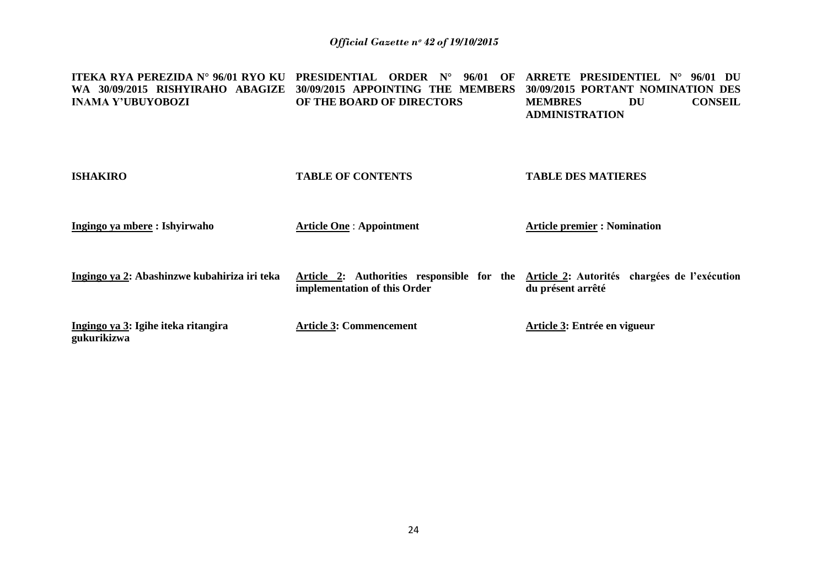| <b>ITEKA RYA PEREZIDA Nº 96/01 RYO KU</b><br>WA 30/09/2015 RISHYIRAHO ABAGIZE<br><b>INAMA Y'UBUYOBOZI</b> | PRESIDENTIAL ORDER<br>$N^{\circ}$<br>96/01<br>OF<br>30/09/2015 APPOINTING THE MEMBERS<br>OF THE BOARD OF DIRECTORS | ARRETE PRESIDENTIEL N°<br>96/01 DU<br>30/09/2015 PORTANT NOMINATION DES<br><b>CONSEIL</b><br>DU<br><b>MEMBRES</b><br><b>ADMINISTRATION</b> |
|-----------------------------------------------------------------------------------------------------------|--------------------------------------------------------------------------------------------------------------------|--------------------------------------------------------------------------------------------------------------------------------------------|
| <b>ISHAKIRO</b>                                                                                           | <b>TABLE OF CONTENTS</b>                                                                                           | <b>TABLE DES MATIERES</b>                                                                                                                  |
| Ingingo ya mbere : Ishyirwaho                                                                             | <b>Article One: Appointment</b>                                                                                    | <b>Article premier : Nomination</b>                                                                                                        |
| Ingingo ya 2: Abashinzwe kubahiriza iri teka                                                              | Article 2: Authorities responsible for the<br>implementation of this Order                                         | Article 2: Autorités chargées de l'exécution<br>du présent arrêté                                                                          |
| Ingingo ya 3: Igihe iteka ritangira<br>gukurikizwa                                                        | <b>Article 3: Commencement</b>                                                                                     | Article 3: Entrée en vigueur                                                                                                               |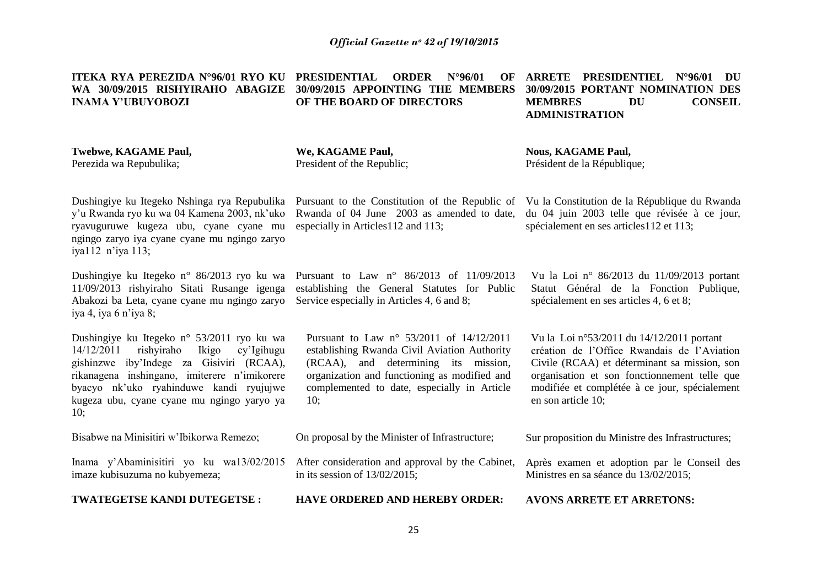**ITEKA RYA PEREZIDA N°96/01 RYO KU WA 30/09/2015 RISHYIRAHO ABAGIZE INAMA Y'UBUYOBOZI**

**Twebwe, KAGAME Paul,**

Perezida wa Repubulika;

**We, KAGAME Paul,** President of the Republic;

**OF THE BOARD OF DIRECTORS**

**Nous, KAGAME Paul,** Président de la République;

Dushingiye ku Itegeko Nshinga rya Repubulika y"u Rwanda ryo ku wa 04 Kamena 2003, nk"uko ryavuguruwe kugeza ubu, cyane cyane mu ngingo zaryo iya cyane cyane mu ngingo zaryo iya112 n"iya 113;

Dushingiye ku Itegeko n° 86/2013 ryo ku wa 11/09/2013 rishyiraho Sitati Rusange igenga Abakozi ba Leta, cyane cyane mu ngingo zaryo Service especially in Articles 4, 6 and 8; iya 4, iya 6 n"iya 8;

Dushingiye ku Itegeko n° 53/2011 ryo ku wa 14/12/2011 rishyiraho Ikigo cy"Igihugu gishinzwe iby"Indege za Gisiviri (RCAA), rikanagena inshingano, imiterere n"imikorere byacyo nk"uko ryahinduwe kandi ryujujwe kugeza ubu, cyane cyane mu ngingo yaryo ya 10;

Bisabwe na Minisitiri w"Ibikorwa Remezo;

Inama y"Abaminisitiri yo ku wa13/02/2015 imaze kubisuzuma no kubyemeza;

**TWATEGETSE KANDI DUTEGETSE :**

Pursuant to the Constitution of the Republic of Rwanda of 04 June 2003 as amended to date, especially in Articles112 and 113;

Pursuant to Law n° 86/2013 of 11/09/2013 establishing the General Statutes for Public

Pursuant to Law n° 53/2011 of 14/12/2011 establishing Rwanda Civil Aviation Authority (RCAA), and determining its mission, organization and functioning as modified and complemented to date, especially in Article 10;

On proposal by the Minister of Infrastructure;

After consideration and approval by the Cabinet, in its session of 13/02/2015;

**HAVE ORDERED AND HEREBY ORDER:**

Vu la Loi n° 86/2013 du 11/09/2013 portant

Vu la Constitution de la République du Rwanda du 04 juin 2003 telle que révisée à ce jour,

spécialement en ses articles112 et 113;

Statut Général de la Fonction Publique, spécialement en ses articles 4, 6 et 8;

Vu la Loi n°53/2011 du 14/12/2011 portant création de l"Office Rwandais de l"Aviation Civile (RCAA) et déterminant sa mission, son organisation et son fonctionnement telle que modifiée et complétée à ce jour, spécialement en son article 10;

Sur proposition du Ministre des Infrastructures;

Après examen et adoption par le Conseil des Ministres en sa séance du 13/02/2015;

**AVONS ARRETE ET ARRETONS:**

**PRDER N°96/01 30/09/2015 APPOINTING THE MEMBERS ARRETE PRESIDENTIEL N°96/01 DU 30/09/2015 PORTANT NOMINATION DES MEMBRES DU CONSEIL ADMINISTRATION**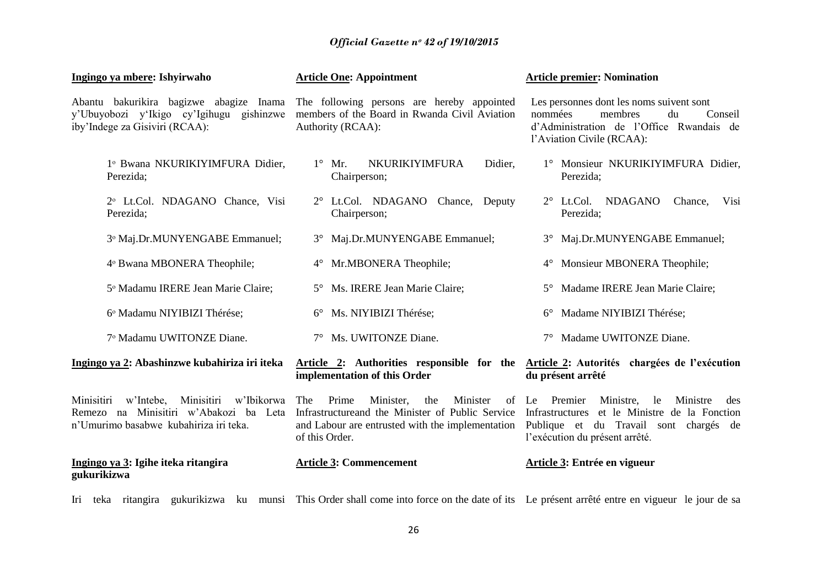| Ingingo ya mbere: Ishyirwaho                                                                                                         | <b>Article One: Appointment</b>                                                                                                                                         | <b>Article premier: Nomination</b>                                                                                                                                               |
|--------------------------------------------------------------------------------------------------------------------------------------|-------------------------------------------------------------------------------------------------------------------------------------------------------------------------|----------------------------------------------------------------------------------------------------------------------------------------------------------------------------------|
| Abantu bakurikira bagizwe abagize Inama<br>y'Ubuyobozi y'Ikigo cy'Igihugu gishinzwe<br>iby'Indege za Gisiviri (RCAA):                | The following persons are hereby appointed<br>members of the Board in Rwanda Civil Aviation<br>Authority (RCAA):                                                        | Les personnes dont les noms suivent sont<br>membres<br>du<br>nommées<br>Conseil<br>d'Administration de l'Office Rwandais de<br>l'Aviation Civile (RCAA):                         |
| 1º Bwana NKURIKIYIMFURA Didier,<br>Perezida;                                                                                         | $1^{\circ}$ Mr.<br><b>NKURIKIYIMFURA</b><br>Didier,<br>Chairperson;                                                                                                     | 1° Monsieur NKURIKIYIMFURA Didier,<br>Perezida;                                                                                                                                  |
| 2º Lt.Col. NDAGANO Chance, Visi<br>Perezida;                                                                                         | 2° Lt.Col. NDAGANO Chance, Deputy<br>Chairperson;                                                                                                                       | 2° Lt.Col. NDAGANO<br>Chance,<br>Visi<br>Perezida;                                                                                                                               |
| 3º Maj.Dr.MUNYENGABE Emmanuel;                                                                                                       | 3° Maj.Dr.MUNYENGABE Emmanuel;                                                                                                                                          | 3° Maj.Dr.MUNYENGABE Emmanuel;                                                                                                                                                   |
| 4º Bwana MBONERA Theophile;                                                                                                          | 4° Mr.MBONERA Theophile;                                                                                                                                                | Monsieur MBONERA Theophile;<br>$4^{\circ}$                                                                                                                                       |
| 5º Madamu IRERE Jean Marie Claire;                                                                                                   | 5° Ms. IRERE Jean Marie Claire;                                                                                                                                         | Madame IRERE Jean Marie Claire;<br>$5^\circ$                                                                                                                                     |
| 6° Madamu NIYIBIZI Thérése;                                                                                                          | 6° Ms. NIYIBIZI Thérése;                                                                                                                                                | Madame NIYIBIZI Thérése;<br>$6^{\circ}$                                                                                                                                          |
| 7º Madamu UWITONZE Diane.                                                                                                            | 7° Ms. UWITONZE Diane.                                                                                                                                                  | Madame UWITONZE Diane.                                                                                                                                                           |
| Ingingo ya 2: Abashinzwe kubahiriza iri iteka                                                                                        | Article 2: Authorities responsible for the<br>implementation of this Order                                                                                              | Article 2: Autorités chargées de l'exécution<br>du présent arrêté                                                                                                                |
| w'Ibikorwa<br>Minisitiri<br>w'Intebe, Minisitiri<br>Remezo na Minisitiri w'Abakozi ba Leta<br>n'Umurimo basabwe kubahiriza iri teka. | The<br>Prime<br>Minister,<br>Minister<br>the<br>Infrastructure and the Minister of Public Service<br>and Labour are entrusted with the implementation<br>of this Order. | of Le Premier<br>Ministre,<br>le<br>Ministre<br>des<br>Infrastructures et le Ministre de la Fonction<br>Publique et du Travail sont chargés de<br>l'exécution du présent arrêté. |
| Ingingo ya 3: Igihe iteka ritangira<br>gukurikizwa                                                                                   | <b>Article 3: Commencement</b>                                                                                                                                          | Article 3: Entrée en vigueur                                                                                                                                                     |

Iri teka ritangira gukurikizwa ku munsi This Order shall come into force on the date of its Le présent arrêté entre en vigueur le jour de sa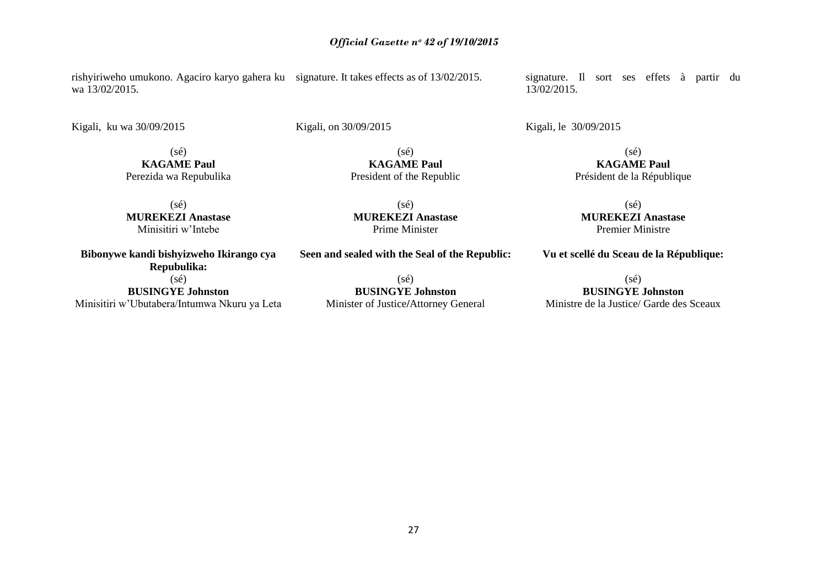rishyiriweho umukono. Agaciro karyo gahera ku signature. It takes effects as of 13/02/2015. wa 13/02/2015.

Kigali, ku wa 30/09/2015

Kigali, on 30/09/2015

(sé) **KAGAME Paul** Perezida wa Repubulika

(sé) **MUREKEZI Anastase** Minisitiri w"Intebe

**Bibonywe kandi bishyizweho Ikirango cya Repubulika:** (sé) **BUSINGYE Johnston**

Minisitiri w"Ubutabera/Intumwa Nkuru ya Leta

**Seen and sealed with the Seal of the Republic:**

(sé) **MUREKEZI Anastase** Prime Minister

 $(sé)$ **KAGAME Paul** President of the Republic

(sé) **BUSINGYE Johnston** Minister of Justice**/**Attorney General signature. Il sort ses effets à partir du 13/02/2015.

Kigali, le 30/09/2015

(sé) **KAGAME Paul** Président de la République

(sé) **MUREKEZI Anastase** Premier Ministre

**Vu et scellé du Sceau de la République:**

(sé)

**BUSINGYE Johnston** Ministre de la Justice/ Garde des Sceaux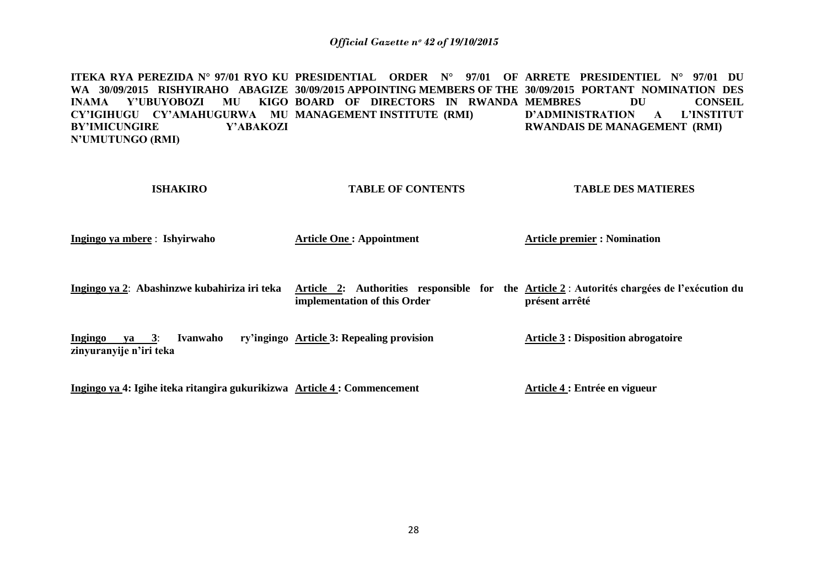**ITEKA RYA PEREZIDA N° 97/01 RYO KU PRESIDENTIAL ORDER N° 97/01 OF ARRETE PRESIDENTIEL N° 97/01 DU WA 30/09/2015 RISHYIRAHO ABAGIZE 30/09/2015 APPOINTING MEMBERS OF THE 30/09/2015 PORTANT NOMINATION DES INAMA Y'UBUYOBOZI MU KIGO BOARD OF DIRECTORS IN RWANDA MEMBRES DU CONSEIL CY'IGIHUGU CY'AMAHUGURWA MU MANAGEMENT INSTITUTE (RMI) BY'IMICUNGIRE Y'ABAKOZI N'UMUTUNGO (RMI) D'ADMINISTRATION A L'INSTITUT RWANDAIS DE MANAGEMENT (RMI)**

| <b>ISHAKIRO</b>                                                          | <b>TABLE OF CONTENTS</b>                                                                                                    | <b>TABLE DES MATIERES</b>                  |
|--------------------------------------------------------------------------|-----------------------------------------------------------------------------------------------------------------------------|--------------------------------------------|
| Ingingo ya mbere : Ishyirwaho                                            | <b>Article One: Appointment</b>                                                                                             | <b>Article premier : Nomination</b>        |
| Ingingo ya 2: Abashinzwe kubahiriza iri teka                             | Article 2: Authorities responsible for the Article 2 : Autorités chargées de l'exécution du<br>implementation of this Order | présent arrêté                             |
| Ingingo ya 3:<br>Ivanwaho<br>zinyuranyije n'iri teka                     | ry'ingingo Article 3: Repealing provision                                                                                   | <b>Article 3 : Disposition abrogatoire</b> |
| Ingingo ya 4: Igihe iteka ritangira gukurikizwa Article 4 : Commencement |                                                                                                                             | Article 4 : Entrée en vigueur              |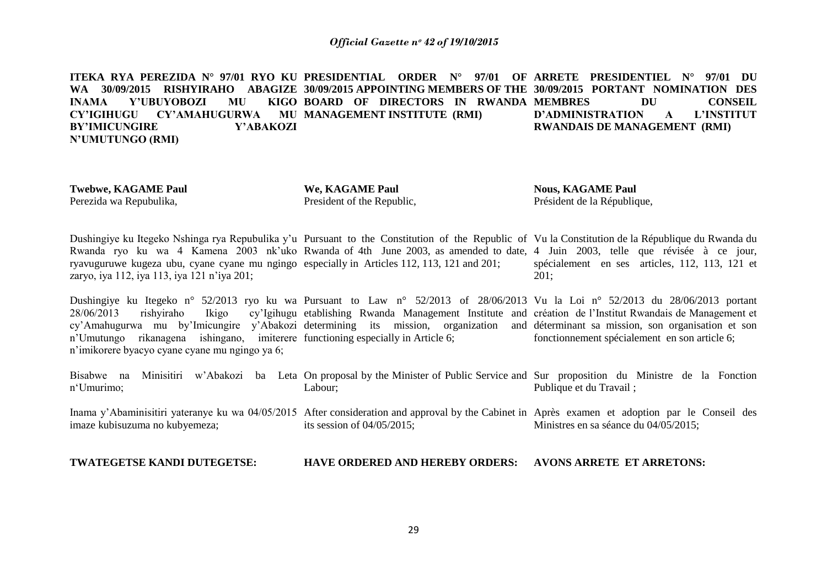**ITEKA RYA PEREZIDA N° 97/01 RYO KU PRESIDENTIAL ORDER N° 97/01 OF ARRETE PRESIDENTIEL N° 97/01 DU WA 30/09/2015 RISHYIRAHO ABAGIZE 30/09/2015 APPOINTING MEMBERS OF THE 30/09/2015 PORTANT NOMINATION DES INAMA Y'UBUYOBOZI MU CY'IGIHUGU CY'AMAHUGURWA BY'IMICUNGIRE Y'ABAKOZI N'UMUTUNGO (RMI)**  BOARD OF DIRECTORS IN RWANDA MEMBRES DU CONSEIL **MU MANAGEMENT INSTITUTE (RMI) D'ADMINISTRATION A L'INSTITUT RWANDAIS DE MANAGEMENT (RMI)**

**Twebwe, KAGAME Paul** Perezida wa Repubulika,

**We, KAGAME Paul** President of the Republic,

**Nous, KAGAME Paul** Président de la République,

Dushingiye ku Itegeko Nshinga rya Repubulika y'u Pursuant to the Constitution of the Republic of Vu la Constitution de la République du Rwanda du Rwanda ryo ku wa 4 Kamena 2003 nk'uko Rwanda of 4th June 2003, as amended to date, 4 Juin 2003, telle que révisée à ce jour, ryavuguruwe kugeza ubu, cyane cyane mu ngingo especially in Articles 112, 113, 121 and 201; zaryo, iya 112, iya 113, iya 121 n"iya 201; spécialement en ses articles, 112, 113, 121 et 201;

Dushingiye ku Itegeko n° 52/2013 ryo ku wa Pursuant to Law n° 52/2013 of 28/06/2013 Vu la Loi n° 52/2013 du 28/06/2013 portant 28/06/2013 rishyiraho Ikigo cy'Igihugu etablishing Rwanda Management Institute and création de l'Institut Rwandais de Management et cy'Amahugurwa mu by'Imicungire y'Abakozi determining its mission, organization and déterminant sa mission, son organisation et son n"Umutungo rikanagena ishingano, imiterere functioning especially in Article 6; n"imikorere byacyo cyane cyane mu ngingo ya 6; fonctionnement spécialement en son article 6;

Bisabwe na Minisitiri w'Abakozi ba Leta On-proposal-by-the-Minister-of-Public-Service-and-Sur-proposition du Ministre de la Fonction n"Umurimo; Labour; Publique et du Travail ;

Inama y'Abaminisitiri yateranye ku wa 04/05/2015 After consideration and approval by the Cabinet in Après examen et adoption par le Conseil des imaze kubisuzuma no kubyemeza; its session of 04/05/2015; Ministres en sa séance du 04/05/2015;

**TWATEGETSE KANDI DUTEGETSE:**

**HAVE ORDERED AND HEREBY ORDERS: AVONS ARRETE ET ARRETONS:**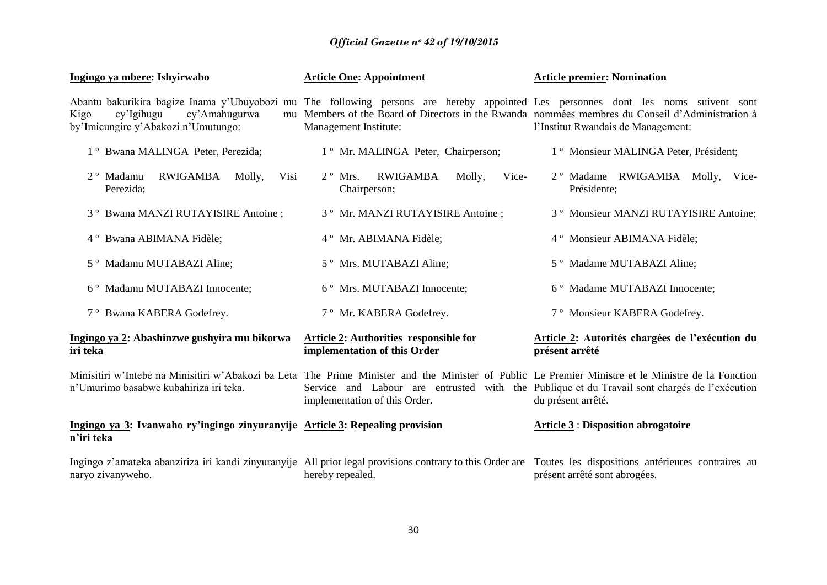| Ingingo ya mbere: Ishyirwaho                                                                                                                                                                                    | <b>Article One: Appointment</b>                                                                                           | <b>Article premier: Nomination</b>                                                                                 |
|-----------------------------------------------------------------------------------------------------------------------------------------------------------------------------------------------------------------|---------------------------------------------------------------------------------------------------------------------------|--------------------------------------------------------------------------------------------------------------------|
| Abantu bakurikira bagize Inama y'Ubuyobozi mu The following persons are hereby appointed Les personnes dont les noms suivent sont<br>cy'Igihugu<br>cy'Amahugurwa<br>Kigo<br>by'Imicungire y'Abakozi n'Umutungo: | mu Members of the Board of Directors in the Rwanda nommées membres du Conseil d'Administration à<br>Management Institute: | l'Institut Rwandais de Management:                                                                                 |
| 1° Bwana MALINGA Peter, Perezida;                                                                                                                                                                               | 1 <sup>°</sup> Mr. MALINGA Peter, Chairperson;                                                                            | 1 <sup>°</sup> Monsieur MALINGA Peter, Président;                                                                  |
| RWIGAMBA Molly,<br>2 <sup>°</sup> Madamu<br>Visi<br>Perezida;                                                                                                                                                   | RWIGAMBA<br>$2^{\circ}$ Mrs.<br>Molly,<br>Vice-<br>Chairperson;                                                           | 2° Madame RWIGAMBA Molly, Vice-<br>Présidente;                                                                     |
| 3° Bwana MANZI RUTAYISIRE Antoine;                                                                                                                                                                              | 3° Mr. MANZI RUTAYISIRE Antoine;                                                                                          | 3 <sup>°</sup> Monsieur MANZI RUTAYISIRE Antoine;                                                                  |
| 4° Bwana ABIMANA Fidèle;                                                                                                                                                                                        | 4° Mr. ABIMANA Fidèle;                                                                                                    | 4° Monsieur ABIMANA Fidèle;                                                                                        |
| 5° Madamu MUTABAZI Aline;                                                                                                                                                                                       | 5° Mrs. MUTABAZI Aline;                                                                                                   | 5° Madame MUTABAZI Aline;                                                                                          |
| 6° Madamu MUTABAZI Innocente;                                                                                                                                                                                   | 6° Mrs. MUTABAZI Innocente;                                                                                               | 6° Madame MUTABAZI Innocente;                                                                                      |
| 7° Bwana KABERA Godefrey.                                                                                                                                                                                       | 7° Mr. KABERA Godefrey.                                                                                                   | 7° Monsieur KABERA Godefrey.                                                                                       |
| Ingingo ya 2: Abashinzwe gushyira mu bikorwa<br>iri teka                                                                                                                                                        | <b>Article 2: Authorities responsible for</b><br>implementation of this Order                                             | Article 2: Autorités chargées de l'exécution du<br>présent arrêté                                                  |
| Minisitiri w'Intebe na Minisitiri w'Abakozi ba Leta The Prime Minister and the Minister of Public Le Premier Ministre et le Ministre de la Fonction<br>n'Umurimo basabwe kubahiriza iri teka.                   | implementation of this Order.                                                                                             | Service and Labour are entrusted with the Publique et du Travail sont chargés de l'exécution<br>du présent arrêté. |
| Ingingo ya 3: Ivanwaho ry'ingingo zinyuranyije Article 3: Repealing provision<br>n'iri teka                                                                                                                     |                                                                                                                           | <b>Article 3 : Disposition abrogatoire</b>                                                                         |
| Ingingo z'amateka abanziriza iri kandi zinyuranyije All prior legal provisions contrary to this Order are Toutes les dispositions antérieures contraires au<br>naryo zivanyweho.                                | hereby repealed.                                                                                                          | présent arrêté sont abrogées.                                                                                      |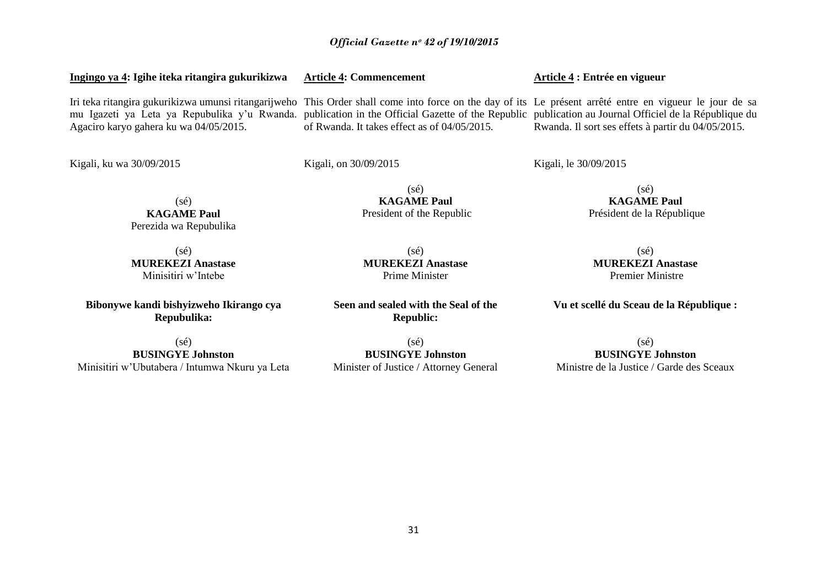## **Ingingo ya 4: Igihe iteka ritangira gukurikizwa**

Iri teka ritangira gukurikizwa umunsi ritangarijweho This Order shall come into force on the day of its Le présent arrêté entre en vigueur le jour de sa mu Igazeti ya Leta ya Repubulika y"u Rwanda. publication in the Official Gazette of the Republic publication au Journal Officiel de la République du Agaciro karyo gahera ku wa 04/05/2015. of Rwanda. It takes effect as of 04/05/2015.

Kigali, ku wa 30/09/2015

Kigali, on 30/09/2015

Kigali, le 30/09/2015

**Article 4 : Entrée en vigueur**

(sé) **KAGAME Paul** President of the Republic

(sé) **KAGAME Paul**

(sé) **MUREKEZI Anastase** Minisitiri w"Intebe

(sé) **KAGAME Paul** Perezida wa Repubulika

**Bibonywe kandi bishyizweho Ikirango cya Repubulika:**

(sé) **BUSINGYE Johnston** Minisitiri w"Ubutabera / Intumwa Nkuru ya Leta **MUREKEZI Anastase** Prime Minister

(sé)

**Seen and sealed with the Seal of the Republic:**

(sé) **BUSINGYE Johnston** Minister of Justice / Attorney General (sé)

**Vu et scellé du Sceau de la République :**

**BUSINGYE Johnston** Ministre de la Justice / Garde des Sceaux

Président de la République

(sé) **MUREKEZI Anastase** Premier Ministre

Rwanda. Il sort ses effets à partir du 04/05/2015.

**Article 4: Commencement**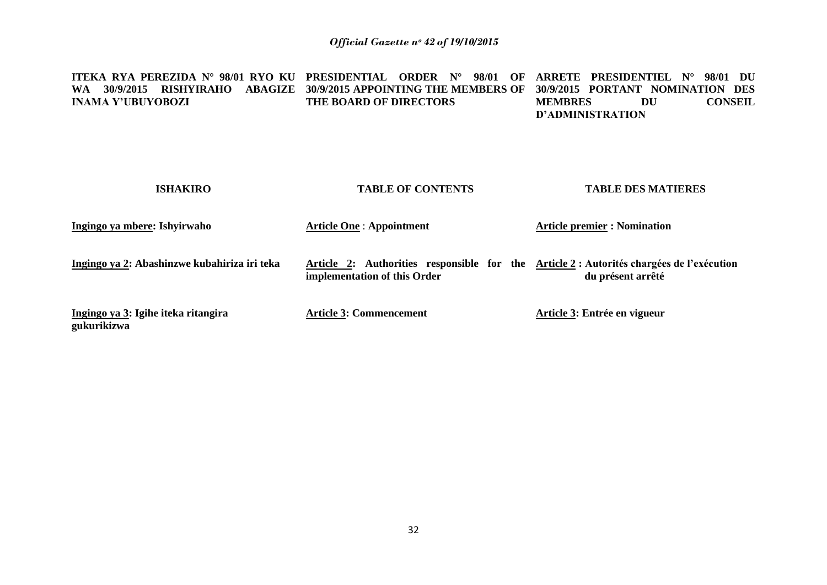#### **ITEKA RYA PEREZIDA N° 98/01 RYO KU PRESIDENTIAL ORDER N° 98/01 OF ARRETE PRESIDENTIEL N° 98/01 DU WA 30/9/2015 RISHYIRAHO ABAGIZE 30/9/2015 APPOINTING THE MEMBERS OF 30/9/2015 PORTANT NOMINATION DES INAMA Y'UBUYOBOZI THE BOARD OF DIRECTORS MEMBRES DU CONSEIL D'ADMINISTRATION**

| <b>ISHAKIRO</b>                                    | <b>TABLE OF CONTENTS</b>                                                                                                 | <b>TABLE DES MATIERES</b>           |
|----------------------------------------------------|--------------------------------------------------------------------------------------------------------------------------|-------------------------------------|
| Ingingo ya mbere: Ishyirwaho                       | <b>Article One: Appointment</b>                                                                                          | <b>Article premier : Nomination</b> |
| Ingingo ya 2: Abashinzwe kubahiriza iri teka       | Article 2: Authorities responsible for the Article 2 : Autorités chargées de l'exécution<br>implementation of this Order | du présent arrêté                   |
| Ingingo ya 3: Igihe iteka ritangira<br>gukurikizwa | <b>Article 3: Commencement</b>                                                                                           | Article 3: Entrée en vigueur        |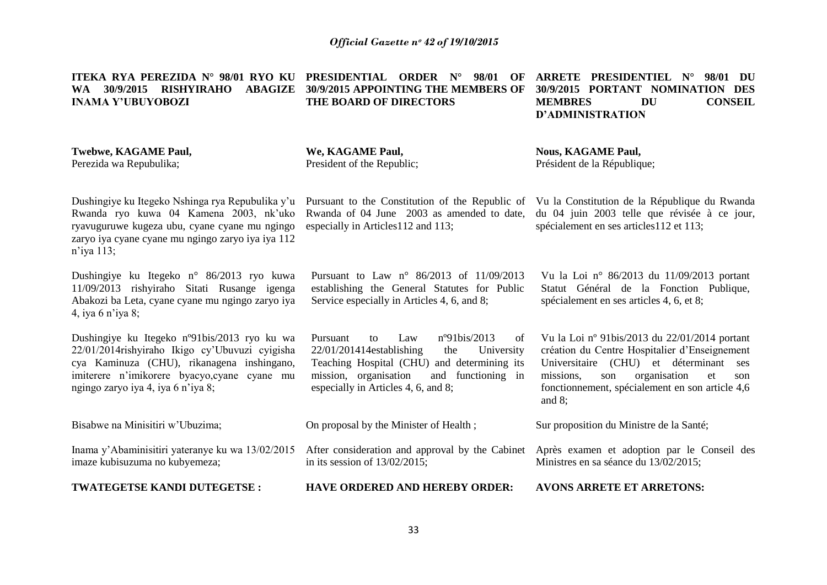**ITEKA RYA PEREZIDA N° 98/01 RYO KU PRESIDENTIAL ORDER N° 98/01 OF WA 30/9/2015 RISHYIRAHO ABAGIZE 30/9/2015 APPOINTING THE MEMBERS OF INAMA Y'UBUYOBOZI Twebwe, KAGAME Paul, THE BOARD OF DIRECTORS ARRETE PRESIDENTIEL N° 98/01 DU 30/9/2015 PORTANT NOMINATION DES MEMBRES DU CONSEIL D'ADMINISTRATION**

Perezida wa Repubulika;

**We, KAGAME Paul,** President of the Republic;

especially in Articles112 and 113;

**Nous, KAGAME Paul,** Président de la République;

Dushingiye ku Itegeko Nshinga rya Repubulika y"u Rwanda ryo kuwa 04 Kamena 2003, nk"uko ryavuguruwe kugeza ubu, cyane cyane mu ngingo zaryo iya cyane cyane mu ngingo zaryo iya iya 112 n"iya 113;

Dushingiye ku Itegeko n° 86/2013 ryo kuwa 11/09/2013 rishyiraho Sitati Rusange igenga Abakozi ba Leta, cyane cyane mu ngingo zaryo iya 4, iya 6 n"iya 8;

Dushingiye ku Itegeko nº91bis/2013 ryo ku wa 22/01/2014rishyiraho Ikigo cy"Ubuvuzi cyigisha cya Kaminuza (CHU), rikanagena inshingano, imiterere n"imikorere byacyo,cyane cyane mu ngingo zaryo iya 4, iya 6 n"iya 8;

Bisabwe na Minisitiri w"Ubuzima;

imaze kubisuzuma no kubyemeza;

**TWATEGETSE KANDI DUTEGETSE :**

Pursuant to Law n° 86/2013 of 11/09/2013

establishing the General Statutes for Public Service especially in Articles 4, 6, and 8;

Pursuant to Law nº91bis/2013 of 22/01/201414establishing the University Teaching Hospital (CHU) and determining its mission, organisation and functioning in especially in Articles 4, 6, and 8;

On proposal by the Minister of Health ;

Inama y"Abaminisitiri yateranye ku wa 13/02/2015 After consideration and approval by the Cabinet in its session of 13/02/2015;

33

**HAVE ORDERED AND HEREBY ORDER:**

**AVONS ARRETE ET ARRETONS:**

Ministres en sa séance du 13/02/2015;

Vu la Constitution de la République du Rwanda du 04 juin 2003 telle que révisée à ce jour, spécialement en ses articles112 et 113;

Vu la Loi n° 86/2013 du 11/09/2013 portant Statut Général de la Fonction Publique, spécialement en ses articles 4, 6, et 8;

Vu la Loi nº 91bis/2013 du 22/01/2014 portant création du Centre Hospitalier d"Enseignement Universitaire (CHU) et déterminant ses missions, son organisation et son fonctionnement, spécialement en son article 4,6 and 8;

Après examen et adoption par le Conseil des

Sur proposition du Ministre de la Santé;

Pursuant to the Constitution of the Republic of Rwanda of 04 June 2003 as amended to date,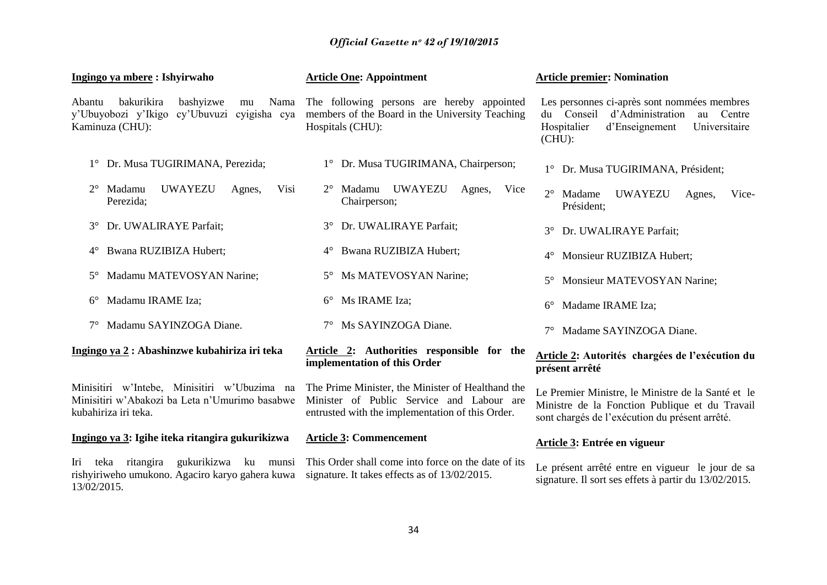| Ingingo ya mbere: Ishyirwaho                                                                                           | <b>Article One: Appointment</b>                                                                                                                    | <b>Article premier: Nomination</b>                                                                                                                        |
|------------------------------------------------------------------------------------------------------------------------|----------------------------------------------------------------------------------------------------------------------------------------------------|-----------------------------------------------------------------------------------------------------------------------------------------------------------|
| bakurikira<br>bashyizwe<br>Abantu<br>Nama<br>mu<br>cy'Ubuvuzi cyigisha cya<br>y'Ubuyobozi y'Ikigo<br>Kaminuza (CHU):   | The following persons are hereby appointed<br>members of the Board in the University Teaching<br>Hospitals (CHU):                                  | Les personnes ci-après sont nommées membres<br>du Conseil<br>d'Administration<br>au Centre<br>Hospitalier<br>d'Enseignement<br>Universitaire<br>$(CHU)$ : |
| Dr. Musa TUGIRIMANA, Perezida;                                                                                         | 1° Dr. Musa TUGIRIMANA, Chairperson;                                                                                                               | 1° Dr. Musa TUGIRIMANA, Président;                                                                                                                        |
| <b>UWAYEZU</b><br>$2^{\circ}$<br>Madamu<br>Visi<br>Agnes,<br>Perezida;                                                 | <b>UWAYEZU</b><br>Madamu<br>Vice<br>Agnes,<br>Chairperson;                                                                                         | $2^{\circ}$<br>Madame<br><b>UWAYEZU</b><br>Vice-<br>Agnes,<br>Président;                                                                                  |
| Dr. UWALIRAYE Parfait;<br>$3^\circ$                                                                                    | Dr. UWALIRAYE Parfait;<br>$3^{\circ}$                                                                                                              | Dr. UWALIRAYE Parfait;<br>$3^\circ$                                                                                                                       |
| Bwana RUZIBIZA Hubert;<br>$4^\circ$                                                                                    | Bwana RUZIBIZA Hubert;<br>$4^{\circ}$                                                                                                              | Monsieur RUZIBIZA Hubert;<br>$4^{\circ}$                                                                                                                  |
| Madamu MATEVOSYAN Narine;<br>$5^\circ$                                                                                 | Ms MATEVOSYAN Narine;<br>$5^{\circ}$                                                                                                               | Monsieur MATEVOSYAN Narine;<br>$5^\circ$                                                                                                                  |
| Madamu IRAME Iza;<br>$6^{\circ}$                                                                                       | Ms IRAME Iza;<br>$6^{\circ}$                                                                                                                       | Madame IRAME Iza;<br>$6^{\circ}$                                                                                                                          |
| Madamu SAYINZOGA Diane.                                                                                                | 7° Ms SAYINZOGA Diane.                                                                                                                             | Madame SAYINZOGA Diane.                                                                                                                                   |
| Ingingo ya 2 : Abashinzwe kubahiriza iri teka                                                                          | Article 2: Authorities responsible for the<br>implementation of this Order                                                                         | Article 2: Autorités chargées de l'exécution du<br>présent arrêté                                                                                         |
| Minisitiri w'Intebe, Minisitiri w'Ubuzima na<br>Minisitiri w'Abakozi ba Leta n'Umurimo basabwe<br>kubahiriza iri teka. | The Prime Minister, the Minister of Healthand the<br>Minister of Public Service and Labour are<br>entrusted with the implementation of this Order. | Le Premier Ministre, le Ministre de la Santé et le<br>Ministre de la Fonction Publique et du Travail<br>sont chargés de l'exécution du présent arrêté.    |
| Ingingo ya 3: Igihe iteka ritangira gukurikizwa                                                                        | <b>Article 3: Commencement</b>                                                                                                                     | Article 3: Entrée en vigueur                                                                                                                              |
| teka ritangira gukurikizwa ku munsi<br>Iri<br>rishyiriweho umukono. Agaciro karyo gahera kuwa<br>13/02/2015.           | This Order shall come into force on the date of its<br>signature. It takes effects as of 13/02/2015.                                               | Le présent arrêté entre en vigueur le jour de sa<br>signature. Il sort ses effets à partir du 13/02/2015.                                                 |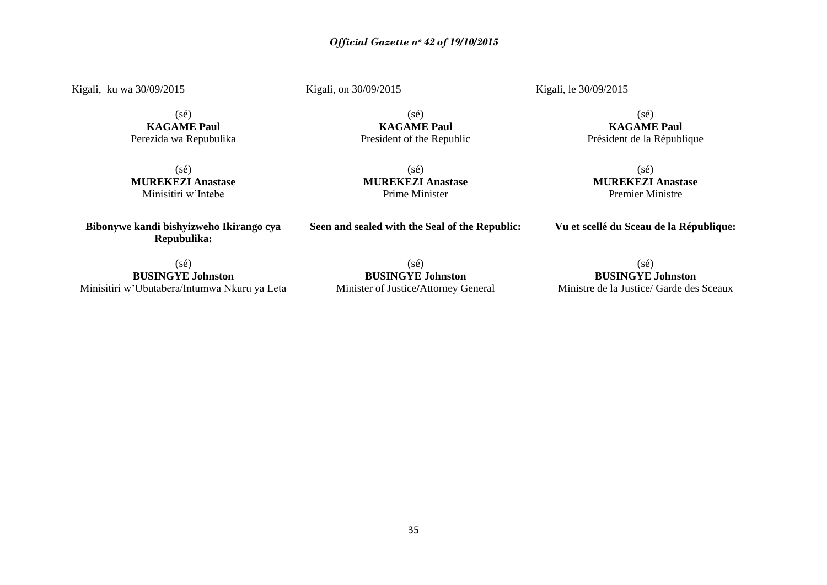Kigali, ku wa 30/09/2015

Kigali, on 30/09/2015

Kigali, le 30/09/2015

 $(sé)$ **KAGAME Paul** Perezida wa Repubulika

(sé) **MUREKEZI Anastase** Minisitiri w"Intebe

**Bibonywe kandi bishyizweho Ikirango cya Repubulika:**

(sé) **MUREKEZI Anastase** Prime Minister

**Seen and sealed with the Seal of the Republic:**

(sé) **KAGAME Paul** President of the Republic

> (sé) **MUREKEZI Anastase** Premier Ministre

(sé) **KAGAME Paul** Président de la République

**Vu et scellé du Sceau de la République:**

(sé) **BUSINGYE Johnston** Minisitiri w"Ubutabera/Intumwa Nkuru ya Leta

(sé) **BUSINGYE Johnston** Minister of Justice**/**Attorney General

(sé) **BUSINGYE Johnston** Ministre de la Justice/ Garde des Sceaux

35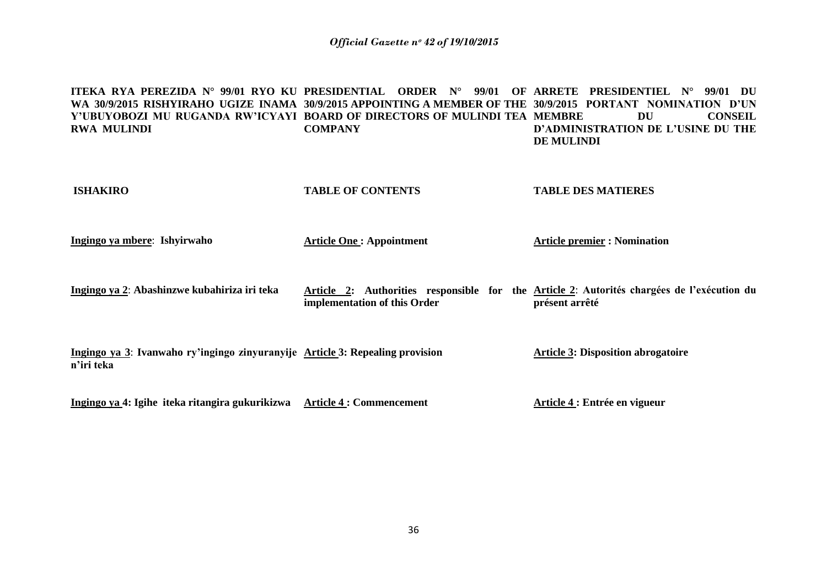**ITEKA RYA PEREZIDA N° 99/01 RYO KU PRESIDENTIAL ORDER N° 99/01 OF ARRETE PRESIDENTIEL N° 99/01 DU WA 30/9/2015 RISHYIRAHO UGIZE INAMA 30/9/2015 APPOINTING A MEMBER OF THE 30/9/2015 PORTANT NOMINATION D'UN Y'UBUYOBOZI MU RUGANDA RW'ICYAYI BOARD OF DIRECTORS OF MULINDI TEA RWA MULINDI COMPANY DU CONSEIL D'ADMINISTRATION DE L'USINE DU THE DE MULINDI**

| <b>ISHAKIRO</b>                                                                             | <b>TABLE OF CONTENTS</b>        | <b>TABLE DES MATIERES</b>                                                                                    |
|---------------------------------------------------------------------------------------------|---------------------------------|--------------------------------------------------------------------------------------------------------------|
| Ingingo ya mbere: Ishyirwaho                                                                | <b>Article One: Appointment</b> | <b>Article premier : Nomination</b>                                                                          |
| Ingingo ya 2: Abashinzwe kubahiriza iri teka                                                | implementation of this Order    | Article 2: Authorities responsible for the Article 2: Autorités chargées de l'exécution du<br>présent arrêté |
| Ingingo ya 3: Ivanwaho ry'ingingo zinyuranyije Article 3: Repealing provision<br>n'iri teka |                                 | <b>Article 3: Disposition abrogatoire</b>                                                                    |
| Ingingo ya 4: Igihe iteka ritangira gukurikizwa                                             | <b>Article 4 : Commencement</b> | Article 4 : Entrée en vigueur                                                                                |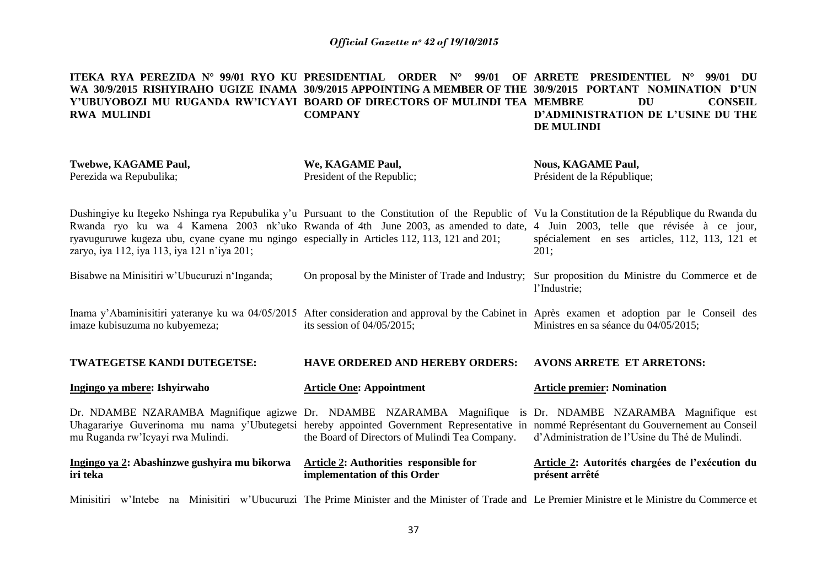#### **ITEKA RYA PEREZIDA N° 99/01 RYO KU PRESIDENTIAL ORDER N° 99/01 OF ARRETE PRESIDENTIEL N° 99/01 DU WA 30/9/2015 RISHYIRAHO UGIZE INAMA 30/9/2015 APPOINTING A MEMBER OF THE 30/9/2015 PORTANT NOMINATION D'UN Y'UBUYOBOZI MU RUGANDA RW'ICYAYI BOARD OF DIRECTORS OF MULINDI TEA RWA MULINDI COMPANY DU CONSEIL D'ADMINISTRATION DE L'USINE DU THE DE MULINDI**

| Twebwe, KAGAME Paul,<br>Perezida wa Repubulika;                                                                                                                                                                                                                                                                                                                                                                                 | We, KAGAME Paul,<br>President of the Republic;                                | <b>Nous, KAGAME Paul,</b><br>Président de la République;                                                         |
|---------------------------------------------------------------------------------------------------------------------------------------------------------------------------------------------------------------------------------------------------------------------------------------------------------------------------------------------------------------------------------------------------------------------------------|-------------------------------------------------------------------------------|------------------------------------------------------------------------------------------------------------------|
| Dushingiye ku Itegeko Nshinga rya Repubulika y'u Pursuant to the Constitution of the Republic of Vu la Constitution de la République du Rwanda du<br>Rwanda ryo ku wa 4 Kamena 2003 nk'uko Rwanda of 4th June 2003, as amended to date, 4 Juin 2003, telle que révisée à ce jour,<br>ryavuguruwe kugeza ubu, cyane cyane mu ngingo especially in Articles 112, 113, 121 and 201;<br>zaryo, iya 112, iya 113, iya 121 n'iya 201; |                                                                               | spécialement en ses articles, 112, 113, 121 et<br>201;                                                           |
| Bisabwe na Minisitiri w'Ubucuruzi n'Inganda;                                                                                                                                                                                                                                                                                                                                                                                    |                                                                               | On proposal by the Minister of Trade and Industry; Sur proposition du Ministre du Commerce et de<br>l'Industrie; |
| Inama y'Abaminisitiri yateranye ku wa 04/05/2015 After consideration and approval by the Cabinet in Après examen et adoption par le Conseil des<br>imaze kubisuzuma no kubyemeza;                                                                                                                                                                                                                                               | its session of $04/05/2015$ ;                                                 | Ministres en sa séance du 04/05/2015;                                                                            |
| TWATEGETSE KANDI DUTEGETSE:                                                                                                                                                                                                                                                                                                                                                                                                     | <b>HAVE ORDERED AND HEREBY ORDERS:</b>                                        | <b>AVONS ARRETE ET ARRETONS:</b>                                                                                 |
| Ingingo ya mbere: Ishyirwaho                                                                                                                                                                                                                                                                                                                                                                                                    | <b>Article One: Appointment</b>                                               | <b>Article premier: Nomination</b>                                                                               |
| Dr. NDAMBE NZARAMBA Magnifique agizwe Dr. NDAMBE NZARAMBA Magnifique is Dr. NDAMBE NZARAMBA Magnifique est<br>Uhagarariye Guverinoma mu nama y'Ubutegetsi hereby appointed Government Representative in nommé Représentant du Gouvernement au Conseil<br>mu Ruganda rw'Icyayi rwa Mulindi.                                                                                                                                      | the Board of Directors of Mulindi Tea Company.                                | d'Administration de l'Usine du Thé de Mulindi.                                                                   |
| Ingingo ya 2: Abashinzwe gushyira mu bikorwa<br>iri teka                                                                                                                                                                                                                                                                                                                                                                        | <b>Article 2: Authorities responsible for</b><br>implementation of this Order | Article 2: Autorités chargées de l'exécution du<br>présent arrêté                                                |

Minisitiri w'Intebe na Minisitiri w'Ubucuruzi The Prime Minister and the Minister of Trade and Le Premier Ministre et le Ministre du Commerce et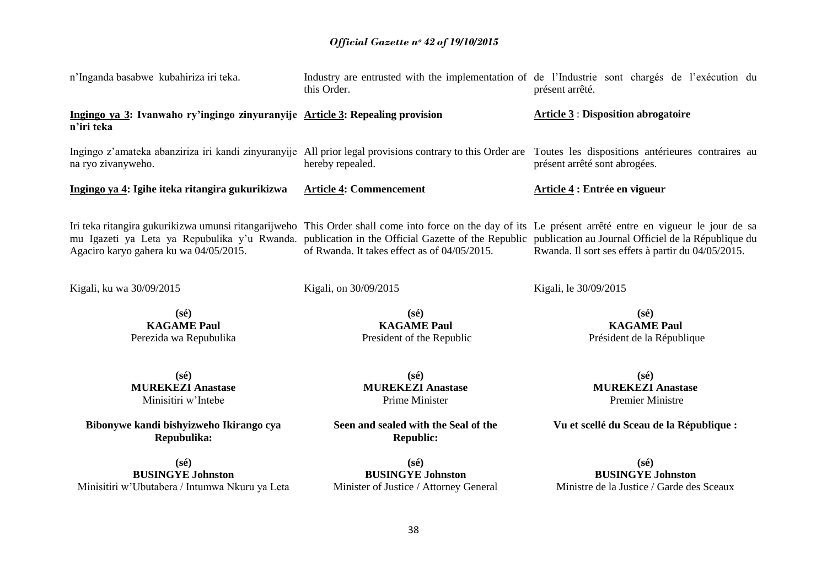| n'Inganda basabwe kubahiriza iri teka.                                                                                                                                                                                                                                                                                                                     | this Order.                                                                          | Industry are entrusted with the implementation of de l'Industrie sont chargés de l'exécution du<br>présent arrêté. |
|------------------------------------------------------------------------------------------------------------------------------------------------------------------------------------------------------------------------------------------------------------------------------------------------------------------------------------------------------------|--------------------------------------------------------------------------------------|--------------------------------------------------------------------------------------------------------------------|
| Ingingo ya 3: Ivanwaho ry'ingingo zinyuranyije Article 3: Repealing provision<br>n'iri teka                                                                                                                                                                                                                                                                |                                                                                      | <b>Article 3: Disposition abrogatoire</b>                                                                          |
| Ingingo z'amateka abanziriza iri kandi zinyuranyije All prior legal provisions contrary to this Order are Toutes les dispositions antérieures contraires au<br>na ryo zivanyweho.                                                                                                                                                                          | hereby repealed.                                                                     | présent arrêté sont abrogées.                                                                                      |
| Ingingo ya 4: Igihe iteka ritangira gukurikizwa                                                                                                                                                                                                                                                                                                            | <b>Article 4: Commencement</b>                                                       | Article 4 : Entrée en vigueur                                                                                      |
| Iri teka ritangira gukurikizwa umunsi ritangarijweho This Order shall come into force on the day of its Le présent arrêté entre en vigueur le jour de sa<br>mu Igazeti ya Leta ya Repubulika y'u Rwanda. publication in the Official Gazette of the Republic publication au Journal Officiel de la République du<br>Agaciro karyo gahera ku wa 04/05/2015. | of Rwanda. It takes effect as of 04/05/2015.                                         | Rwanda. Il sort ses effets à partir du 04/05/2015.                                                                 |
| Kigali, ku wa 30/09/2015                                                                                                                                                                                                                                                                                                                                   | Kigali, on 30/09/2015                                                                | Kigali, le 30/09/2015                                                                                              |
| $(s\acute{e})$<br><b>KAGAME Paul</b><br>Perezida wa Repubulika                                                                                                                                                                                                                                                                                             | $(s\acute{e})$<br><b>KAGAME Paul</b><br>President of the Republic                    | $(s\acute{e})$<br><b>KAGAME Paul</b><br>Président de la République                                                 |
| $(s\acute{e})$<br><b>MUREKEZI Anastase</b><br>Minisitiri w'Intebe                                                                                                                                                                                                                                                                                          | $(s\acute{e})$<br><b>MUREKEZI Anastase</b><br>Prime Minister                         | $(s\acute{e})$<br><b>MUREKEZI Anastase</b><br><b>Premier Ministre</b>                                              |
| Bibonywe kandi bishyizweho Ikirango cya<br>Repubulika:                                                                                                                                                                                                                                                                                                     | Seen and sealed with the Seal of the<br><b>Republic:</b>                             | Vu et scellé du Sceau de la République :                                                                           |
| $(s\acute{e})$<br><b>BUSINGYE Johnston</b><br>Minisitiri w'Ubutabera / Intumwa Nkuru ya Leta                                                                                                                                                                                                                                                               | $(s\acute{e})$<br><b>BUSINGYE Johnston</b><br>Minister of Justice / Attorney General | $(s\acute{e})$<br><b>BUSINGYE Johnston</b><br>Ministre de la Justice / Garde des Sceaux                            |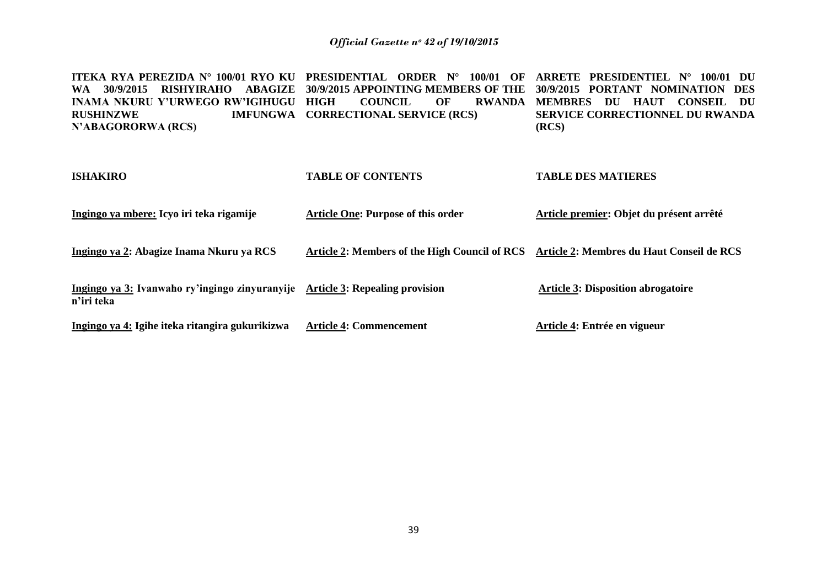**ITEKA RYA PEREZIDA N° 100/01 RYO KU PRESIDENTIAL ORDER N° 100/01 OF ARRETE PRESIDENTIEL N° 100/01 DU WA 30/9/2015 RISHYIRAHO ABAGIZE 30/9/2015 APPOINTING MEMBERS OF THE 30/9/2015 PORTANT NOMINATION DES INAMA NKURU Y'URWEGO RW'IGIHUGU RUSHINZWE IMFUNGWA CORRECTIONAL SERVICE (RCS) N'ABAGORORWA (RCS) COUNCIL OF MEMBRES DU HAUT CONSEIL DU SERVICE CORRECTIONNEL DU RWANDA (RCS)** 

| <b>ISHAKIRO</b>                                                                             | <b>TABLE OF CONTENTS</b>                                                                | <b>TABLE DES MATIERES</b>                 |
|---------------------------------------------------------------------------------------------|-----------------------------------------------------------------------------------------|-------------------------------------------|
| Ingingo ya mbere: Icyo iri teka rigamije                                                    | <b>Article One: Purpose of this order</b>                                               | Article premier: Objet du présent arrêté  |
| Ingingo ya 2: Abagize Inama Nkuru ya RCS                                                    | Article 2: Members of the High Council of RCS Article 2: Membres du Haut Conseil de RCS |                                           |
| Ingingo ya 3: Ivanwaho ry'ingingo zinyuranyije Article 3: Repealing provision<br>n'iri teka |                                                                                         | <b>Article 3: Disposition abrogatoire</b> |
| Ingingo ya 4: Igihe iteka ritangira gukurikizwa                                             | <b>Article 4: Commencement</b>                                                          | Article 4: Entrée en vigueur              |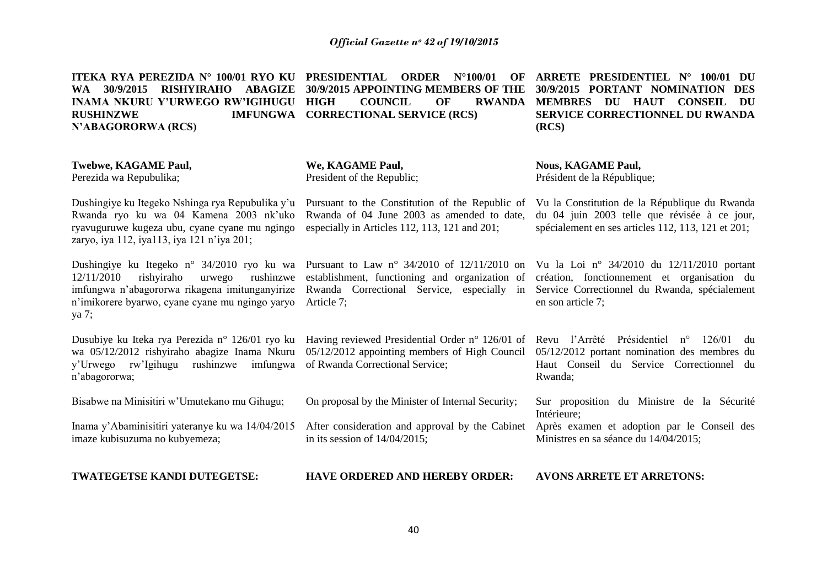| ITEKA RYA PEREZIDA Nº 100/01 RYO KU<br>30/9/2015<br><b>ABAGIZE</b><br><b>RISHYIRAHO</b><br><b>WA</b><br><b>INAMA NKURU Y'URWEGO RW'IGIHUGU</b><br><b>RUSHINZWE</b><br><b>IMFUNGWA</b><br>N'ABAGORORWA (RCS) | <b>PRESIDENTIAL</b><br><b>ORDER</b><br>$N^{\circ}100/01$<br>OF<br>30/9/2015 APPOINTING MEMBERS OF THE<br><b>HIGH</b><br><b>COUNCIL</b><br>OF<br><b>RWANDA</b><br><b>CORRECTIONAL SERVICE (RCS)</b> | ARRETE PRESIDENTIEL N° 100/01 DU<br>30/9/2015 PORTANT NOMINATION<br><b>DES</b><br><b>MEMBRES</b><br>DU HAUT<br><b>CONSEIL</b><br><b>DU</b><br>SERVICE CORRECTIONNEL DU RWANDA<br>(RCS) |
|-------------------------------------------------------------------------------------------------------------------------------------------------------------------------------------------------------------|----------------------------------------------------------------------------------------------------------------------------------------------------------------------------------------------------|----------------------------------------------------------------------------------------------------------------------------------------------------------------------------------------|
| Twebwe, KAGAME Paul,<br>Perezida wa Repubulika;                                                                                                                                                             | We, KAGAME Paul,<br>President of the Republic;                                                                                                                                                     | <b>Nous, KAGAME Paul,</b><br>Président de la République;                                                                                                                               |
| Dushingiye ku Itegeko Nshinga rya Repubulika y'u<br>Rwanda ryo ku wa 04 Kamena 2003 nk'uko<br>ryavuguruwe kugeza ubu, cyane cyane mu ngingo<br>zaryo, iya 112, iya113, iya 121 n'iya 201;                   | Pursuant to the Constitution of the Republic of<br>Rwanda of 04 June 2003 as amended to date,<br>especially in Articles 112, 113, 121 and 201;                                                     | Vu la Constitution de la République du Rwanda<br>du 04 juin 2003 telle que révisée à ce jour,<br>spécialement en ses articles 112, 113, 121 et 201;                                    |
| Dushingiye ku Itegeko n° 34/2010 ryo ku wa<br>rishyiraho<br>12/11/2010<br>rushinzwe<br>urwego<br>imfungwa n'abagororwa rikagena imitunganyirize<br>n'imikorere byarwo, cyane cyane mu ngingo yaryo<br>ya 7; | Pursuant to Law $n^{\circ}$ 34/2010 of 12/11/2010 on<br>establishment, functioning and organization of<br>Rwanda Correctional Service,<br>especially<br>in<br>Article 7;                           | Vu la Loi nº 34/2010 du $12/11/2010$ portant<br>création, fonctionnement et organisation du<br>Service Correctionnel du Rwanda, spécialement<br>en son article 7;                      |
| Dusubiye ku Iteka rya Perezida n° 126/01 ryo ku<br>wa 05/12/2012 rishyiraho abagize Inama Nkuru<br>y'Urwego rw'Igihugu rushinzwe<br>imfungwa<br>n'abagororwa;                                               | Having reviewed Presidential Order n° 126/01 of<br>05/12/2012 appointing members of High Council<br>of Rwanda Correctional Service;                                                                | Revu l'Arrêté Présidentiel n°<br>126/01<br>du<br>05/12/2012 portant nomination des membres du<br>Haut Conseil du Service Correctionnel du<br>Rwanda;                                   |
| Bisabwe na Minisitiri w'Umutekano mu Gihugu;                                                                                                                                                                | On proposal by the Minister of Internal Security;                                                                                                                                                  | Sur proposition du Ministre de la Sécurité<br>Intérieure;                                                                                                                              |
| Inama y'Abaminisitiri yateranye ku wa 14/04/2015<br>imaze kubisuzuma no kubyemeza;                                                                                                                          | After consideration and approval by the Cabinet<br>in its session of $14/04/2015$ ;                                                                                                                | Après examen et adoption par le Conseil des<br>Ministres en sa séance du 14/04/2015;                                                                                                   |
| TWATEGETSE KANDI DUTEGETSE:                                                                                                                                                                                 | <b>HAVE ORDERED AND HEREBY ORDER:</b>                                                                                                                                                              | <b>AVONS ARRETE ET ARRETONS:</b>                                                                                                                                                       |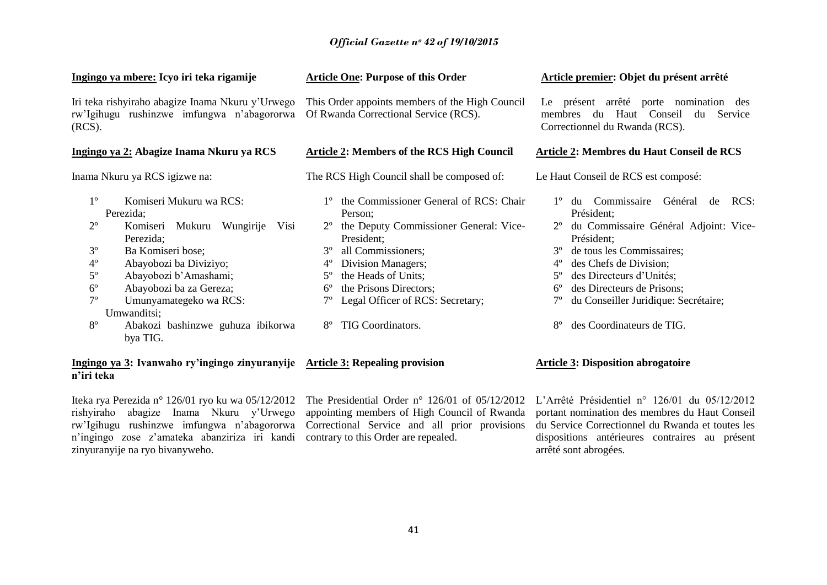| <u>Ingingo ya mbere: Icyo iri teka rigamije</u>                                                                                                                                                                                                                                                                                                                                         | <b>Article One: Purpose of this Order</b>                                                                                                                                                                                                                                                                                                          | Article premier: Objet du présent arrêté                                                                                                                                                                                                                                                                                                                                                     |  |
|-----------------------------------------------------------------------------------------------------------------------------------------------------------------------------------------------------------------------------------------------------------------------------------------------------------------------------------------------------------------------------------------|----------------------------------------------------------------------------------------------------------------------------------------------------------------------------------------------------------------------------------------------------------------------------------------------------------------------------------------------------|----------------------------------------------------------------------------------------------------------------------------------------------------------------------------------------------------------------------------------------------------------------------------------------------------------------------------------------------------------------------------------------------|--|
| Iri teka rishyiraho abagize Inama Nkuru y'Urwego<br>rw'Igihugu rushinzwe imfungwa n'abagororwa<br>(RCS).                                                                                                                                                                                                                                                                                | This Order appoints members of the High Council<br>Of Rwanda Correctional Service (RCS).                                                                                                                                                                                                                                                           | présent arrêté porte nomination des<br>Le<br>du Haut Conseil<br>Service<br>membres<br>du<br>Correctionnel du Rwanda (RCS).                                                                                                                                                                                                                                                                   |  |
| Ingingo ya 2: Abagize Inama Nkuru ya RCS                                                                                                                                                                                                                                                                                                                                                | <b>Article 2: Members of the RCS High Council</b>                                                                                                                                                                                                                                                                                                  | Article 2: Membres du Haut Conseil de RCS                                                                                                                                                                                                                                                                                                                                                    |  |
| Inama Nkuru ya RCS igizwe na:                                                                                                                                                                                                                                                                                                                                                           | The RCS High Council shall be composed of:                                                                                                                                                                                                                                                                                                         | Le Haut Conseil de RCS est composé:                                                                                                                                                                                                                                                                                                                                                          |  |
| $1^{\circ}$<br>Komiseri Mukuru wa RCS:<br>Perezida;<br>$2^{\circ}$<br>Komiseri Mukuru Wungirije<br>Perezida;<br>$3^{\circ}$<br>Ba Komiseri bose;<br>$4^{\circ}$<br>Abayobozi ba Diviziyo;<br>$5^{\circ}$<br>Abayobozi b'Amashami;<br>$6^{\circ}$<br>Abayobozi ba za Gereza;<br>$7^{\circ}$<br>Umunyamategeko wa RCS:<br>Umwanditsi;<br>$8^{\circ}$<br>Abakozi bashinzwe guhuza ibikorwa | the Commissioner General of RCS: Chair<br>Person;<br>the Deputy Commissioner General: Vice-<br>Visi<br>President;<br>$3^{\circ}$<br>all Commissioners;<br>Division Managers;<br>$4^{\circ}$<br>the Heads of Units;<br>$5^{\circ}$<br>the Prisons Directors;<br>$6^{\circ}$<br>Legal Officer of RCS: Secretary;<br>TIG Coordinators.<br>$8^{\circ}$ | du Commissaire<br>Général<br>RCS:<br>de<br>Président;<br>du Commissaire Général Adjoint: Vice-<br>$2^{\circ}$<br>Président;<br>$3^{\circ}$<br>de tous les Commissaires;<br>des Chefs de Division;<br>$4^{\circ}$<br>des Directeurs d'Unités;<br>$5^{\circ}$<br>des Directeurs de Prisons;<br>$6^{\circ}$<br>du Conseiller Juridique: Secrétaire;<br>des Coordinateurs de TIG.<br>$8^{\circ}$ |  |
| bya TIG.<br>Ingingo ya 3: Ivanwaho ry'ingingo zinyuranyije Article 3: Repealing provision                                                                                                                                                                                                                                                                                               |                                                                                                                                                                                                                                                                                                                                                    | <b>Article 3: Disposition abrogatoire</b>                                                                                                                                                                                                                                                                                                                                                    |  |

#### **Ingingo ya 3: Ivanwaho ry'ingingo zinyuranyije Article 3: Repealing provision n'iri teka**

Iteka rya Perezida n° 126/01 ryo ku wa 05/12/2012 The Presidential Order n° 126/01 of 05/12/2012 L'Arrêté Présidentiel n° 126/01 du 05/12/2012 rishyiraho abagize Inama Nkuru y"Urwego appointing members of High Council of Rwanda rw"Igihugu rushinzwe imfungwa n"abagororwa Correctional Service and all prior provisions n"ingingo zose z"amateka abanziriza iri kandi contrary to this Order are repealed. zinyuranyije na ryo bivanyweho.

portant nomination des membres du Haut Conseil du Service Correctionnel du Rwanda et toutes les dispositions antérieures contraires au présent arrêté sont abrogées.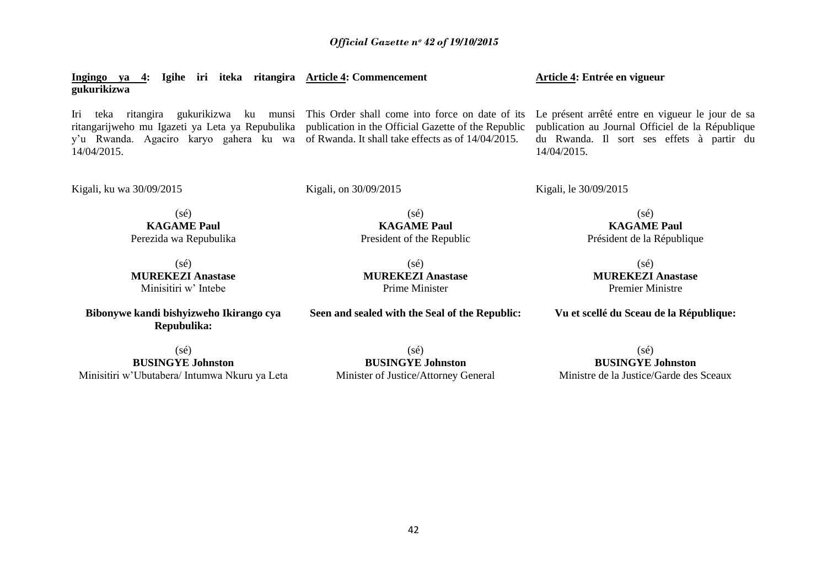**Ingingo ya 4: Igihe iri iteka ritangira Article 4: Commencement gukurikizwa**

Iri teka ritangira gukurikizwa ku munsi This Order shall come into force on date of its Le présent arrêté entre en vigueur le jour de sa ritangarijweho mu Igazeti ya Leta ya Repubulika publication in the Official Gazette of the Republic y"u Rwanda. Agaciro karyo gahera ku wa of Rwanda. It shall take effects as of 14/04/2015. 14/04/2015.

publication au Journal Officiel de la République du Rwanda. Il sort ses effets à partir du 14/04/2015.

Kigali, ku wa 30/09/2015

Kigali, on 30/09/2015

Kigali, le 30/09/2015

**Article 4: Entrée en vigueur**

(sé) **KAGAME Paul** Perezida wa Repubulika

(sé) **MUREKEZI Anastase** Minisitiri w" Intebe

**Bibonywe kandi bishyizweho Ikirango cya Repubulika:**

(sé) **KAGAME Paul** President of the Republic

(sé) **MUREKEZI Anastase** Prime Minister

**Seen and sealed with the Seal of the Republic:**

(sé) **KAGAME Paul** Président de la République

 $(sé)$ **MUREKEZI Anastase** Premier Ministre

**Vu et scellé du Sceau de la République:**

(sé) **BUSINGYE Johnston** Minisitiri w"Ubutabera/ Intumwa Nkuru ya Leta

(sé) **BUSINGYE Johnston** Minister of Justice/Attorney General

(sé) **BUSINGYE Johnston** Ministre de la Justice/Garde des Sceaux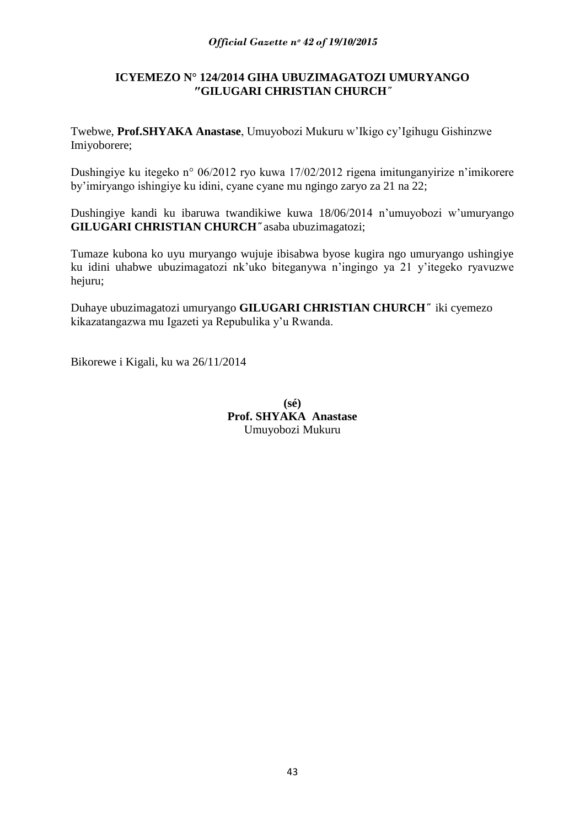# **ICYEMEZO N° 124/2014 GIHA UBUZIMAGATOZI UMURYANGO ″GILUGARI CHRISTIAN CHURCH***˝*

Twebwe, **Prof.SHYAKA Anastase**, Umuyobozi Mukuru w"Ikigo cy"Igihugu Gishinzwe Imiyoborere;

Dushingiye ku itegeko n° 06/2012 ryo kuwa 17/02/2012 rigena imitunganyirize n'imikorere by"imiryango ishingiye ku idini, cyane cyane mu ngingo zaryo za 21 na 22;

Dushingiye kandi ku ibaruwa twandikiwe kuwa 18/06/2014 n"umuyobozi w"umuryango **GILUGARI CHRISTIAN CHURCH***˝* asaba ubuzimagatozi;

Tumaze kubona ko uyu muryango wujuje ibisabwa byose kugira ngo umuryango ushingiye ku idini uhabwe ubuzimagatozi nk"uko biteganywa n"ingingo ya 21 y"itegeko ryavuzwe hejuru;

Duhaye ubuzimagatozi umuryango **GILUGARI CHRISTIAN CHURCH***˝* iki cyemezo kikazatangazwa mu Igazeti ya Repubulika y"u Rwanda.

Bikorewe i Kigali, ku wa 26/11/2014

**(sé) Prof. SHYAKA Anastase** Umuyobozi Mukuru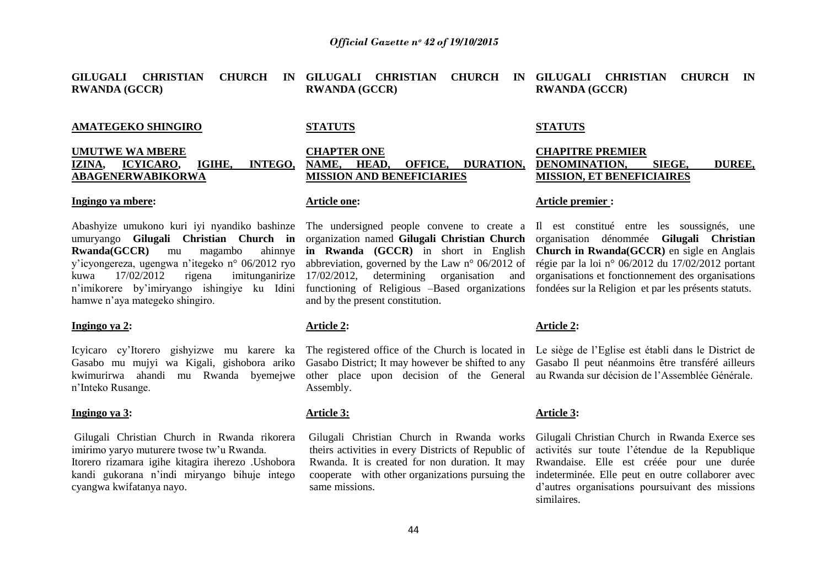**GILUGALI CHRISTIAN CHURCH IN GILUGALI CHRISTIAN CHURCH IN GILUGALI CHRISTIAN CHURCH IN RWANDA (GCCR) RWANDA (GCCR) RWANDA (GCCR)**

#### **AMATEGEKO SHINGIRO**

#### **UMUTWE WA MBERE IZINA, ICYICARO, IGIHE, INTEGO, ABAGENERWABIKORWA**

#### **Ingingo ya mbere:**

**Rwanda(GCCR)** mu magambo y"icyongereza, ugengwa n"itegeko n° 06/2012 ryo kuwa 17/02/2012 rigena imitunganirize 17/02/2012, determining organisation and n'imikorere by'imiryango ishingiye ku Idini functioning of Religious –Based organizations fondées sur la Religion et par les présents statuts. hamwe n"aya mategeko shingiro.

#### **Ingingo ya 2:**

Gasabo mu mujyi wa Kigali, gishobora ariko kwimurirwa ahandi mu Rwanda byemejwe n"Inteko Rusange.

#### **Ingingo ya 3:**

Gilugali Christian Church in Rwanda rikorera imirimo varyo muturere twose tw'u Rwanda. Itorero rizamara igihe kitagira iherezo .Ushobora kandi gukorana n"indi miryango bihuje intego cyangwa kwifatanya nayo.

#### **STATUTS**

### **CHAPTER ONE NAME, HEAD, OFFICE, DURATION, MISSION AND BENEFICIARIES**

#### **Article one:**

**in Rwanda (GCCR)** in short in English abbreviation, governed by the Law n° 06/2012 of and by the present constitution.

#### **Article 2:**

Gasabo District; It may however be shifted to any Gasabo Il peut néanmoins être transféré ailleurs other place upon decision of the General au Rwanda sur décision de l"Assemblée Générale. Assembly.

#### **Article 3:**

theirs activities in every Districts of Republic of Rwanda. It is created for non duration. It may cooperate with other organizations pursuing the same missions.

#### **STATUTS**

### **CHAPITRE PREMIER DENOMINATION, SIEGE, DUREE, MISSION, ET BENEFICIAIRES**

#### **Article premier :**

Abashyize umukono kuri iyi nyandiko bashinze The undersigned people convene to create a Il est constitué entre les soussignés, une umuryango **Gilugali Christian Church in**  organization named **Gilugali Christian Church**  organisation dénommée **Gilugali Christian Church in Rwanda(GCCR)** en sigle en Anglais régie par la loi n° 06/2012 du 17/02/2012 portant organisations et fonctionnement des organisations

#### **Article 2:**

Icyicaro cy"Itorero gishyizwe mu karere ka The registered office of the Church is located in Le siège de l"Eglise est établi dans le District de

#### **Article 3:**

Gilugali Christian Church in Rwanda works Gilugali Christian Church in Rwanda Exerce ses activités sur toute l"étendue de la Republique Rwandaise. Elle est créée pour une durée indeterminée. Elle peut en outre collaborer avec d"autres organisations poursuivant des missions similaires.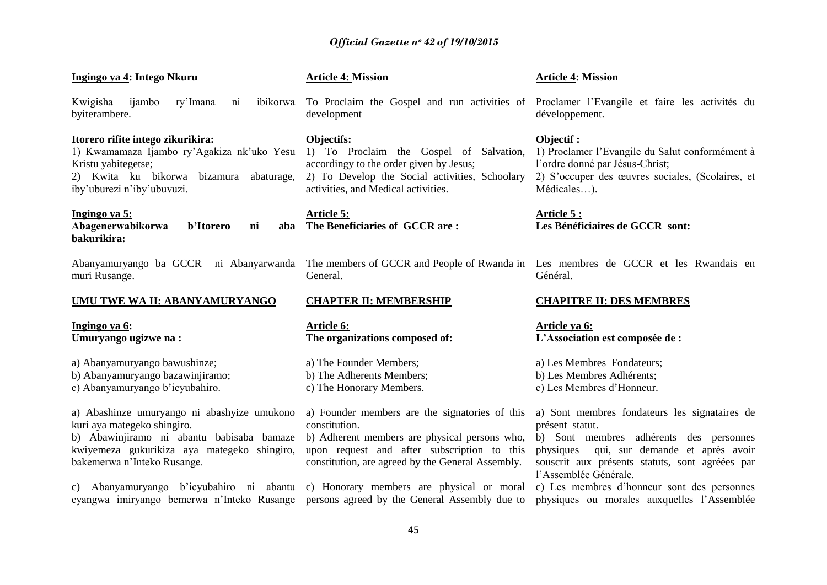| Ingingo ya 4: Intego Nkuru                                                                                                                                                                            | <b>Article 4: Mission</b>                                                                                                                                                                                                                                         | <b>Article 4: Mission</b>                                                                                                                                                                                                               |
|-------------------------------------------------------------------------------------------------------------------------------------------------------------------------------------------------------|-------------------------------------------------------------------------------------------------------------------------------------------------------------------------------------------------------------------------------------------------------------------|-----------------------------------------------------------------------------------------------------------------------------------------------------------------------------------------------------------------------------------------|
| ijambo<br>ry'Imana<br>Kwigisha<br>ni<br>byiterambere.                                                                                                                                                 | ibikorwa To Proclaim the Gospel and run activities of Proclamer l'Evangile et faire les activités du<br>development                                                                                                                                               | développement.                                                                                                                                                                                                                          |
| Itorero rifite intego zikurikira:<br>1) Kwamamaza Ijambo ry'Agakiza nk'uko Yesu<br>Kristu yabitegetse;<br>2) Kwita ku bikorwa bizamura<br>abaturage,<br>iby'uburezi n'iby'ubuvuzi.                    | Objectifs:<br>1) To Proclaim the Gospel of Salvation,<br>accordingy to the order given by Jesus;<br>2) To Develop the Social activities, Schoolary<br>activities, and Medical activities.                                                                         | Objectif :<br>1) Proclamer l'Evangile du Salut conformément à<br>l'ordre donné par Jésus-Christ;<br>2) S'occuper des œuvres sociales, (Scolaires, et<br>Médicales).                                                                     |
| Ingingo ya 5:<br>Abagenerwabikorwa<br>b'Itorero<br>aba<br>ni<br>bakurikira:                                                                                                                           | <b>Article 5:</b><br>The Beneficiaries of GCCR are:                                                                                                                                                                                                               | Article 5 :<br>Les Bénéficiaires de GCCR sont:                                                                                                                                                                                          |
| Abanyamuryango ba GCCR ni Abanyarwanda The members of GCCR and People of Rwanda in Les membres de GCCR et les Rwandais en<br>muri Rusange.                                                            | General.                                                                                                                                                                                                                                                          | Général.                                                                                                                                                                                                                                |
|                                                                                                                                                                                                       | <b>CHAPTER II: MEMBERSHIP</b>                                                                                                                                                                                                                                     |                                                                                                                                                                                                                                         |
| UMU TWE WA II: ABANYAMURYANGO                                                                                                                                                                         |                                                                                                                                                                                                                                                                   | <b>CHAPITRE II: DES MEMBRES</b>                                                                                                                                                                                                         |
| Ingingo ya 6:<br>Umuryango ugizwe na:                                                                                                                                                                 | <b>Article 6:</b><br>The organizations composed of:                                                                                                                                                                                                               | <u>Article ya 6:</u><br>L'Association est composée de :                                                                                                                                                                                 |
| a) Abanyamuryango bawushinze;<br>b) Abanyamuryango bazawinjiramo;<br>c) Abanyamuryango b'icyubahiro.                                                                                                  | a) The Founder Members;<br>b) The Adherents Members;<br>c) The Honorary Members.                                                                                                                                                                                  | a) Les Membres Fondateurs;<br>b) Les Membres Adhérents;<br>c) Les Membres d'Honneur.                                                                                                                                                    |
| a) Abashinze umuryango ni abashyize umukono<br>kuri aya mategeko shingiro.<br>b) Abawinjiramo ni abantu babisaba bamaze<br>kwiyemeza gukurikiza aya mategeko shingiro,<br>bakemerwa n'Inteko Rusange. | a) Founder members are the signatories of this<br>constitution.<br>b) Adherent members are physical persons who,<br>upon request and after subscription to this<br>constitution, are agreed by the General Assembly.<br>c) Honorary members are physical or moral | a) Sont membres fondateurs les signataires de<br>présent statut.<br>b) Sont membres adhérents des personnes<br>qui, sur demande et après avoir<br>physiques<br>souscrit aux présents statuts, sont agréées par<br>l'Assemblée Générale. |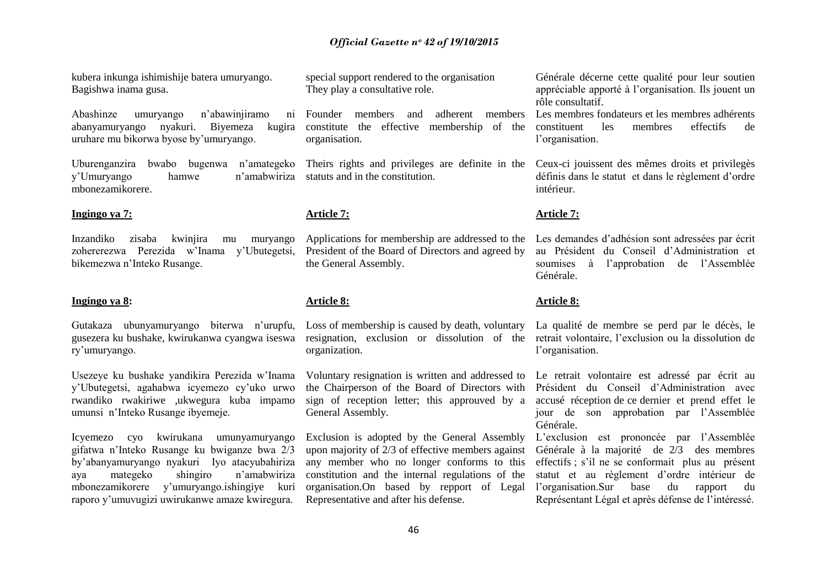kubera inkunga ishimishije batera umuryango. Bagishwa inama gusa.

Abashinze umuryango n'abawinjiramo abanyamuryango nyakuri. Biyemeza kugira uruhare mu bikorwa byose by"umuryango.

Uburenganzira bwabo bugenwa n"amategeko y"Umuryango hamwe n"amabwiriza mbonezamikorere.

#### **Ingingo ya 7:**

Inzandiko zisaba kwinjira mu muryango zohererezwa Perezida w"Inama y"Ubutegetsi, bikemezwa n"Inteko Rusange.

#### **Ingingo ya 8:**

Gutakaza ubunyamuryango biterwa n"urupfu, gusezera ku bushake, kwirukanwa cyangwa iseswa ry"umuryango.

Usezeye ku bushake yandikira Perezida w"Inama y"Ubutegetsi, agahabwa icyemezo cy"uko urwo rwandiko rwakiriwe ,ukwegura kuba impamo umunsi n"Inteko Rusange ibyemeje.

Icyemezo cyo kwirukana umunyamuryango gifatwa n"Inteko Rusange ku bwiganze bwa 2/3 by"abanyamuryango nyakuri Iyo atacyubahiriza aya mategeko shingiro n"amabwiriza mbonezamikorere y"umuryango.ishingiye kuri raporo y"umuvugizi uwirukanwe amaze kwiregura.

special support rendered to the organisation They play a consultative role.

Founder members and adherent members Les membres fondateurs et les membres adhérents constitute the effective membership of the organisation.

statuts and in the constitution.

#### **Article 7:**

Applications for membership are addressed to the President of the Board of Directors and agreed by the General Assembly.

#### **Article 8:**

Loss of membership is caused by death, voluntary organization.

the Chairperson of the Board of Directors with sign of reception letter; this approuved by a General Assembly.

Exclusion is adopted by the General Assembly upon majority of 2/3 of effective members against any member who no longer conforms to this constitution and the internal regulations of the organisation.On based by repport of Legal Representative and after his defense.

Générale décerne cette qualité pour leur soutien appréciable apporté à l"organisation. Ils jouent un rôle consultatif.

constituent les membres effectifs de l'organisation.

Theirs rights and privileges are definite in the Ceux-ci jouissent des mêmes droits et privilegès définis dans le statut et dans le règlement d"ordre intérieur.

#### **Article 7:**

Les demandes d"adhésion sont adressées par écrit au Président du Conseil d"Administration et soumises à l"approbation de l"Assemblée Générale.

#### **Article 8:**

resignation, exclusion or dissolution of the retrait volontaire, l'exclusion ou la dissolution de La qualité de membre se perd par le décès, le l'organisation.

Voluntary resignation is written and addressed to Le retrait volontaire est adressé par écrit au Président du Conseil d"Administration avec accusé réception de ce dernier et prend effet le jour de son approbation par l"Assemblée Générale.

> L"exclusion est prononcée par l"Assemblée Générale à la majorité de 2/3 des membres effectifs ; s"il ne se conformait plus au présent statut et au règlement d"ordre intérieur de l"organisation.Sur base du rapport du Représentant Légal et après défense de l"intéressé.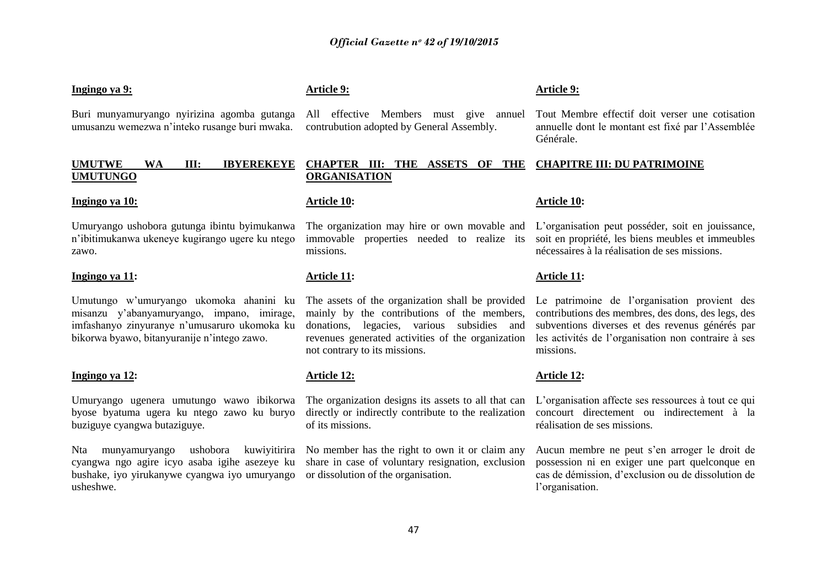#### **Ingingo ya 9:**

Buri munyamuryango nyirizina agomba gutanga umusanzu wemezwa n"inteko rusange buri mwaka.

### **UMUTWE WA III: IBYEREKEYE UMUTUNGO**

#### **Ingingo ya 10:**

Umuryango ushobora gutunga ibintu byimukanwa n"ibitimukanwa ukeneye kugirango ugere ku ntego zawo.

#### **Ingingo ya 11:**

Umutungo w"umuryango ukomoka ahanini ku misanzu y"abanyamuryango, impano, imirage, imfashanyo zinyuranye n"umusaruro ukomoka ku bikorwa byawo, bitanyuranije n"intego zawo.

#### **Ingingo ya 12:**

Umuryango ugenera umutungo wawo ibikorwa byose byatuma ugera ku ntego zawo ku buryo buziguye cyangwa butaziguye.

Nta munyamuryango ushobora kuwiyitirira cyangwa ngo agire icyo asaba igihe asezeye ku bushake, iyo yirukanywe cyangwa iyo umuryango or dissolution of the organisation. usheshwe.

### **Article 9:**

All effective Members must give annuel contrubution adopted by General Assembly.

#### **CHAPTER III: THE ASSETS OF THE ORGANISATION CHAPITRE III: DU PATRIMOINE**

#### **Article 10:**

missions.

#### **Article 11:**

mainly by the contributions of the members, donations, legacies, various subsidies and revenues generated activities of the organization not contrary to its missions.

#### **Article 12:**

The organization designs its assets to all that can directly or indirectly contribute to the realization of its missions.

No member has the right to own it or claim any share in case of voluntary resignation, exclusion

#### **Article 10:**

The organization may hire or own movable and L"organisation peut posséder, soit en jouissance, immovable properties needed to realize its soit en propriété, les biens meubles et immeubles nécessaires à la réalisation de ses missions.

Tout Membre effectif doit verser une cotisation annuelle dont le montant est fixé par l"Assemblée

#### **Article 11:**

The assets of the organization shall be provided Le patrimoine de l"organisation provient des contributions des membres, des dons, des legs, des subventions diverses et des revenus générés par les activités de l"organisation non contraire à ses missions.

#### **Article 12:**

L"organisation affecte ses ressources à tout ce qui concourt directement ou indirectement à la réalisation de ses missions.

Aucun membre ne peut s"en arroger le droit de possession ni en exiger une part quelconque en cas de démission, d"exclusion ou de dissolution de l'organisation.

#### **Article 9:**

Générale.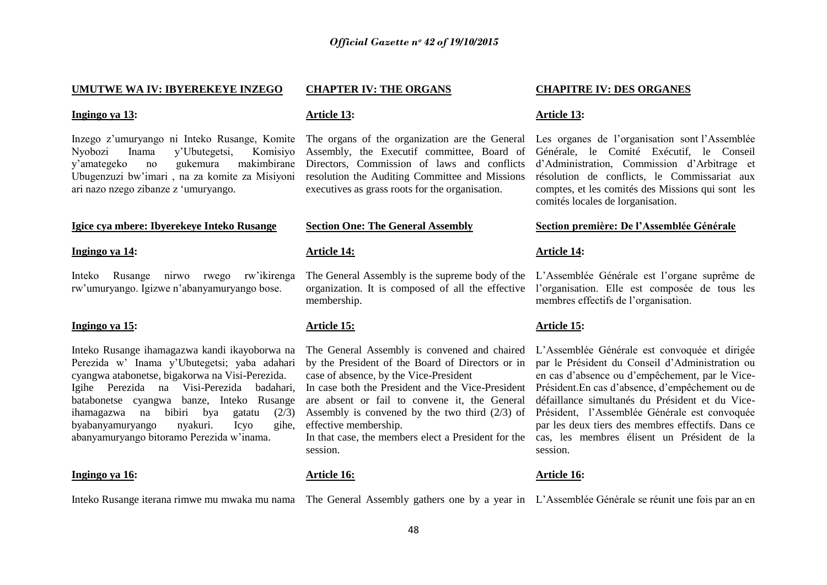#### **UMUTWE WA IV: IBYEREKEYE INZEGO**

#### **Ingingo ya 13:**

Inzego z"umuryango ni Inteko Rusange, Komite Nyobozi Inama y"Ubutegetsi, Komisiyo y"amategeko no gukemura makimbirane Ubugenzuzi bw"imari , na za komite za Misiyoni ari nazo nzego zibanze z "umuryango.

#### **Igice cya mbere: Ibyerekeye Inteko Rusange**

#### **Ingingo ya 14:**

Inteko Rusange nirwo rwego rw"ikirenga rw"umuryango. Igizwe n"abanyamuryango bose.

#### **Ingingo ya 15:**

Inteko Rusange ihamagazwa kandi ikayoborwa na Perezida w" Inama y"Ubutegetsi; yaba adahari cyangwa atabonetse, bigakorwa na Visi-Perezida. Igihe Perezida na Visi-Perezida badahari, batabonetse cyangwa banze, Inteko Rusange ihamagazwa na bibiri bya gatatu (2/3) byabanyamuryango nyakuri. Icyo gihe, abanyamuryango bitoramo Perezida w"inama.

#### **Ingingo ya 16:**

#### **CHAPTER IV: THE ORGANS**

#### **Article 13:**

The organs of the organization are the General Assembly, the Executif committee, Board of Directors, Commission of laws and conflicts resolution the Auditing Committee and Missions executives as grass roots for the organisation.

#### **Section One: The General Assembly**

#### **Article 14:**

The General Assembly is the supreme body of the membership.

#### **Article 15:**

by the President of the Board of Directors or in case of absence, by the Vice-President

are absent or fail to convene it, the General effective membership.

session.

#### **Article 16:**

#### Inteko Rusange iterana rimwe mu mwaka mu nama The General Assembly gathers one by a year in L'Assemblée Générale se réunit une fois par an en

#### **CHAPITRE IV: DES ORGANES**

#### **Article 13:**

Les organes de l'organisation sont l'Assemblée Générale, le Comité Exécutif, le Conseil d"Administration, Commission d"Arbitrage et résolution de conflicts, le Commissariat aux comptes, et les comités des Missions qui sont les comités locales de lorganisation.

#### **Section première: De l'Assemblée Générale**

#### **Article 14:**

organization. It is composed of all the effective l'organisation. Elle est composée de tous les L"Assemblée Générale est l"organe suprême de membres effectifs de l"organisation.

#### **Article 15:**

The General Assembly is convened and chaired L"Assemblée Générale est convoquée et dirigée In case both the President and the Vice-President Président.En cas d"absence, d"empêchement ou de Assembly is convened by the two third (2/3) of Président, l"Assemblée Générale est convoquée In that case, the members elect a President for the cas, les membres élisent un Président de la par le Président du Conseil d"Administration ou en cas d"absence ou d"empêchement, par le Vicedéfaillance simultanés du Président et du Vicepar les deux tiers des membres effectifs. Dans ce session.

#### **Article 16:**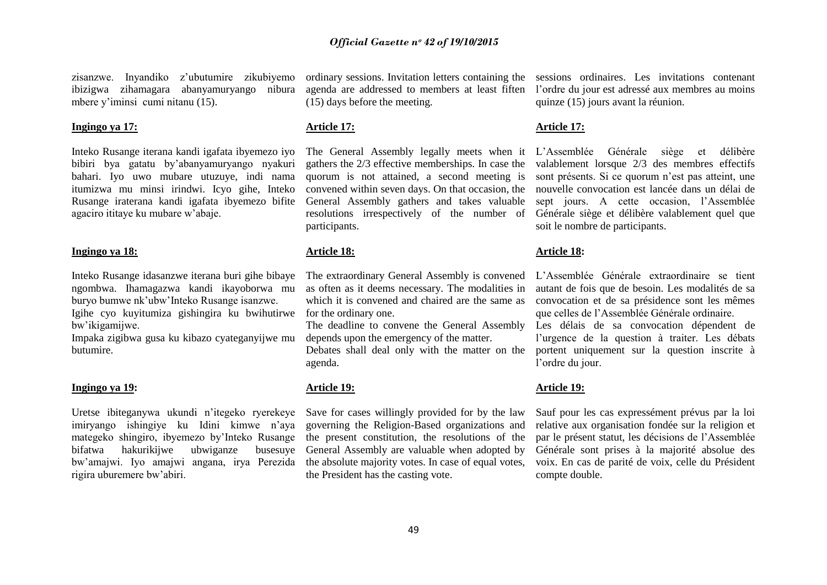zisanzwe. Inyandiko z"ubutumire zikubiyemo ibizigwa zihamagara abanyamuryango nibura mbere y'iminsi cumi nitanu (15).

#### **Ingingo ya 17:**

Inteko Rusange iterana kandi igafata ibyemezo iyo bibiri bya gatatu by"abanyamuryango nyakuri bahari. Iyo uwo mubare utuzuye, indi nama itumizwa mu minsi irindwi. Icyo gihe, Inteko Rusange iraterana kandi igafata ibyemezo bifite agaciro ititaye ku mubare w"abaje.

#### **Ingingo ya 18:**

Inteko Rusange idasanzwe iterana buri gihe bibaye ngombwa. Ihamagazwa kandi ikayoborwa mu buryo bumwe nk"ubw"Inteko Rusange isanzwe. Igihe cyo kuyitumiza gishingira ku bwihutirwe bw"ikigamijwe.

Impaka zigibwa gusa ku kibazo cyateganyijwe mu butumire.

#### **Ingingo ya 19:**

Uretse ibiteganywa ukundi n"itegeko ryerekeye Save for cases willingly provided for by the law imiryango ishingiye ku Idini kimwe n"aya governing the Religion-Based organizations and mategeko shingiro, ibyemezo by"Inteko Rusange the present constitution, the resolutions of the bifatwa hakurikijwe ubwiganze bw"amajwi. Iyo amajwi angana, irya Perezida the absolute majority votes. In case of equal votes, rigira uburemere bw"abiri.

(15) days before the meeting.

#### **Article 17:**

convened within seven days. On that occasion, the General Assembly gathers and takes valuable participants.

#### **Article 18:**

The extraordinary General Assembly is convened as often as it deems necessary. The modalities in which it is convened and chaired are the same as for the ordinary one.

The deadline to convene the General Assembly depends upon the emergency of the matter.

Debates shall deal only with the matter on the agenda.

#### **Article 19:**

busesuve General Assembly are valuable when adopted by the President has the casting vote.

ordinary sessions. Invitation letters containing the sessions ordinaires. Les invitations contenant agenda are addressed to members at least fiften l"ordre du jour est adressé aux membres au moins quinze (15) jours avant la réunion.

#### **Article 17:**

The General Assembly legally meets when it L"Assemblée Générale siège et délibère gathers the 2/3 effective memberships. In case the valablement lorsque 2/3 des membres effectifs quorum is not attained, a second meeting is sont présents. Si ce quorum n"est pas atteint, une resolutions irrespectively of the number of Générale siège et délibère valablement quel que nouvelle convocation est lancée dans un délai de sept jours. A cette occasion, l"Assemblée soit le nombre de participants.

#### **Article 18:**

L"Assemblée Générale extraordinaire se tient autant de fois que de besoin. Les modalités de sa convocation et de sa présidence sont les mêmes que celles de l"Assemblée Générale ordinaire.

Les délais de sa convocation dépendent de l"urgence de la question à traiter. Les débats portent uniquement sur la question inscrite à l"ordre du jour.

#### **Article 19:**

Sauf pour les cas expressément prévus par la loi relative aux organisation fondée sur la religion et par le présent statut, les décisions de l"Assemblée Générale sont prises à la majorité absolue des voix. En cas de parité de voix, celle du Président compte double.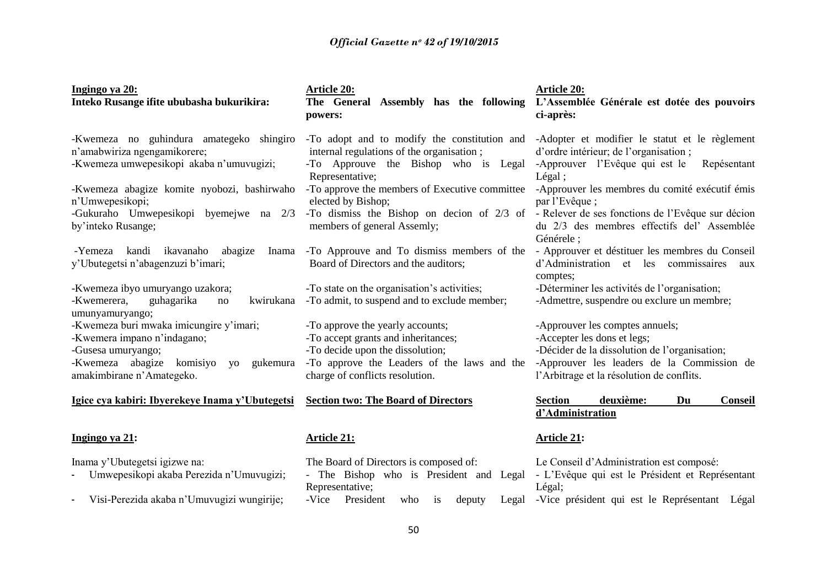| Ingingo ya 20:<br>Inteko Rusange ifite ububasha bukurikira:                                                                                                                     | <b>Article 20:</b><br>The General Assembly has the following<br>powers:                                                                                                                       | <b>Article 20:</b><br>L'Assemblée Générale est dotée des pouvoirs<br>ci-après:                                                                                                                             |  |
|---------------------------------------------------------------------------------------------------------------------------------------------------------------------------------|-----------------------------------------------------------------------------------------------------------------------------------------------------------------------------------------------|------------------------------------------------------------------------------------------------------------------------------------------------------------------------------------------------------------|--|
| -Kwemeza no guhindura amategeko shingiro<br>n'amabwiriza ngengamikorere;<br>-Kwemeza umwepesikopi akaba n'umuvugizi;                                                            | -To adopt and to modify the constitution and<br>internal regulations of the organisation;<br>-To Approuve the Bishop who is Legal<br>Representative;                                          | -Adopter et modifier le statut et le règlement<br>d'ordre intérieur; de l'organisation;<br>-Approuver l'Evêque qui est le<br>Repésentant<br>Légal;                                                         |  |
| -Kwemeza abagize komite nyobozi, bashirwaho<br>n'Umwepesikopi;                                                                                                                  | -To approve the members of Executive committee<br>elected by Bishop;                                                                                                                          | -Approuver les membres du comité exécutif émis<br>par l'Evêque;                                                                                                                                            |  |
| -Gukuraho Umwepesikopi byemejwe na 2/3<br>by'inteko Rusange;                                                                                                                    | -To dismiss the Bishop on decion of 2/3 of - Relever de ses fonctions de l'Evêque sur décion<br>members of general Assemly;                                                                   | du 2/3 des membres effectifs del'Assemblée<br>Générele ;                                                                                                                                                   |  |
| ikavanaho<br>kandi<br>abagize<br>Inama<br>-Yemeza<br>y'Ubutegetsi n'abagenzuzi b'imari;                                                                                         | -To Approuve and To dismiss members of the<br>Board of Directors and the auditors;                                                                                                            | - Approuver et déstituer les membres du Conseil<br>d'Administration et les commissaires<br>aux<br>comptes;                                                                                                 |  |
| -Kwemeza ibyo umuryango uzakora;<br>-Kwemerera,<br>guhagarika<br>kwirukana<br>no<br>umunyamuryango;                                                                             | -To state on the organisation's activities;<br>-To admit, to suspend and to exclude member;                                                                                                   | -Déterminer les activités de l'organisation;<br>-Admettre, suspendre ou exclure un membre;                                                                                                                 |  |
| -Kwemeza buri mwaka imicungire y'imari;<br>-Kwemera impano n'indagano;<br>-Gusesa umuryango;<br>-Kwemeza abagize komisiyo<br>gukemura<br><b>VO</b><br>amakimbirane n'Amategeko. | -To approve the yearly accounts;<br>-To accept grants and inheritances;<br>-To decide upon the dissolution;<br>-To approve the Leaders of the laws and the<br>charge of conflicts resolution. | -Approuver les comptes annuels;<br>-Accepter les dons et legs;<br>-Décider de la dissolution de l'organisation;<br>-Approuver les leaders de la Commission de<br>l'Arbitrage et la résolution de conflits. |  |
| Igice cya kabiri: Ibyerekeye Inama y'Ubutegetsi                                                                                                                                 | <b>Section two: The Board of Directors</b>                                                                                                                                                    | deuxième:<br>Du<br><b>Section</b><br>Conseil<br>d'Administration                                                                                                                                           |  |
| Ingingo ya 21:                                                                                                                                                                  | <b>Article 21:</b>                                                                                                                                                                            | <b>Article 21:</b>                                                                                                                                                                                         |  |
| Inama y'Ubutegetsi igizwe na:<br>Umwepesikopi akaba Perezida n'Umuvugizi;                                                                                                       | The Board of Directors is composed of:<br>- The Bishop who is President and Legal<br>Representative;                                                                                          | Le Conseil d'Administration est composé:<br>- L'Evêque qui est le Président et Représentant<br>Légal;                                                                                                      |  |
| Visi-Perezida akaba n'Umuvugizi wungirije;<br>$\blacksquare$                                                                                                                    | -Vice<br>President<br>deputy<br>Legal<br>who<br>$\overline{1}S$                                                                                                                               | -Vice président qui est le Représentant Légal                                                                                                                                                              |  |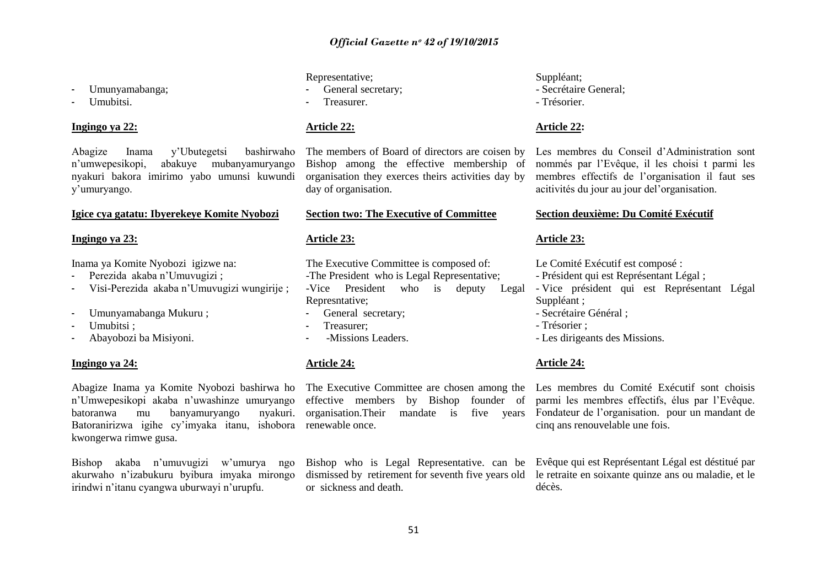- Umunyamabanga;
- Umubitsi.

#### **Ingingo ya 22:**

Abagize Inama y'Ubutegetsi bashirwaho<br>n'umwepesikopi, abakuve mubanyamuryango abakuye mubanyamuryango nyakuri bakora imirimo yabo umunsi kuwundi y"umuryango.

#### **Igice cya gatatu: Ibyerekeye Komite Nyobozi**

#### **Ingingo ya 23:**

Inama ya Komite Nyobozi igizwe na:

- Perezida akaba n"Umuvugizi ;
- Visi-Perezida akaba n"Umuvugizi wungirije ;
- Umunyamabanga Mukuru ;
- Umubitsi:
- Abayobozi ba Misiyoni.

#### **Ingingo ya 24:**

Abagize Inama ya Komite Nyobozi bashirwa ho The Executive Committee are chosen among the Les membres du Comité Exécutif sont choisis n"Umwepesikopi akaba n"uwashinze umuryango batoranwa mu banyamuryango Batoranirizwa igihe cy"imyaka itanu, ishobora renewable once. kwongerwa rimwe gusa.

Bishop akaba n"umuvugizi w"umurya ngo akurwaho n"izabukuru byibura imyaka mirongo irindwi n"itanu cyangwa uburwayi n"urupfu.

### Representative;

- General secretary;
- **Treasurer**

### **Article 22:**

The members of Board of directors are coisen by Bishop among the effective membership of organisation they exerces theirs activities day by day of organisation.

#### **Section two: The Executive of Committee**

#### **Article 23:**

The Executive Committee is composed of:

-The President who is Legal Representative; -Vice President who is deputy Legal

- Represntative;
- General secretary;
- Treasurer:
- -Missions Leaders.

#### **Article 24:**

Bishop who is Legal Representative. can be or sickness and death.

### Suppléant; - Secrétaire General; - Trésorier.

#### **Article 22:**

Les membres du Conseil d"Administration sont nommés par l"Evêque, il les choisi t parmi les membres effectifs de l"organisation il faut ses acitivités du jour au jour del"organisation.

#### **Section deuxième: Du Comité Exécutif**

#### **Article 23:**

Le Comité Exécutif est composé :

- Président qui est Représentant Légal ;
- Vice président qui est Représentant Légal Suppléant ;
- Secrétaire Général ;
- Trésorier ;
- Les dirigeants des Missions.

#### **Article 24:**

effective members by Bishop founder of parmi les membres effectifs, élus par l"Evêque. organisation.Their mandate is five years Fondateur de l"organisation. pour un mandant de cinq ans renouvelable une fois.

dismissed by retirement for seventh five years old le retraite en soixante quinze ans ou maladie, et le Evêque qui est Représentant Légal est déstitué par décès.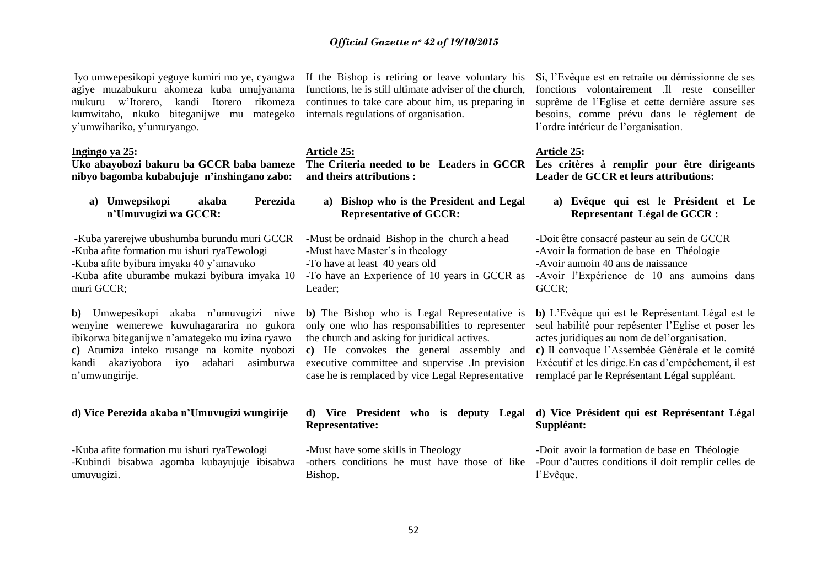Iyo umwepesikopi yeguye kumiri mo ye, cyangwa If the Bishop is retiring or leave voluntary his agiye muzabukuru akomeza kuba umujyanama mukuru w"Itorero, kandi Itorero rikomeza kumwitaho, nkuko biteganijwe mu mategeko y"umwihariko, y"umuryango.

#### **Ingingo ya 25:**

**Uko abayobozi bakuru ba GCCR baba bameze nibyo bagomba kubabujuje n'inshingano zabo:**

**a) Umwepsikopi akaba Perezida n'Umuvugizi wa GCCR:**

**-**Kuba yarerejwe ubushumba burundu muri GCCR -Kuba afite formation mu ishuri ryaTewologi -Kuba afite byibura imyaka 40 y"amavuko -Kuba afite uburambe mukazi byibura imyaka 10 muri GCCR;

**b**) Umwepesikopi akaba n'umuvugizi niwe wenyine wemerewe kuwuhagararira no gukora ibikorwa biteganijwe n"amategeko mu izina ryawo **c)** Atumiza inteko rusange na komite nyobozi kandi akaziyobora iyo adahari asimburwa n"umwungirije.

#### **d) Vice Perezida akaba n'Umuvugizi wungirije**

**-**Kuba afite formation mu ishuri ryaTewologi -Kubindi bisabwa agomba kubayujuje ibisabwa umuvugizi.

functions, he is still ultimate adviser of the church, continues to take care about him, us preparing in internals regulations of organisation.

# **Article 25:**

**and theirs attributions :**

**a) Bishop who is the President and Legal Representative of GCCR:**

**-**Must be ordnaid Bishop in the church a head **-**Must have Master"s in theology -To have at least 40 years old -To have an Experience of 10 years in GCCR as Leader;

**b)** The Bishop who is Legal Representative is only one who has responsabilities to representer the church and asking for juridical actives.

**c)** He convokes the general assembly and executive committee and supervise .In prevision case he is remplaced by vice Legal Representative

# **Representative:**

-Must have some skills in Theology Bishop.

Si, l"Evêque est en retraite ou démissionne de ses fonctions volontairement .Il reste conseiller suprême de l"Eglise et cette dernière assure ses besoins, comme prévu dans le règlement de l"ordre intérieur de l"organisation.

#### **Article 25:**

**The Criteria needed to be Leaders in GCCR Les critères à remplir pour être dirigeants Leader de GCCR et leurs attributions:**

> **a) Evêque qui est le Président et Le Representant Légal de GCCR :**

**-**Doit être consacré pasteur au sein de GCCR -Avoir la formation de base en Théologie -Avoir aumoin 40 ans de naissance -Avoir l"Expérience de 10 ans aumoins dans GCCR;

**b)** L"Evêque qui est le Représentant Légal est le seul habilité pour repésenter l"Eglise et poser les actes juridiques au nom de del"organisation. **c)** Il convoque l"Assembée Générale et le comité Exécutif et les dirige.En cas d"empêchement, il est remplacé par le Représentant Légal suppléant.

#### **d) Vice President who is deputy Legal d) Vice Président qui est Représentant Légal Suppléant:**

-others conditions he must have those of like **-**Pour d**'**autres conditions il doit remplir celles de **-**Doit avoir la formation de base en Théologie l"Evêque.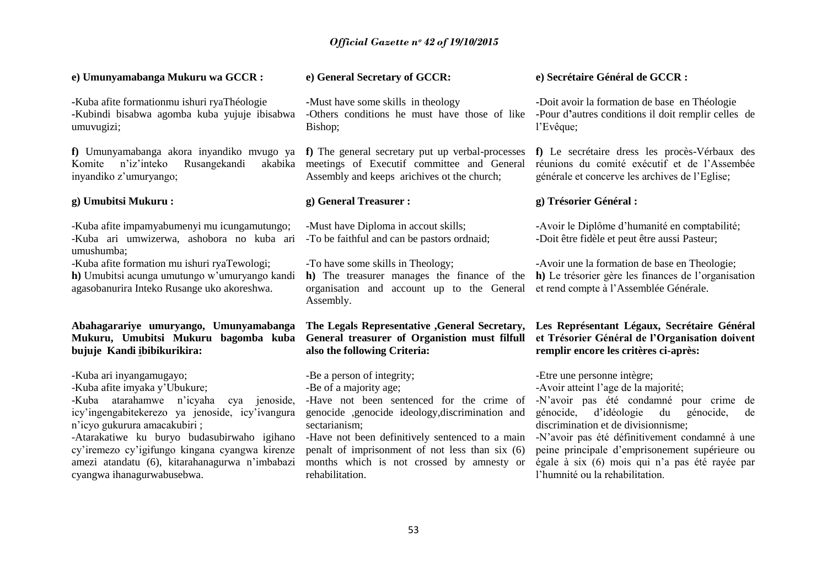| e) Umunyamabanga Mukuru wa GCCR:                                                                                                                                                                                                                                                                                                                                         | e) General Secretary of GCCR:                                                                                                                                                                                                                                                                                                                | e) Secrétaire Général de GCCR :                                                                                                                                                                                                                                                                                                                                                                  |  |
|--------------------------------------------------------------------------------------------------------------------------------------------------------------------------------------------------------------------------------------------------------------------------------------------------------------------------------------------------------------------------|----------------------------------------------------------------------------------------------------------------------------------------------------------------------------------------------------------------------------------------------------------------------------------------------------------------------------------------------|--------------------------------------------------------------------------------------------------------------------------------------------------------------------------------------------------------------------------------------------------------------------------------------------------------------------------------------------------------------------------------------------------|--|
| -Kuba afite formationmu ishuri ryaThéologie<br>Kubindi bisabwa agomba kuba yujuje ibisabwa<br>umuvugizi;                                                                                                                                                                                                                                                                 | -Must have some skills in theology<br>-Others conditions he must have those of like<br>Bishop;                                                                                                                                                                                                                                               | -Doit avoir la formation de base en Théologie<br>-Pour d'autres conditions il doit remplir celles de<br>l'Evêque;                                                                                                                                                                                                                                                                                |  |
| f) Umunyamabanga akora inyandiko mvugo ya f) The general secretary put up verbal-processes<br>n'iz'inteko<br>Rusangekandi<br>akabika<br>Komite<br>inyandiko z'umuryango;                                                                                                                                                                                                 | meetings of Executif committee and General<br>Assembly and keeps arichives ot the church;                                                                                                                                                                                                                                                    | f) Le secrétaire dress les procès-Vérbaux des<br>réunions du comité exécutif et de l'Assembée<br>générale et concerve les archives de l'Eglise;                                                                                                                                                                                                                                                  |  |
| g) Umubitsi Mukuru:                                                                                                                                                                                                                                                                                                                                                      | g) General Treasurer :                                                                                                                                                                                                                                                                                                                       | g) Trésorier Général :                                                                                                                                                                                                                                                                                                                                                                           |  |
| -Kuba afite impamyabumenyi mu icungamutungo;<br>-Kuba ari umwizerwa, ashobora no kuba ari<br>umushumba;                                                                                                                                                                                                                                                                  | -Must have Diploma in accout skills;<br>-To be faithful and can be pastors ordnaid;                                                                                                                                                                                                                                                          | -Avoir le Diplôme d'humanité en comptabilité;<br>-Doit être fidèle et peut être aussi Pasteur;                                                                                                                                                                                                                                                                                                   |  |
| -Kuba afite formation mu ishuri ryaTewologi;<br>h) Umubitsi acunga umutungo w'umuryango kandi<br>agasobanurira Inteko Rusange uko akoreshwa.                                                                                                                                                                                                                             | -To have some skills in Theology;<br>h) The treasurer manages the finance of the<br>organisation and account up to the General<br>Assembly.                                                                                                                                                                                                  | -Avoir une la formation de base en Theologie;<br>h) Le trésorier gère les finances de l'organisation<br>et rend compte à l'Assemblée Générale.                                                                                                                                                                                                                                                   |  |
| Abahagarariye umuryango, Umunyamabanga<br>Mukuru, Umubitsi Mukuru bagomba kuba<br>bujuje Kandi ibibikurikira:                                                                                                                                                                                                                                                            | The Legals Representative , General Secretary,<br>General treasurer of Organistion must filfull<br>also the following Criteria:                                                                                                                                                                                                              | Les Représentant Légaux, Secrétaire Général<br>et Trésorier Général de l'Organisation doivent<br>remplir encore les critères ci-après:                                                                                                                                                                                                                                                           |  |
| -Kuba ari inyangamugayo;<br>-Kuba afite imyaka y'Ubukure;<br>-Kuba atarahamwe n'icyaha cya jenoside,<br>icy'ingengabitekerezo ya jenoside, icy'ivangura<br>n'icyo gukurura amacakubiri;<br>-Atarakatiwe ku buryo budasubirwaho igihano<br>cy'iremezo cy'igifungo kingana cyangwa kirenze<br>amezi atandatu (6), kitarahanagurwa n'imbabazi<br>cyangwa ihanagurwabusebwa. | -Be a person of integrity;<br>-Be of a majority age;<br>-Have not been sentenced for the crime of<br>genocide , genocide ideology, discrimination and<br>sectarianism;<br>-Have not been definitively sentenced to a main<br>penalt of imprisonment of not less than six (6)<br>months which is not crossed by amnesty or<br>rehabilitation. | -Etre une personne intègre;<br>-Avoir atteint l'age de la majorité;<br>-N'avoir pas été condamné pour crime de<br>génocide, d'idéologie<br>du<br>génocide,<br>de<br>discrimination et de divisionnisme;<br>-N'avoir pas été définitivement condamné à une<br>peine principale d'emprisonement supérieure ou<br>égale à six (6) mois qui n'a pas été rayée par<br>l'humnité ou la rehabilitation. |  |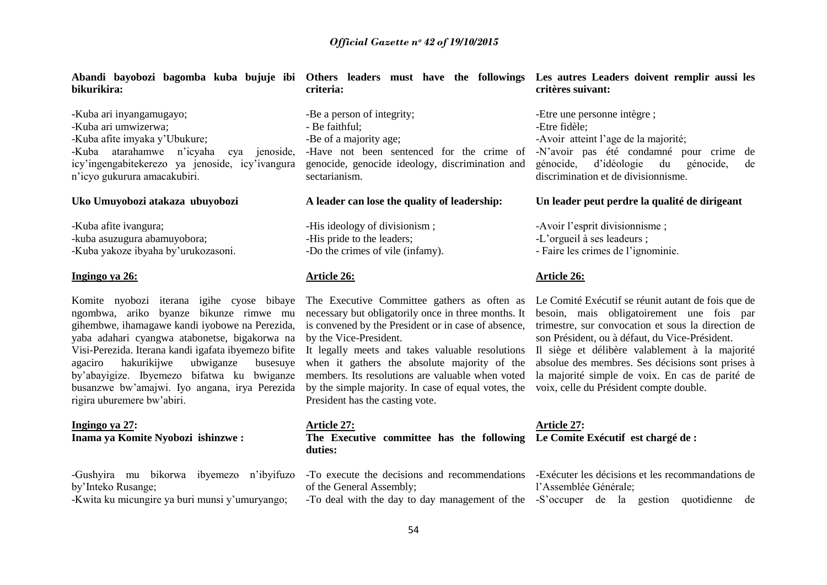**Abandi bayobozi bagomba kuba bujuje ibi Others leaders must have the followings Les autres Leaders doivent remplir aussi les bikurikira:**

**-**Kuba ari inyangamugayo; -Kuba ari umwizerwa; -Kuba afite imyaka y"Ubukure; -Kuba atarahamwe n"icyaha cya jenoside, icy"ingengabitekerezo ya jenoside, icy"ivangura n"icyo gukurura amacakubiri.

#### **Uko Umuyobozi atakaza ubuyobozi**

-Kuba afite ivangura; -kuba asuzugura abamuyobora; -Kuba yakoze ibyaha by"urukozasoni.

#### **Ingingo ya 26:**

ngombwa, ariko byanze bikunze rimwe mu gihembwe, ihamagawe kandi iyobowe na Perezida, yaba adahari cyangwa atabonetse, bigakorwa na Visi-Perezida. Iterana kandi igafata ibyemezo bifite agaciro hakurikijwe ubwiganze busesuye by"abayigize. Ibyemezo bifatwa ku bwiganze busanzwe bw"amajwi. Iyo angana, irya Perezida rigira uburemere bw"abiri.

#### **Ingingo ya 27: Inama ya Komite Nyobozi ishinzwe :**

-Gushyira mu bikorwa ibyemezo n"ibyifuzo by"Inteko Rusange;

-Kwita ku micungire ya buri munsi y"umuryango;

**criteria:** -Be a person of integrity; - Be faithful;

-Be of a majority age;

-Have not been sentenced for the crime of genocide, genocide ideology, discrimination and sectarianism.

**A leader can lose the quality of leadership:** 

-His ideology of divisionism ; -His pride to the leaders; -Do the crimes of vile (infamy).

#### **Article 26:**

by the Vice-President.

It legally meets and takes valuable resolutions Il siège et délibère valablement à la majorité when it gathers the absolute majority of the by the simple majority. In case of equal votes, the voix, celle du Président compte double. President has the casting vote.

#### **Article 27:**

**The Executive committee has the following Le Comite Exécutif est chargé de : duties:**

of the General Assembly;

# **critères suivant:**

-Etre une personne intègre ; -Etre fidèle; -Avoir atteint l"age de la majorité; -N"avoir pas été condamné pour crime de génocide, d"idéologie du génocide, de discrimination et de divisionnisme.

#### **Un leader peut perdre la qualité de dirigeant**

-Avoir l"esprit divisionnisme ;

-L"orgueil à ses leadeurs ;

- Faire les crimes de l"ignominie.

#### **Article 26:**

Komite nyobozi iterana igihe cyose bibaye The Executive Committee gathers as often as Le Comité Exécutif se réunit autant de fois que de necessary but obligatorily once in three months. It besoin, mais obligatoirement une fois par is convened by the President or in case of absence, trimestre, sur convocation et sous la direction de son Président, ou à défaut, du Vice-Président.

> members. Its resolutions are valuable when voted la majorité simple de voix. En cas de parité de absolue des membres. Ses décisions sont prises à

# **Article 27:**

-To execute the decisions and recommendations -Exécuter les décisions et les recommandations de l"Assemblée Générale;

-To deal with the day to day management of the -S"occuper de la gestion quotidienne de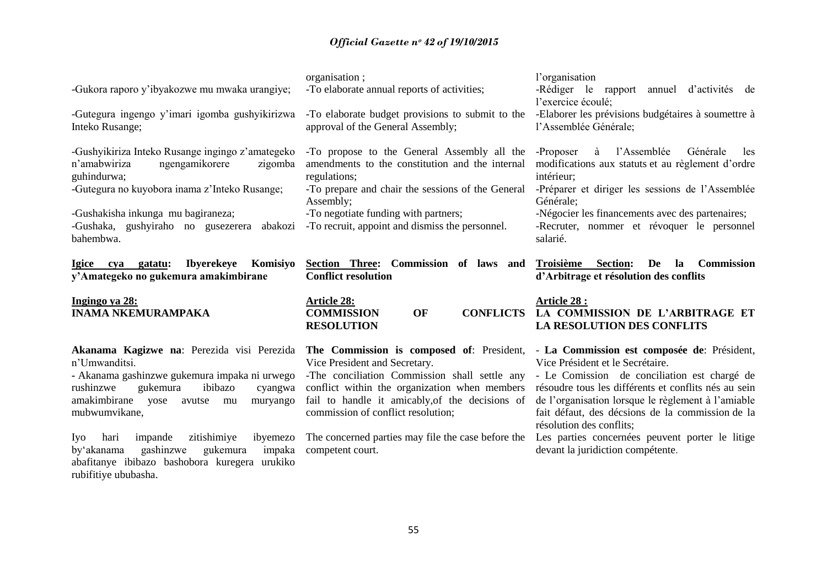| -Gukora raporo y'ibyakozwe mu mwaka urangiye;<br>-Gutegura ingengo y'imari igomba gushyikirizwa<br>Inteko Rusange;                                                                                                                                                                                                                                                                                              | organisation;<br>-To elaborate annual reports of activities;<br>-To elaborate budget provisions to submit to the<br>approval of the General Assembly;                                                                                                                                                                                           | l'organisation<br>-Rédiger le rapport<br>annuel d'activités de<br>l'exercice écoulé;<br>-Elaborer les prévisions budgétaires à soumettre à<br>l'Assemblée Générale;                                                                                                                                                                                                                                                   |  |
|-----------------------------------------------------------------------------------------------------------------------------------------------------------------------------------------------------------------------------------------------------------------------------------------------------------------------------------------------------------------------------------------------------------------|-------------------------------------------------------------------------------------------------------------------------------------------------------------------------------------------------------------------------------------------------------------------------------------------------------------------------------------------------|-----------------------------------------------------------------------------------------------------------------------------------------------------------------------------------------------------------------------------------------------------------------------------------------------------------------------------------------------------------------------------------------------------------------------|--|
| -Gushyikiriza Inteko Rusange ingingo z'amategeko<br>ngengamikorere<br>n'amabwiriza<br>zigomba<br>guhindurwa;<br>-Gutegura no kuyobora inama z'Inteko Rusange;<br>-Gushakisha inkunga mu bagiraneza;<br>-Gushaka, gushyiraho no gusezerera<br>abakozi<br>bahembwa.                                                                                                                                               | -To propose to the General Assembly all the<br>amendments to the constitution and the internal<br>regulations;<br>-To prepare and chair the sessions of the General<br>Assembly;<br>-To negotiate funding with partners;<br>-To recruit, appoint and dismiss the personnel.                                                                     | à<br>l'Assemblée Générale<br>-Proposer<br>les<br>modifications aux statuts et au règlement d'ordre<br>intérieur;<br>-Préparer et diriger les sessions de l'Assemblée<br>Générale;<br>-Négocier les financements avec des partenaires;<br>-Recruter, nommer et révoquer le personnel<br>salarié.                                                                                                                       |  |
| <b>Ibyerekeye</b><br>Komisiyo<br>Igice cya gatatu:<br>y'Amategeko no gukemura amakimbirane                                                                                                                                                                                                                                                                                                                      | Section Three: Commission of laws and<br><b>Conflict resolution</b>                                                                                                                                                                                                                                                                             | De<br>Troisième Section:<br>la<br><b>Commission</b><br>d'Arbitrage et résolution des conflits                                                                                                                                                                                                                                                                                                                         |  |
| Ingingo ya 28:<br><b>INAMA NKEMURAMPAKA</b>                                                                                                                                                                                                                                                                                                                                                                     | <b>Article 28:</b><br><b>COMMISSION</b><br>OF<br><b>CONFLICTS</b><br><b>RESOLUTION</b>                                                                                                                                                                                                                                                          | <b>Article 28:</b><br>LA COMMISSION DE L'ARBITRAGE ET<br>LA RESOLUTION DES CONFLITS                                                                                                                                                                                                                                                                                                                                   |  |
| Akanama Kagizwe na: Perezida visi Perezida<br>n'Umwanditsi.<br>- Akanama gashinzwe gukemura impaka ni urwego<br>rushinzwe<br>gukemura<br>ibibazo<br>cyangwa<br>amakimbirane<br>yose<br>avutse<br>muryango<br>mu<br>mubwumvikane,<br>Iyo<br>zitishimiye<br>ibyemezo<br>hari<br>impande<br>gashinzwe<br>by'akanama<br>gukemura<br>impaka<br>abafitanye ibibazo bashobora kuregera urukiko<br>rubifitiye ububasha. | The Commission is composed of: President,<br>Vice President and Secretary.<br>-The conciliation Commission shall settle any<br>conflict within the organization when members<br>fail to handle it amicably, of the decisions of<br>commission of conflict resolution;<br>The concerned parties may file the case before the<br>competent court. | - La Commission est composée de: Président,<br>Vice Président et le Secrétaire.<br>- Le Comission de conciliation est chargé de<br>résoudre tous les différents et conflits nés au sein<br>de l'organisation lorsque le règlement à l'amiable<br>fait défaut, des décsions de la commission de la<br>résolution des conflits;<br>Les parties concernées peuvent porter le litige<br>devant la juridiction compétente. |  |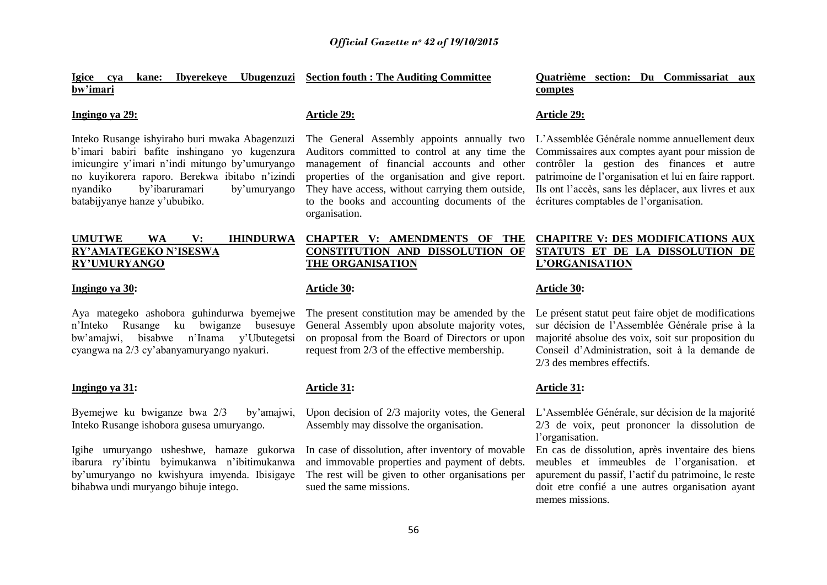**Igice cya kane: Ibyerekeye Ubugenzuzi Section fouth : The Auditing Committee bw'imari**

#### **Ingingo ya 29:**

Inteko Rusange ishyiraho buri mwaka Abagenzuzi b"imari babiri bafite inshingano yo kugenzura imicungire y"imari n"indi mitungo by"umuryango no kuyikorera raporo. Berekwa ibitabo n"izindi nyandiko by"ibaruramari by"umuryango batabijyanye hanze y"ububiko.

### **UMUTWE WA V: IHINDURWA RY'AMATEGEKO N'ISESWA RY'UMURYANGO**

#### **Ingingo ya 30:**

Aya mategeko ashobora guhindurwa byemejwe The present constitution may be amended by the n"Inteko Rusange ku bwiganze busesuye General Assembly upon absolute majority votes, bw"amajwi, bisabwe n"Inama y"Ubutegetsi cyangwa na 2/3 cy"abanyamuryango nyakuri.

#### **Ingingo ya 31:**

Byemejwe ku bwiganze bwa 2/3 by"amajwi, Inteko Rusange ishobora gusesa umuryango.

Igihe umuryango usheshwe, hamaze gukorwa ibarura ry"ibintu byimukanwa n"ibitimukanwa by"umuryango no kwishyura imyenda. Ibisigaye bihabwa undi muryango bihuje intego.

### **Article 29:**

The General Assembly appoints annually two Auditors committed to control at any time the management of financial accounts and other properties of the organisation and give report. They have access, without carrying them outside, to the books and accounting documents of the organisation.

### **CHAPTER V: AMENDMENTS OF THE CONSTITUTION AND DISSOLUTION OF THE ORGANISATION**

#### **Article 30:**

on proposal from the Board of Directors or upon request from 2/3 of the effective membership.

#### **Article 31:**

Upon decision of 2/3 majority votes, the General L'Assemblée Générale, sur décision de la majorité Assembly may dissolve the organisation.

In case of dissolution, after inventory of movable and immovable properties and payment of debts. The rest will be given to other organisations per sued the same missions.

#### **Quatrième section: Du Commissariat aux comptes**

#### **Article 29:**

L"Assemblée Générale nomme annuellement deux Commissaires aux comptes ayant pour mission de contrôler la gestion des finances et autre patrimoine de l"organisation et lui en faire rapport. Ils ont l"accès, sans les déplacer, aux livres et aux écritures comptables de l"organisation.

### **CHAPITRE V: DES MODIFICATIONS AUX STATUTS ET DE LA DISSOLUTION DE L'ORGANISATION**

#### **Article 30:**

Le présent statut peut faire objet de modifications sur décision de l"Assemblée Générale prise à la majorité absolue des voix, soit sur proposition du Conseil d"Administration, soit à la demande de 2/3 des membres effectifs.

#### **Article 31:**

2/3 de voix, peut prononcer la dissolution de l'organisation.

En cas de dissolution, après inventaire des biens meubles et immeubles de l"organisation. et apurement du passif, l"actif du patrimoine, le reste doit etre confié a une autres organisation ayant memes missions.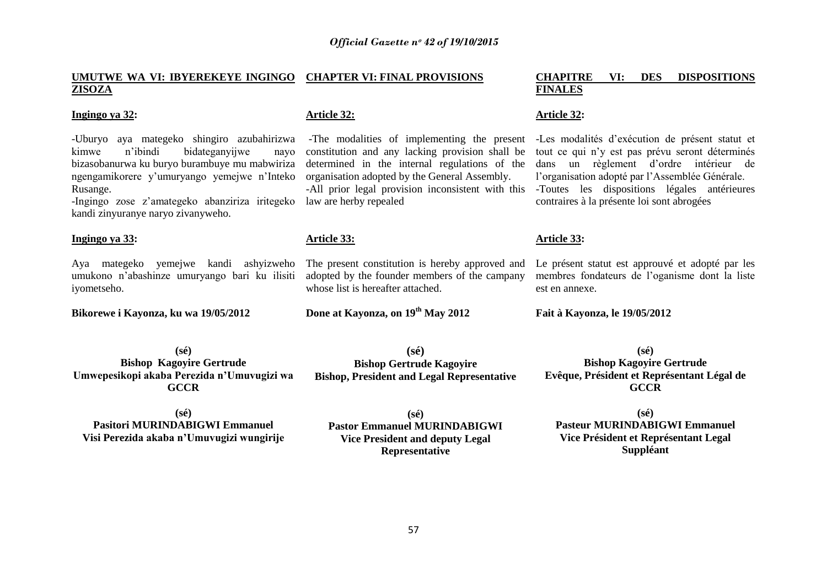#### **UMUTWE WA VI: IBYEREKEYE INGINGO CHAPTER VI: FINAL PROVISIONS ZISOZA**

#### **Ingingo ya 32:**

-Uburyo aya mategeko shingiro azubahirizwa kimwe n"ibindi bidateganyijwe nayo bizasobanurwa ku buryo burambuye mu mabwiriza ngengamikorere y"umuryango yemejwe n"Inteko Rusange.

-Ingingo zose z"amategeko abanziriza iritegeko kandi zinyuranye naryo zivanyweho.

#### **Ingingo ya 33:**

Aya mategeko yemejwe kandi ashyizweho umukono n"abashinze umuryango bari ku ilisiti iyometseho.

**Bikorewe i Kayonza, ku wa 19/05/2012**

#### **Article 32:**

constitution and any lacking provision shall be determined in the internal regulations of the organisation adopted by the General Assembly.

law are herby repealed

#### **Article 33:**

The present constitution is hereby approved and adopted by the founder members of the campany whose list is hereafter attached.

**(sé) Bishop Gertrude Kagoyire Bishop, President and Legal Representative**

**Done at Kayonza, on 19th May 2012**

#### **CHAPITRE VI: DES DISPOSITIONS FINALES**

#### **Article 32:**

-The modalities of implementing the present -Les modalités d'exécution de présent statut et -All prior legal provision inconsistent with this -Toutes les dispositions légales antérieures tout ce qui n"y est pas prévu seront déterminés dans un règlement d"ordre intérieur de l"organisation adopté par l"Assemblée Générale. contraires à la présente loi sont abrogées

#### **Article 33:**

Le présent statut est approuvé et adopté par les membres fondateurs de l"oganisme dont la liste est en annexe.

**Fait à Kayonza, le 19/05/2012**

**(sé) Bishop Kagoyire Gertrude Umwepesikopi akaba Perezida n'Umuvugizi wa GCCR**

**(sé) Pasitori MURINDABIGWI Emmanuel Visi Perezida akaba n'Umuvugizi wungirije**

**(sé) Pastor Emmanuel MURINDABIGWI Vice President and deputy Legal Representative**

**(sé) Bishop Kagoyire Gertrude Evêque, Président et Représentant Légal de GCCR**

**(sé) Pasteur MURINDABIGWI Emmanuel Vice Président et Représentant Legal Suppléant**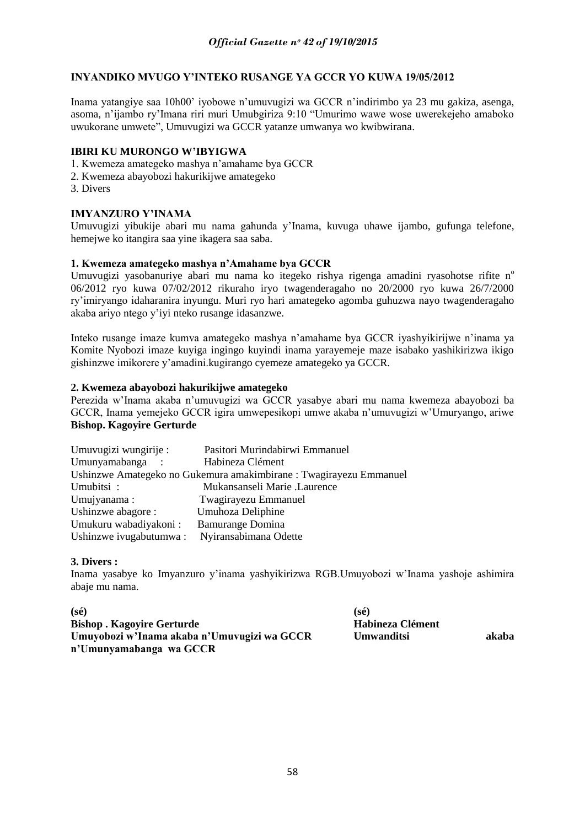### **INYANDIKO MVUGO Y'INTEKO RUSANGE YA GCCR YO KUWA 19/05/2012**

Inama yatangiye saa 10h00" iyobowe n"umuvugizi wa GCCR n"indirimbo ya 23 mu gakiza, asenga, asoma, n"ijambo ry"Imana riri muri Umubgiriza 9:10 "Umurimo wawe wose uwerekejeho amaboko uwukorane umwete", Umuvugizi wa GCCR yatanze umwanya wo kwibwirana.

### **IBIRI KU MURONGO W'IBYIGWA**

- 1. Kwemeza amategeko mashya n"amahame bya GCCR
- 2. Kwemeza abayobozi hakurikijwe amategeko
- 3. Divers

### **IMYANZURO Y'INAMA**

Umuvugizi yibukije abari mu nama gahunda y"Inama, kuvuga uhawe ijambo, gufunga telefone, hemejwe ko itangira saa yine ikagera saa saba.

### **1. Kwemeza amategeko mashya n'Amahame bya GCCR**

Umuvugizi yasobanuriye abari mu nama ko itegeko rishya rigenga amadini ryasohotse rifite n<sup>o</sup> 06/2012 ryo kuwa 07/02/2012 rikuraho iryo twagenderagaho no 20/2000 ryo kuwa 26/7/2000 ry"imiryango idaharanira inyungu. Muri ryo hari amategeko agomba guhuzwa nayo twagenderagaho akaba ariyo ntego y"iyi nteko rusange idasanzwe.

Inteko rusange imaze kumva amategeko mashya n"amahame bya GCCR iyashyikirijwe n"inama ya Komite Nyobozi imaze kuyiga ingingo kuyindi inama yarayemeje maze isabako yashikirizwa ikigo gishinzwe imikorere y"amadini.kugirango cyemeze amategeko ya GCCR.

### **2. Kwemeza abayobozi hakurikijwe amategeko**

Perezida w"Inama akaba n"umuvugizi wa GCCR yasabye abari mu nama kwemeza abayobozi ba GCCR, Inama yemejeko GCCR igira umwepesikopi umwe akaba n"umuvugizi w"Umuryango, ariwe **Bishop. Kagoyire Gerturde** 

| Umuvugizi wungirije:   | Pasitori Murindabirwi Emmanuel                                     |
|------------------------|--------------------------------------------------------------------|
| Umunyamabanga :        | Habineza Clément                                                   |
|                        | Ushinzwe Amategeko no Gukemura amakimbirane : Twagirayezu Emmanuel |
| Umubitsi:              | Mukansanseli Marie .Laurence                                       |
| Umujyanama:            | Twagirayezu Emmanuel                                               |
| Ushinzwe abagore :     | Umuhoza Deliphine                                                  |
| Umukuru wabadiyakoni:  | <b>Bamurange Domina</b>                                            |
| Ushinzwe ivugabutumwa: | Nyiransabimana Odette                                              |

### **3. Divers :**

Inama yasabye ko Imyanzuro y"inama yashyikirizwa RGB.Umuyobozi w"Inama yashoje ashimira abaje mu nama.

| $(s\acute{e})$                              | $(s\acute{e})$    |       |
|---------------------------------------------|-------------------|-------|
| <b>Bishop. Kagoyire Gerturde</b>            | Habineza Clément  |       |
| Umuyobozi w'Inama akaba n'Umuvugizi wa GCCR | <b>Umwanditsi</b> | akaba |
| n'Umunyamabanga wa GCCR                     |                   |       |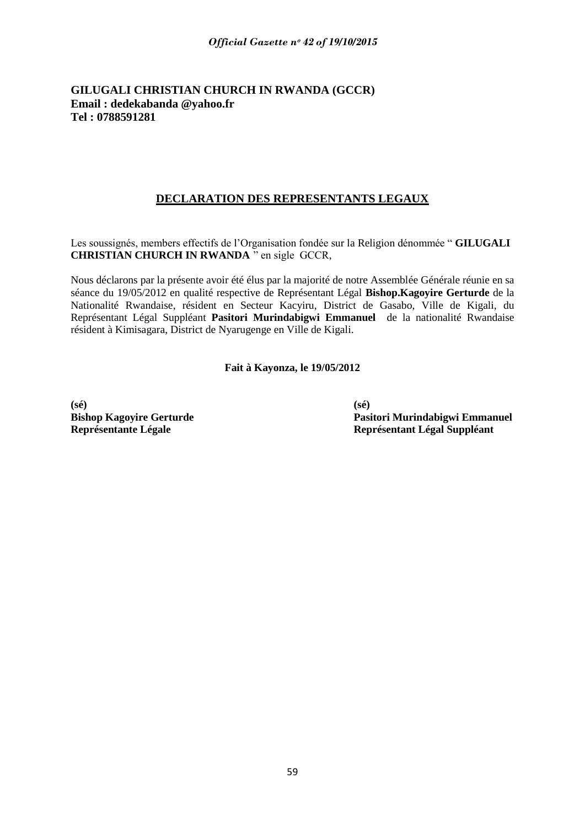### **GILUGALI CHRISTIAN CHURCH IN RWANDA (GCCR) Email : dedekabanda @yahoo.fr Tel : 0788591281**

# **DECLARATION DES REPRESENTANTS LEGAUX**

Les soussignés, members effectifs de l"Organisation fondée sur la Religion dénommée " **GILUGALI CHRISTIAN CHURCH IN RWANDA** " en sigle GCCR,

Nous déclarons par la présente avoir été élus par la majorité de notre Assemblée Générale réunie en sa séance du 19/05/2012 en qualité respective de Représentant Légal **Bishop.Kagoyire Gerturde** de la Nationalité Rwandaise, résident en Secteur Kacyiru, District de Gasabo, Ville de Kigali, du Représentant Légal Suppléant **Pasitori Murindabigwi Emmanuel** de la nationalité Rwandaise résident à Kimisagara, District de Nyarugenge en Ville de Kigali.

**Fait à Kayonza, le 19/05/2012**

**(sé) (sé)**

**Bishop Kagoyire Gerturde Pasitori Murindabigwi Emmanuel Représentante Légale Représentant Légal Suppléant**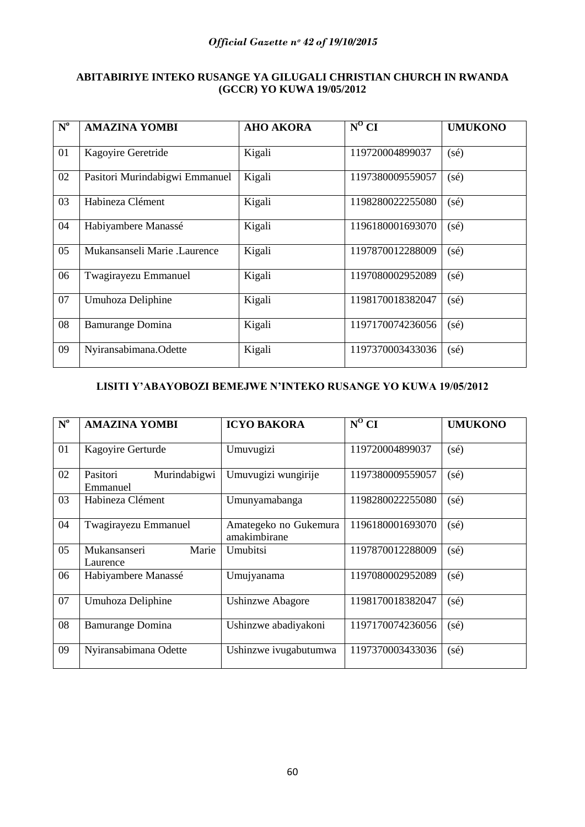# **ABITABIRIYE INTEKO RUSANGE YA GILUGALI CHRISTIAN CHURCH IN RWANDA (GCCR) YO KUWA 19/05/2012**

| $N^{\rm o}$ | <b>AMAZINA YOMBI</b>           | <b>AHO AKORA</b> | $\overline{N^0}$ CI | <b>UMUKONO</b> |
|-------------|--------------------------------|------------------|---------------------|----------------|
| 01          | Kagoyire Geretride             | Kigali           | 119720004899037     | $(s\acute{e})$ |
| 02          | Pasitori Murindabigwi Emmanuel | Kigali           | 1197380009559057    | $(s\acute{e})$ |
| 03          | Habineza Clément               | Kigali           | 1198280022255080    | $(s\acute{e})$ |
| 04          | Habiyambere Manassé            | Kigali           | 1196180001693070    | $(s\acute{e})$ |
| 05          | Mukansanseli Marie .Laurence   | Kigali           | 1197870012288009    | $(s\acute{e})$ |
| 06          | Twagirayezu Emmanuel           | Kigali           | 1197080002952089    | $(s\acute{e})$ |
| 07          | Umuhoza Deliphine              | Kigali           | 1198170018382047    | $(s\acute{e})$ |
| 08          | <b>Bamurange Domina</b>        | Kigali           | 1197170074236056    | $(s\acute{e})$ |
| 09          | Nyiransabimana.Odette          | Kigali           | 1197370003433036    | $(s\acute{e})$ |

# **LISITI Y'ABAYOBOZI BEMEJWE N'INTEKO RUSANGE YO KUWA 19/05/2012**

| $N^{\rm o}$ | <b>AMAZINA YOMBI</b>                 | <b>ICYO BAKORA</b>                    | $N^0$ CI         | <b>UMUKONO</b> |
|-------------|--------------------------------------|---------------------------------------|------------------|----------------|
| 01          | Kagoyire Gerturde                    | Umuvugizi                             | 119720004899037  | $(s\acute{e})$ |
| 02          | Murindabigwi<br>Pasitori<br>Emmanuel | Umuvugizi wungirije                   | 1197380009559057 | $(s\acute{e})$ |
| 03          | Habineza Clément                     | Umunyamabanga                         | 1198280022255080 | $(s\acute{e})$ |
| 04          | Twagirayezu Emmanuel                 | Amategeko no Gukemura<br>amakimbirane | 1196180001693070 | $(s\acute{e})$ |
| 05          | Marie<br>Mukansanseri<br>Laurence    | Umubitsi                              | 1197870012288009 | $(s\acute{e})$ |
| 06          | Habiyambere Manassé                  | Umujyanama                            | 1197080002952089 | $(s\acute{e})$ |
| 07          | Umuhoza Deliphine                    | <b>Ushinzwe Abagore</b>               | 1198170018382047 | $(s\acute{e})$ |
| 08          | <b>Bamurange Domina</b>              | Ushinzwe abadiyakoni                  | 1197170074236056 | $(s\acute{e})$ |
| 09          | Nyiransabimana Odette                | Ushinzwe ivugabutumwa                 | 1197370003433036 | $(s\acute{e})$ |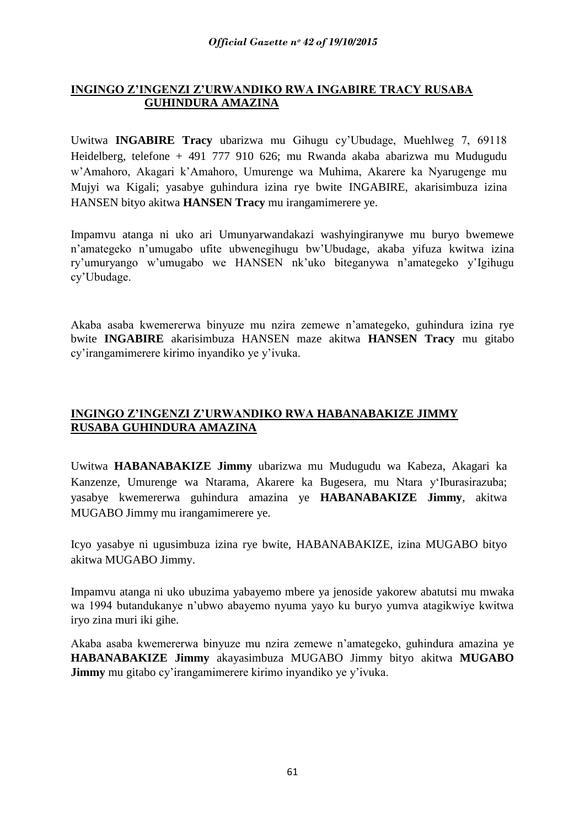# **INGINGO Z'INGENZI Z'URWANDIKO RWA INGABIRE TRACY RUSABA GUHINDURA AMAZINA**

Uwitwa **INGABIRE Tracy** ubarizwa mu Gihugu cy"Ubudage, Muehlweg 7, 69118 Heidelberg, telefone + 491 777 910 626; mu Rwanda akaba abarizwa mu Mudugudu w"Amahoro, Akagari k"Amahoro, Umurenge wa Muhima, Akarere ka Nyarugenge mu Mujyi wa Kigali; yasabye guhindura izina rye bwite INGABIRE, akarisimbuza izina HANSEN bityo akitwa **HANSEN Tracy** mu irangamimerere ye.

Impamvu atanga ni uko ari Umunyarwandakazi washyingiranywe mu buryo bwemewe n"amategeko n"umugabo ufite ubwenegihugu bw"Ubudage, akaba yifuza kwitwa izina ry"umuryango w"umugabo we HANSEN nk"uko biteganywa n"amategeko y"Igihugu cy"Ubudage.

Akaba asaba kwemererwa binyuze mu nzira zemewe n"amategeko, guhindura izina rye bwite **INGABIRE** akarisimbuza HANSEN maze akitwa **HANSEN Tracy** mu gitabo cy"irangamimerere kirimo inyandiko ye y"ivuka.

# **INGINGO Z'INGENZI Z'URWANDIKO RWA HABANABAKIZE JIMMY RUSABA GUHINDURA AMAZINA**

Uwitwa **HABANABAKIZE Jimmy** ubarizwa mu Mudugudu wa Kabeza, Akagari ka Kanzenze, Umurenge wa Ntarama, Akarere ka Bugesera, mu Ntara y"Iburasirazuba; yasabye kwemererwa guhindura amazina ye **HABANABAKIZE Jimmy**, akitwa MUGABO Jimmy mu irangamimerere ye.

Icyo yasabye ni ugusimbuza izina rye bwite, HABANABAKIZE, izina MUGABO bityo akitwa MUGABO Jimmy.

Impamvu atanga ni uko ubuzima yabayemo mbere ya jenoside yakorew abatutsi mu mwaka wa 1994 butandukanye n"ubwo abayemo nyuma yayo ku buryo yumva atagikwiye kwitwa iryo zina muri iki gihe.

Akaba asaba kwemererwa binyuze mu nzira zemewe n"amategeko, guhindura amazina ye **HABANABAKIZE Jimmy** akayasimbuza MUGABO Jimmy bityo akitwa **MUGABO Jimmy** mu gitabo cy'irangamimerere kirimo inyandiko ye y'ivuka.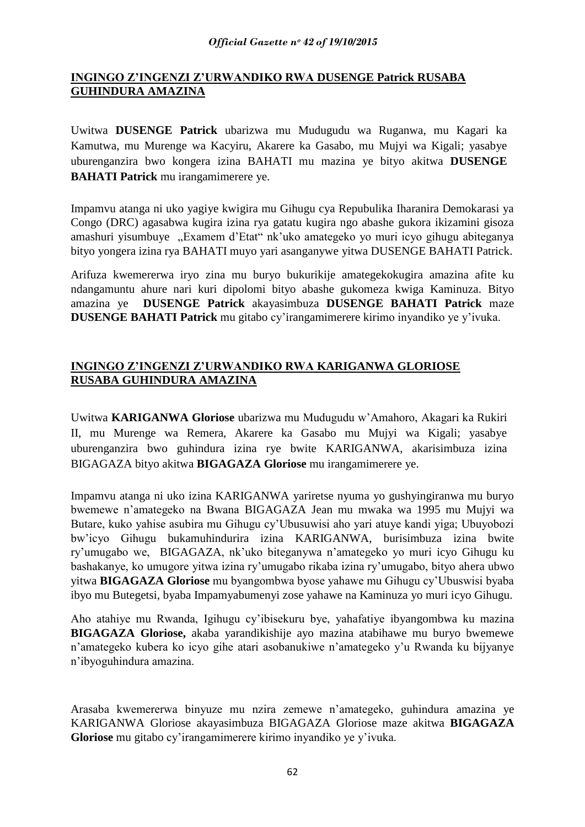# **INGINGO Z'INGENZI Z'URWANDIKO RWA DUSENGE Patrick RUSABA GUHINDURA AMAZINA**

Uwitwa **DUSENGE Patrick** ubarizwa mu Mudugudu wa Ruganwa, mu Kagari ka Kamutwa, mu Murenge wa Kacyiru, Akarere ka Gasabo, mu Mujyi wa Kigali; yasabye uburenganzira bwo kongera izina BAHATI mu mazina ye bityo akitwa **DUSENGE BAHATI Patrick** mu irangamimerere ye.

Impamvu atanga ni uko yagiye kwigira mu Gihugu cya Repubulika Iharanira Demokarasi ya Congo (DRC) agasabwa kugira izina rya gatatu kugira ngo abashe gukora ikizamini gisoza amashuri yisumbuye "Examem d"Etat" nk"uko amategeko yo muri icyo gihugu abiteganya bityo yongera izina rya BAHATI muyo yari asanganywe yitwa DUSENGE BAHATI Patrick.

Arifuza kwemererwa iryo zina mu buryo bukurikije amategekokugira amazina afite ku ndangamuntu ahure nari kuri dipolomi bityo abashe gukomeza kwiga Kaminuza. Bityo amazina ye **DUSENGE Patrick** akayasimbuza **DUSENGE BAHATI Patrick** maze **DUSENGE BAHATI Patrick** mu gitabo cy"irangamimerere kirimo inyandiko ye y"ivuka.

# **INGINGO Z'INGENZI Z'URWANDIKO RWA KARIGANWA GLORIOSE RUSABA GUHINDURA AMAZINA**

Uwitwa **KARIGANWA Gloriose** ubarizwa mu Mudugudu w"Amahoro, Akagari ka Rukiri II, mu Murenge wa Remera, Akarere ka Gasabo mu Mujyi wa Kigali; yasabye uburenganzira bwo guhindura izina rye bwite KARIGANWA, akarisimbuza izina BIGAGAZA bityo akitwa **BIGAGAZA Gloriose** mu irangamimerere ye.

Impamvu atanga ni uko izina KARIGANWA yariretse nyuma yo gushyingiranwa mu buryo bwemewe n"amategeko na Bwana BIGAGAZA Jean mu mwaka wa 1995 mu Mujyi wa Butare, kuko yahise asubira mu Gihugu cy"Ubusuwisi aho yari atuye kandi yiga; Ubuyobozi bw"icyo Gihugu bukamuhindurira izina KARIGANWA, burisimbuza izina bwite ry"umugabo we, BIGAGAZA, nk"uko biteganywa n"amategeko yo muri icyo Gihugu ku bashakanye, ko umugore yitwa izina ry"umugabo rikaba izina ry"umugabo, bityo ahera ubwo yitwa **BIGAGAZA Gloriose** mu byangombwa byose yahawe mu Gihugu cy"Ubuswisi byaba ibyo mu Butegetsi, byaba Impamyabumenyi zose yahawe na Kaminuza yo muri icyo Gihugu.

Aho atahiye mu Rwanda, Igihugu cy"ibisekuru bye, yahafatiye ibyangombwa ku mazina **BIGAGAZA Gloriose,** akaba yarandikishije ayo mazina atabihawe mu buryo bwemewe n"amategeko kubera ko icyo gihe atari asobanukiwe n"amategeko y"u Rwanda ku bijyanye n"ibyoguhindura amazina.

Arasaba kwemererwa binyuze mu nzira zemewe n"amategeko, guhindura amazina ye KARIGANWA Gloriose akayasimbuza BIGAGAZA Gloriose maze akitwa **BIGAGAZA Gloriose** mu gitabo cy"irangamimerere kirimo inyandiko ye y"ivuka.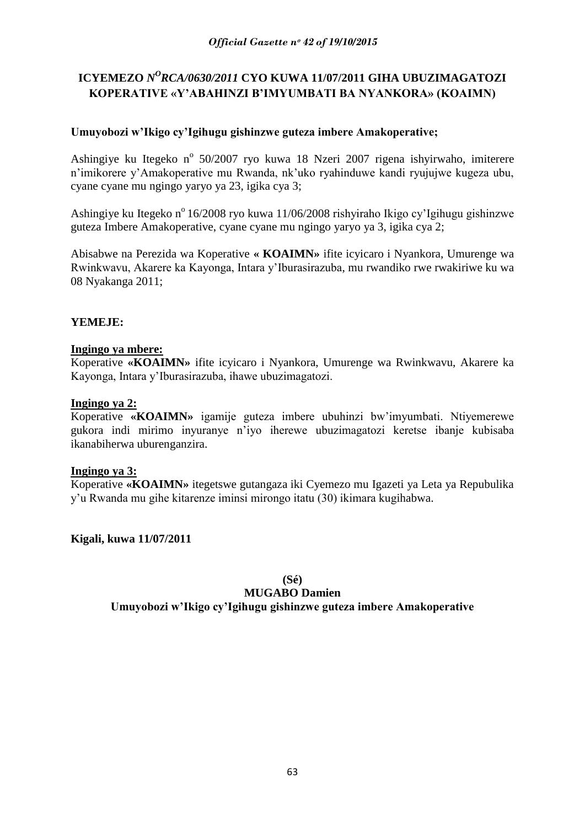# ICYEMEZO *N<sup>O</sup>RCA/0630/2011* CYO KUWA 11/07/2011 GIHA UBUZIMAGATOZI **KOPERATIVE «Y'ABAHINZI B'IMYUMBATI BA NYANKORA» (KOAIMN)**

# **Umuyobozi w'Ikigo cy'Igihugu gishinzwe guteza imbere Amakoperative;**

Ashingiye ku Itegeko nº 50/2007 ryo kuwa 18 Nzeri 2007 rigena ishyirwaho, imiterere n"imikorere y"Amakoperative mu Rwanda, nk"uko ryahinduwe kandi ryujujwe kugeza ubu, cyane cyane mu ngingo yaryo ya 23, igika cya 3;

Ashingiye ku Itegeko n<sup>o</sup> 16/2008 ryo kuwa 11/06/2008 rishyiraho Ikigo cy'Igihugu gishinzwe guteza Imbere Amakoperative, cyane cyane mu ngingo yaryo ya 3, igika cya 2;

Abisabwe na Perezida wa Koperative **« KOAIMN»** ifite icyicaro i Nyankora, Umurenge wa Rwinkwavu, Akarere ka Kayonga, Intara y"Iburasirazuba, mu rwandiko rwe rwakiriwe ku wa 08 Nyakanga 2011;

# **YEMEJE:**

# **Ingingo ya mbere:**

Koperative **«KOAIMN»** ifite icyicaro i Nyankora, Umurenge wa Rwinkwavu, Akarere ka Kayonga, Intara y"Iburasirazuba, ihawe ubuzimagatozi.

# **Ingingo ya 2:**

Koperative **«KOAIMN»** igamije guteza imbere ubuhinzi bw"imyumbati. Ntiyemerewe gukora indi mirimo inyuranye n"iyo iherewe ubuzimagatozi keretse ibanje kubisaba ikanabiherwa uburenganzira.

# **Ingingo ya 3:**

Koperative **«KOAIMN»** itegetswe gutangaza iki Cyemezo mu Igazeti ya Leta ya Repubulika y"u Rwanda mu gihe kitarenze iminsi mirongo itatu (30) ikimara kugihabwa.

**Kigali, kuwa 11/07/2011**

# **(Sé)**

# **MUGABO Damien Umuyobozi w'Ikigo cy'Igihugu gishinzwe guteza imbere Amakoperative**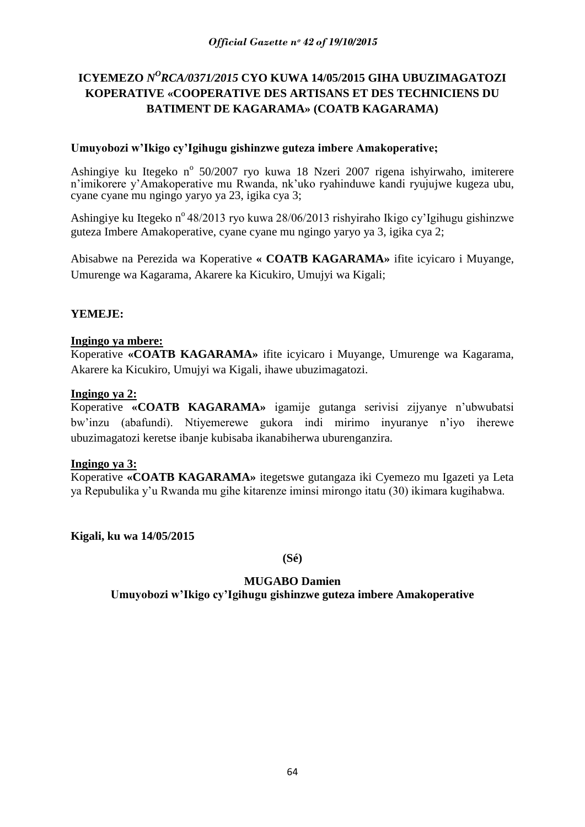# ICYEMEZO *N<sup>O</sup>RCA/0371/2015* CYO KUWA 14/05/2015 GIHA UBUZIMAGATOZI **KOPERATIVE «COOPERATIVE DES ARTISANS ET DES TECHNICIENS DU BATIMENT DE KAGARAMA» (COATB KAGARAMA)**

# **Umuyobozi w'Ikigo cy'Igihugu gishinzwe guteza imbere Amakoperative;**

Ashingiye ku Itegeko nº 50/2007 ryo kuwa 18 Nzeri 2007 rigena ishyirwaho, imiterere n"imikorere y"Amakoperative mu Rwanda, nk"uko ryahinduwe kandi ryujujwe kugeza ubu, cyane cyane mu ngingo yaryo ya 23, igika cya 3;

Ashingiye ku Itegeko n<sup>o</sup> 48/2013 ryo kuwa 28/06/2013 rishyiraho Ikigo cy'Igihugu gishinzwe guteza Imbere Amakoperative, cyane cyane mu ngingo yaryo ya 3, igika cya 2;

Abisabwe na Perezida wa Koperative **« COATB KAGARAMA»** ifite icyicaro i Muyange, Umurenge wa Kagarama, Akarere ka Kicukiro, Umujyi wa Kigali;

# **YEMEJE:**

# **Ingingo ya mbere:**

Koperative **«COATB KAGARAMA»** ifite icyicaro i Muyange, Umurenge wa Kagarama, Akarere ka Kicukiro, Umujyi wa Kigali, ihawe ubuzimagatozi.

# **Ingingo ya 2:**

Koperative **«COATB KAGARAMA»** igamije gutanga serivisi zijyanye n"ubwubatsi bw"inzu (abafundi). Ntiyemerewe gukora indi mirimo inyuranye n"iyo iherewe ubuzimagatozi keretse ibanje kubisaba ikanabiherwa uburenganzira.

# **Ingingo ya 3:**

Koperative **«COATB KAGARAMA»** itegetswe gutangaza iki Cyemezo mu Igazeti ya Leta ya Repubulika y"u Rwanda mu gihe kitarenze iminsi mirongo itatu (30) ikimara kugihabwa.

**Kigali, ku wa 14/05/2015**

**(Sé)**

# **MUGABO Damien**

**Umuyobozi w'Ikigo cy'Igihugu gishinzwe guteza imbere Amakoperative**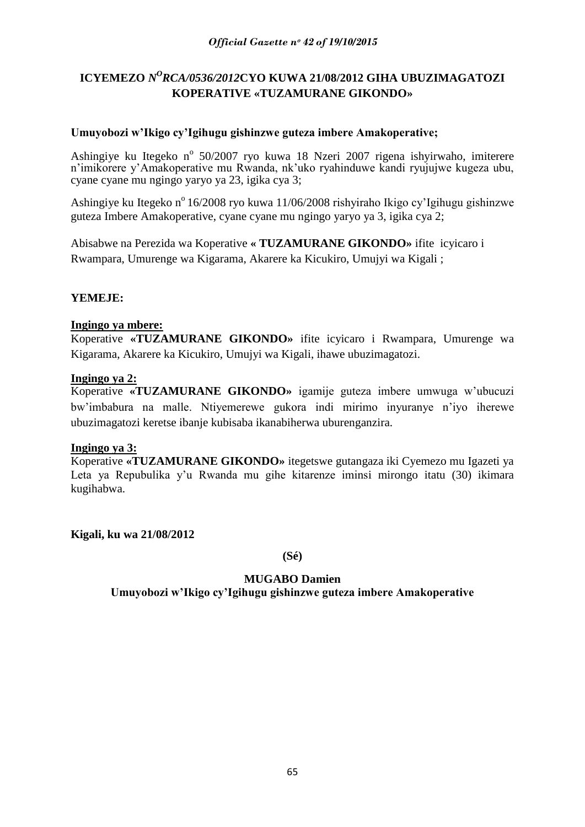# ICYEMEZO *N<sup>O</sup>RCA/0536/2012*CYO KUWA 21/08/2012 GIHA UBUZIMAGATOZI **KOPERATIVE «TUZAMURANE GIKONDO»**

# **Umuyobozi w'Ikigo cy'Igihugu gishinzwe guteza imbere Amakoperative;**

Ashingiye ku Itegeko nº 50/2007 ryo kuwa 18 Nzeri 2007 rigena ishyirwaho, imiterere n'imikorere y'Amakoperative mu Rwanda, nk'uko ryahinduwe kandi ryujujwe kugeza ubu, cyane cyane mu ngingo yaryo ya 23, igika cya 3;

Ashingiye ku Itegeko n<sup>o</sup> 16/2008 ryo kuwa 11/06/2008 rishyiraho Ikigo cy'Igihugu gishinzwe guteza Imbere Amakoperative, cyane cyane mu ngingo yaryo ya 3, igika cya 2;

Abisabwe na Perezida wa Koperative **« TUZAMURANE GIKONDO»** ifite icyicaro i Rwampara, Umurenge wa Kigarama, Akarere ka Kicukiro, Umujyi wa Kigali ;

# **YEMEJE:**

# **Ingingo ya mbere:**

Koperative **«TUZAMURANE GIKONDO»** ifite icyicaro i Rwampara, Umurenge wa Kigarama, Akarere ka Kicukiro, Umujyi wa Kigali, ihawe ubuzimagatozi.

### **Ingingo ya 2:**

Koperative **«TUZAMURANE GIKONDO»** igamije guteza imbere umwuga w"ubucuzi bw"imbabura na malle. Ntiyemerewe gukora indi mirimo inyuranye n"iyo iherewe ubuzimagatozi keretse ibanje kubisaba ikanabiherwa uburenganzira.

# **Ingingo ya 3:**

Koperative **«TUZAMURANE GIKONDO»** itegetswe gutangaza iki Cyemezo mu Igazeti ya Leta ya Repubulika y"u Rwanda mu gihe kitarenze iminsi mirongo itatu (30) ikimara kugihabwa.

**Kigali, ku wa 21/08/2012**

**(Sé)**

# **MUGABO Damien Umuyobozi w'Ikigo cy'Igihugu gishinzwe guteza imbere Amakoperative**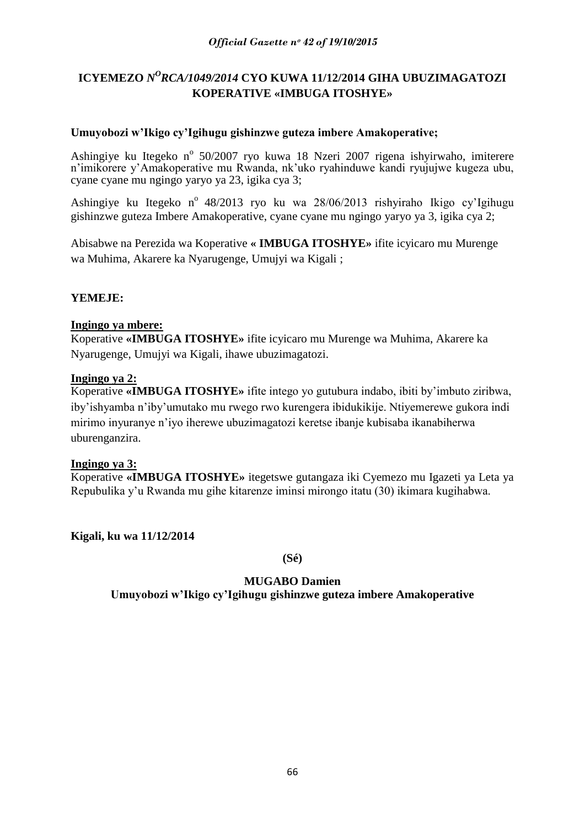# ICYEMEZO *N<sup>O</sup>RCA/1049/2014* CYO KUWA 11/12/2014 GIHA UBUZIMAGATOZI **KOPERATIVE «IMBUGA ITOSHYE»**

# **Umuyobozi w'Ikigo cy'Igihugu gishinzwe guteza imbere Amakoperative;**

Ashingiye ku Itegeko nº 50/2007 ryo kuwa 18 Nzeri 2007 rigena ishyirwaho, imiterere n'imikorere y'Amakoperative mu Rwanda, nk'uko ryahinduwe kandi ryujujwe kugeza ubu, cyane cyane mu ngingo yaryo ya 23, igika cya 3;

Ashingiye ku Itegeko n° 48/2013 ryo ku wa 28/06/2013 rishyiraho Ikigo cy'Igihugu gishinzwe guteza Imbere Amakoperative, cyane cyane mu ngingo yaryo ya 3, igika cya 2;

Abisabwe na Perezida wa Koperative **« IMBUGA ITOSHYE»** ifite icyicaro mu Murenge wa Muhima, Akarere ka Nyarugenge, Umujyi wa Kigali ;

# **YEMEJE:**

# **Ingingo ya mbere:**

Koperative **«IMBUGA ITOSHYE»** ifite icyicaro mu Murenge wa Muhima, Akarere ka Nyarugenge, Umujyi wa Kigali, ihawe ubuzimagatozi.

# **Ingingo ya 2:**

Koperative **«IMBUGA ITOSHYE»** ifite intego yo gutubura indabo, ibiti by"imbuto ziribwa, iby"ishyamba n"iby"umutako mu rwego rwo kurengera ibidukikije. Ntiyemerewe gukora indi mirimo inyuranye n"iyo iherewe ubuzimagatozi keretse ibanje kubisaba ikanabiherwa uburenganzira.

# **Ingingo ya 3:**

Koperative **«IMBUGA ITOSHYE»** itegetswe gutangaza iki Cyemezo mu Igazeti ya Leta ya Repubulika y"u Rwanda mu gihe kitarenze iminsi mirongo itatu (30) ikimara kugihabwa.

**Kigali, ku wa 11/12/2014**

**(Sé)**

# **MUGABO Damien**

**Umuyobozi w'Ikigo cy'Igihugu gishinzwe guteza imbere Amakoperative**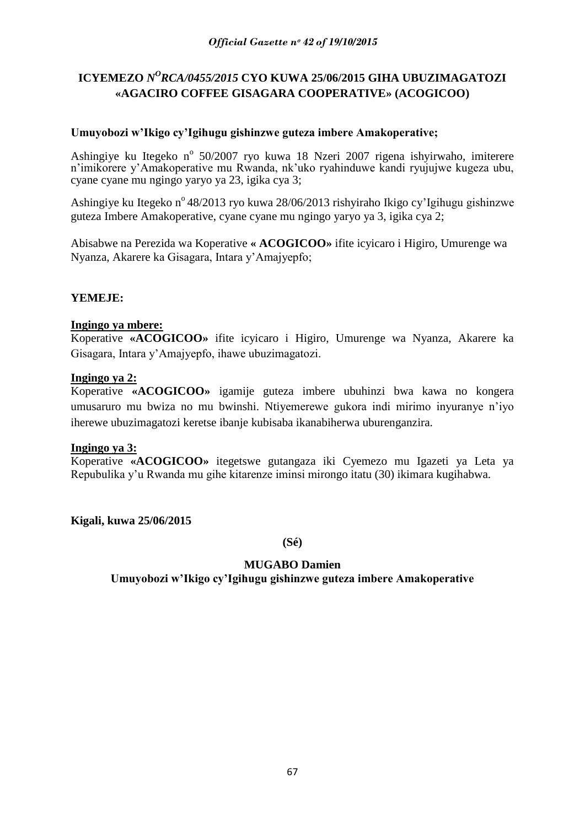# ICYEMEZO *N<sup>O</sup>RCA/0455/2015* CYO KUWA 25/06/2015 GIHA UBUZIMAGATOZI **«AGACIRO COFFEE GISAGARA COOPERATIVE» (ACOGICOO)**

# **Umuyobozi w'Ikigo cy'Igihugu gishinzwe guteza imbere Amakoperative;**

Ashingiye ku Itegeko nº 50/2007 ryo kuwa 18 Nzeri 2007 rigena ishyirwaho, imiterere n'imikorere y'Amakoperative mu Rwanda, nk'uko ryahinduwe kandi ryujujwe kugeza ubu, cyane cyane mu ngingo yaryo ya 23, igika cya 3;

Ashingiye ku Itegeko n<sup>o</sup> 48/2013 ryo kuwa 28/06/2013 rishyiraho Ikigo cy'lgihugu gishinzwe guteza Imbere Amakoperative, cyane cyane mu ngingo yaryo ya 3, igika cya 2;

Abisabwe na Perezida wa Koperative **« ACOGICOO»** ifite icyicaro i Higiro, Umurenge wa Nyanza, Akarere ka Gisagara, Intara y"Amajyepfo;

# **YEMEJE:**

# **Ingingo ya mbere:**

Koperative **«ACOGICOO»** ifite icyicaro i Higiro, Umurenge wa Nyanza, Akarere ka Gisagara, Intara y"Amajyepfo, ihawe ubuzimagatozi.

### **Ingingo ya 2:**

Koperative **«ACOGICOO»** igamije guteza imbere ubuhinzi bwa kawa no kongera umusaruro mu bwiza no mu bwinshi. Ntiyemerewe gukora indi mirimo inyuranye n"iyo iherewe ubuzimagatozi keretse ibanje kubisaba ikanabiherwa uburenganzira.

### **Ingingo ya 3:**

Koperative **«ACOGICOO»** itegetswe gutangaza iki Cyemezo mu Igazeti ya Leta ya Repubulika y"u Rwanda mu gihe kitarenze iminsi mirongo itatu (30) ikimara kugihabwa.

**Kigali, kuwa 25/06/2015**

**(Sé)**

# **MUGABO Damien Umuyobozi w'Ikigo cy'Igihugu gishinzwe guteza imbere Amakoperative**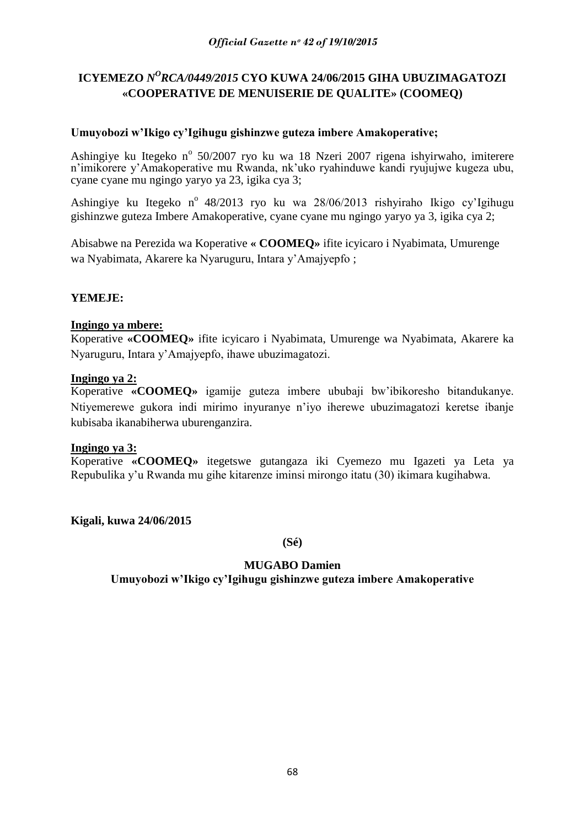# ICYEMEZO *N<sup>O</sup>RCA/0449/2015* CYO KUWA 24/06/2015 GIHA UBUZIMAGATOZI **«COOPERATIVE DE MENUISERIE DE QUALITE» (COOMEQ)**

# **Umuyobozi w'Ikigo cy'Igihugu gishinzwe guteza imbere Amakoperative;**

Ashingiye ku Itegeko nº 50/2007 ryo ku wa 18 Nzeri 2007 rigena ishyirwaho, imiterere n'imikorere y'Amakoperative mu Rwanda, nk'uko ryahinduwe kandi ryujujwe kugeza ubu, cyane cyane mu ngingo yaryo ya 23, igika cya 3;

Ashingiye ku Itegeko n° 48/2013 ryo ku wa 28/06/2013 rishyiraho Ikigo cy'Igihugu gishinzwe guteza Imbere Amakoperative, cyane cyane mu ngingo yaryo ya 3, igika cya 2;

Abisabwe na Perezida wa Koperative **« COOMEQ»** ifite icyicaro i Nyabimata, Umurenge wa Nyabimata, Akarere ka Nyaruguru, Intara y"Amajyepfo ;

# **YEMEJE:**

# **Ingingo ya mbere:**

Koperative **«COOMEQ»** ifite icyicaro i Nyabimata, Umurenge wa Nyabimata, Akarere ka Nyaruguru, Intara y"Amajyepfo, ihawe ubuzimagatozi.

# **Ingingo ya 2:**

Koperative **«COOMEQ»** igamije guteza imbere ububaji bw"ibikoresho bitandukanye. Ntiyemerewe gukora indi mirimo inyuranye n"iyo iherewe ubuzimagatozi keretse ibanje kubisaba ikanabiherwa uburenganzira.

# **Ingingo ya 3:**

Koperative **«COOMEQ»** itegetswe gutangaza iki Cyemezo mu Igazeti ya Leta ya Repubulika y"u Rwanda mu gihe kitarenze iminsi mirongo itatu (30) ikimara kugihabwa.

**Kigali, kuwa 24/06/2015**

**(Sé)**

# **MUGABO Damien**

**Umuyobozi w'Ikigo cy'Igihugu gishinzwe guteza imbere Amakoperative**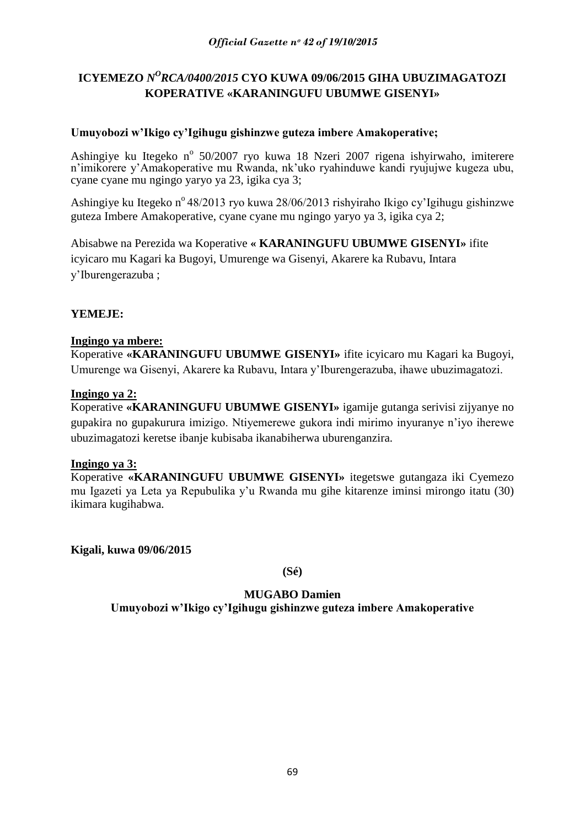# ICYEMEZO *N<sup>O</sup>RCA/0400/2015* CYO KUWA 09/06/2015 GIHA UBUZIMAGATOZI **KOPERATIVE «KARANINGUFU UBUMWE GISENYI»**

# **Umuyobozi w'Ikigo cy'Igihugu gishinzwe guteza imbere Amakoperative;**

Ashingiye ku Itegeko nº 50/2007 ryo kuwa 18 Nzeri 2007 rigena ishyirwaho, imiterere n'imikorere y'Amakoperative mu Rwanda, nk'uko ryahinduwe kandi ryujujwe kugeza ubu, cyane cyane mu ngingo yaryo ya 23, igika cya 3;

Ashingiye ku Itegeko n<sup>o</sup> 48/2013 ryo kuwa 28/06/2013 rishyiraho Ikigo cy'Igihugu gishinzwe guteza Imbere Amakoperative, cyane cyane mu ngingo yaryo ya 3, igika cya 2;

Abisabwe na Perezida wa Koperative **« KARANINGUFU UBUMWE GISENYI»** ifite icyicaro mu Kagari ka Bugoyi, Umurenge wa Gisenyi, Akarere ka Rubavu, Intara y"Iburengerazuba ;

# **YEMEJE:**

# **Ingingo ya mbere:**

Koperative **«KARANINGUFU UBUMWE GISENYI»** ifite icyicaro mu Kagari ka Bugoyi, Umurenge wa Gisenyi, Akarere ka Rubavu, Intara y"Iburengerazuba, ihawe ubuzimagatozi.

# **Ingingo ya 2:**

Koperative **«KARANINGUFU UBUMWE GISENYI»** igamije gutanga serivisi zijyanye no gupakira no gupakurura imizigo. Ntiyemerewe gukora indi mirimo inyuranye n"iyo iherewe ubuzimagatozi keretse ibanje kubisaba ikanabiherwa uburenganzira.

# **Ingingo ya 3:**

Koperative **«KARANINGUFU UBUMWE GISENYI»** itegetswe gutangaza iki Cyemezo mu Igazeti ya Leta ya Repubulika y"u Rwanda mu gihe kitarenze iminsi mirongo itatu (30) ikimara kugihabwa.

**Kigali, kuwa 09/06/2015**

**(Sé)**

**MUGABO Damien Umuyobozi w'Ikigo cy'Igihugu gishinzwe guteza imbere Amakoperative**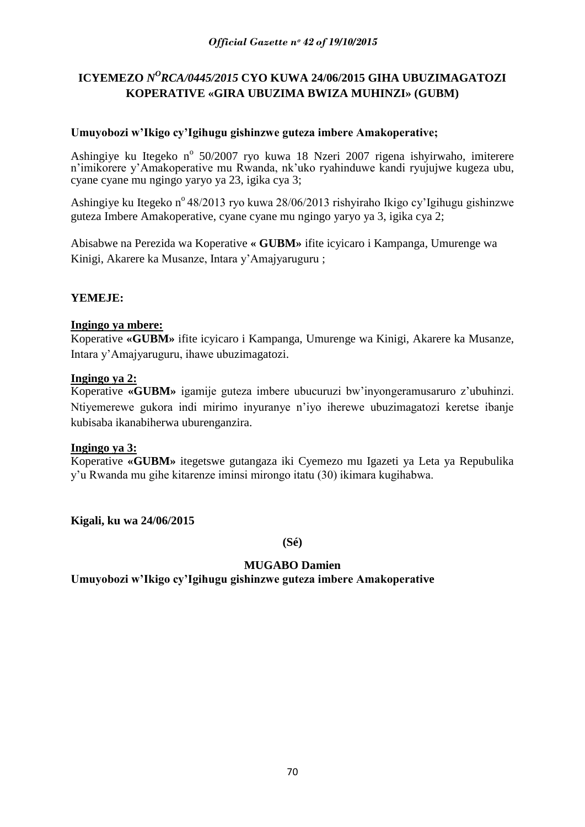# ICYEMEZO *N<sup>O</sup>RCA/0445/2015* CYO KUWA 24/06/2015 GIHA UBUZIMAGATOZI **KOPERATIVE «GIRA UBUZIMA BWIZA MUHINZI» (GUBM)**

# **Umuyobozi w'Ikigo cy'Igihugu gishinzwe guteza imbere Amakoperative;**

Ashingiye ku Itegeko nº 50/2007 ryo kuwa 18 Nzeri 2007 rigena ishyirwaho, imiterere n'imikorere y'Amakoperative mu Rwanda, nk'uko ryahinduwe kandi ryujujwe kugeza ubu, cyane cyane mu ngingo yaryo ya 23, igika cya 3;

Ashingiye ku Itegeko n<sup>o</sup> 48/2013 ryo kuwa 28/06/2013 rishyiraho Ikigo cy'Igihugu gishinzwe guteza Imbere Amakoperative, cyane cyane mu ngingo yaryo ya 3, igika cya 2;

Abisabwe na Perezida wa Koperative **« GUBM»** ifite icyicaro i Kampanga, Umurenge wa Kinigi, Akarere ka Musanze, Intara y"Amajyaruguru ;

# **YEMEJE:**

# **Ingingo ya mbere:**

Koperative **«GUBM»** ifite icyicaro i Kampanga, Umurenge wa Kinigi, Akarere ka Musanze, Intara y"Amajyaruguru, ihawe ubuzimagatozi.

# **Ingingo ya 2:**

Koperative **«GUBM»** igamije guteza imbere ubucuruzi bw"inyongeramusaruro z"ubuhinzi. Ntiyemerewe gukora indi mirimo inyuranye n"iyo iherewe ubuzimagatozi keretse ibanje kubisaba ikanabiherwa uburenganzira.

# **Ingingo ya 3:**

Koperative **«GUBM»** itegetswe gutangaza iki Cyemezo mu Igazeti ya Leta ya Repubulika y"u Rwanda mu gihe kitarenze iminsi mirongo itatu (30) ikimara kugihabwa.

**Kigali, ku wa 24/06/2015**

**(Sé)**

# **MUGABO Damien**

**Umuyobozi w'Ikigo cy'Igihugu gishinzwe guteza imbere Amakoperative**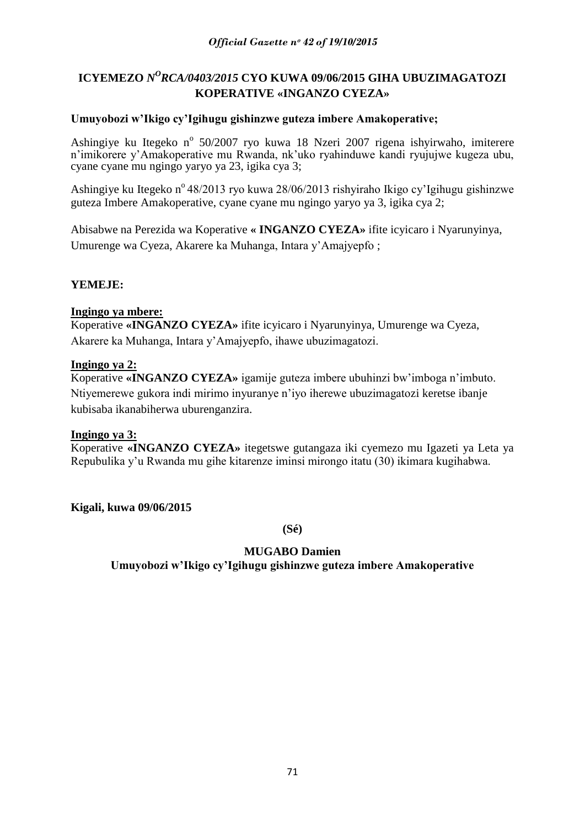# ICYEMEZO *N<sup>O</sup>RCA/0403/2015* CYO KUWA 09/06/2015 GIHA UBUZIMAGATOZI **KOPERATIVE «INGANZO CYEZA»**

# **Umuyobozi w'Ikigo cy'Igihugu gishinzwe guteza imbere Amakoperative;**

Ashingiye ku Itegeko nº 50/2007 ryo kuwa 18 Nzeri 2007 rigena ishyirwaho, imiterere n'imikorere y'Amakoperative mu Rwanda, nk'uko ryahinduwe kandi ryujujwe kugeza ubu, cyane cyane mu ngingo yaryo ya 23, igika cya 3;

Ashingiye ku Itegeko n<sup>o</sup> 48/2013 ryo kuwa 28/06/2013 rishyiraho Ikigo cy'Igihugu gishinzwe guteza Imbere Amakoperative, cyane cyane mu ngingo yaryo ya 3, igika cya 2;

Abisabwe na Perezida wa Koperative **« INGANZO CYEZA»** ifite icyicaro i Nyarunyinya, Umurenge wa Cyeza, Akarere ka Muhanga, Intara y"Amajyepfo ;

# **YEMEJE:**

# **Ingingo ya mbere:**

Koperative **«INGANZO CYEZA»** ifite icyicaro i Nyarunyinya, Umurenge wa Cyeza, Akarere ka Muhanga, Intara y"Amajyepfo, ihawe ubuzimagatozi.

# **Ingingo ya 2:**

Koperative **«INGANZO CYEZA»** igamije guteza imbere ubuhinzi bw"imboga n"imbuto. Ntiyemerewe gukora indi mirimo inyuranye n"iyo iherewe ubuzimagatozi keretse ibanje kubisaba ikanabiherwa uburenganzira.

# **Ingingo ya 3:**

Koperative **«INGANZO CYEZA»** itegetswe gutangaza iki cyemezo mu Igazeti ya Leta ya Repubulika y"u Rwanda mu gihe kitarenze iminsi mirongo itatu (30) ikimara kugihabwa.

**Kigali, kuwa 09/06/2015**

**(Sé)**

# **MUGABO Damien**

**Umuyobozi w'Ikigo cy'Igihugu gishinzwe guteza imbere Amakoperative**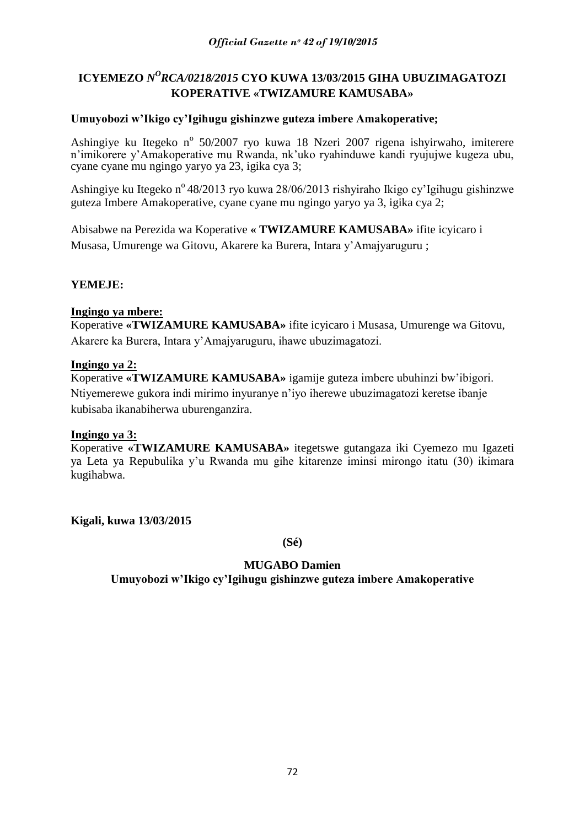# ICYEMEZO *N<sup>O</sup>RCA/0218/2015* CYO KUWA 13/03/2015 GIHA UBUZIMAGATOZI **KOPERATIVE «TWIZAMURE KAMUSABA»**

# **Umuyobozi w'Ikigo cy'Igihugu gishinzwe guteza imbere Amakoperative;**

Ashingiye ku Itegeko nº 50/2007 ryo kuwa 18 Nzeri 2007 rigena ishyirwaho, imiterere n'imikorere y'Amakoperative mu Rwanda, nk'uko ryahinduwe kandi ryujujwe kugeza ubu, cyane cyane mu ngingo yaryo ya 23, igika cya 3;

Ashingiye ku Itegeko n<sup>o</sup> 48/2013 ryo kuwa 28/06/2013 rishyiraho Ikigo cy'Igihugu gishinzwe guteza Imbere Amakoperative, cyane cyane mu ngingo yaryo ya 3, igika cya 2;

Abisabwe na Perezida wa Koperative **« TWIZAMURE KAMUSABA»** ifite icyicaro i Musasa, Umurenge wa Gitovu, Akarere ka Burera, Intara y"Amajyaruguru ;

# **YEMEJE:**

# **Ingingo ya mbere:**

Koperative **«TWIZAMURE KAMUSABA»** ifite icyicaro i Musasa, Umurenge wa Gitovu, Akarere ka Burera, Intara y"Amajyaruguru, ihawe ubuzimagatozi.

# **Ingingo ya 2:**

Koperative **«TWIZAMURE KAMUSABA»** igamije guteza imbere ubuhinzi bw"ibigori. Ntiyemerewe gukora indi mirimo inyuranye n"iyo iherewe ubuzimagatozi keretse ibanje kubisaba ikanabiherwa uburenganzira.

# **Ingingo ya 3:**

Koperative **«TWIZAMURE KAMUSABA»** itegetswe gutangaza iki Cyemezo mu Igazeti ya Leta ya Repubulika y"u Rwanda mu gihe kitarenze iminsi mirongo itatu (30) ikimara kugihabwa.

**Kigali, kuwa 13/03/2015**

**(Sé)**

# **MUGABO Damien Umuyobozi w'Ikigo cy'Igihugu gishinzwe guteza imbere Amakoperative**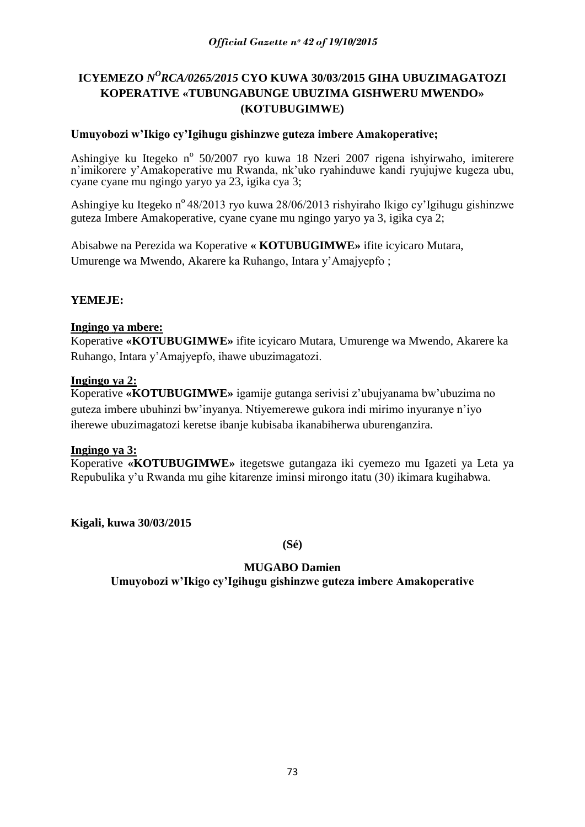# ICYEMEZO *N<sup>O</sup>RCA/0265/2015* CYO KUWA 30/03/2015 GIHA UBUZIMAGATOZI **KOPERATIVE «TUBUNGABUNGE UBUZIMA GISHWERU MWENDO» (KOTUBUGIMWE)**

## **Umuyobozi w'Ikigo cy'Igihugu gishinzwe guteza imbere Amakoperative;**

Ashingiye ku Itegeko nº 50/2007 ryo kuwa 18 Nzeri 2007 rigena ishyirwaho, imiterere n'imikorere y'Amakoperative mu Rwanda, nk'uko ryahinduwe kandi ryujujwe kugeza ubu, cyane cyane mu ngingo yaryo ya 23, igika cya 3;

Ashingiye ku Itegeko nº 48/2013 ryo kuwa 28/06/2013 rishyiraho Ikigo cy'Igihugu gishinzwe guteza Imbere Amakoperative, cyane cyane mu ngingo yaryo ya 3, igika cya 2;

Abisabwe na Perezida wa Koperative **« KOTUBUGIMWE»** ifite icyicaro Mutara, Umurenge wa Mwendo, Akarere ka Ruhango, Intara y"Amajyepfo ;

## **YEMEJE:**

#### **Ingingo ya mbere:**

Koperative **«KOTUBUGIMWE»** ifite icyicaro Mutara, Umurenge wa Mwendo, Akarere ka Ruhango, Intara y"Amajyepfo, ihawe ubuzimagatozi.

#### **Ingingo ya 2:**

Koperative **«KOTUBUGIMWE»** igamije gutanga serivisi z"ubujyanama bw"ubuzima no guteza imbere ubuhinzi bw"inyanya. Ntiyemerewe gukora indi mirimo inyuranye n"iyo iherewe ubuzimagatozi keretse ibanje kubisaba ikanabiherwa uburenganzira.

#### **Ingingo ya 3:**

Koperative **«KOTUBUGIMWE»** itegetswe gutangaza iki cyemezo mu Igazeti ya Leta ya Repubulika y"u Rwanda mu gihe kitarenze iminsi mirongo itatu (30) ikimara kugihabwa.

**Kigali, kuwa 30/03/2015**

**(Sé)**

#### **MUGABO Damien**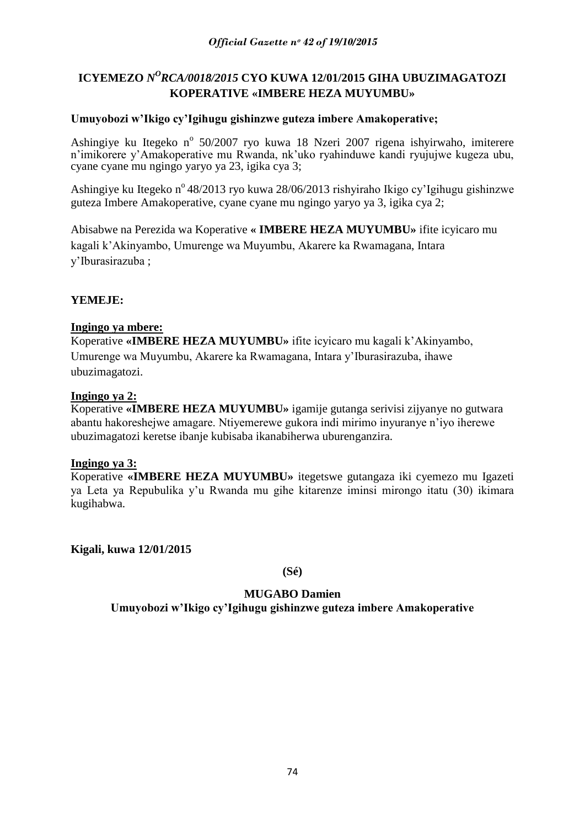# ICYEMEZO *N<sup>O</sup>RCA/0018/2015* CYO KUWA 12/01/2015 GIHA UBUZIMAGATOZI **KOPERATIVE «IMBERE HEZA MUYUMBU»**

## **Umuyobozi w'Ikigo cy'Igihugu gishinzwe guteza imbere Amakoperative;**

Ashingiye ku Itegeko nº 50/2007 ryo kuwa 18 Nzeri 2007 rigena ishyirwaho, imiterere n'imikorere y'Amakoperative mu Rwanda, nk'uko ryahinduwe kandi ryujujwe kugeza ubu, cyane cyane mu ngingo yaryo ya 23, igika cya 3;

Ashingiye ku Itegeko n<sup>o</sup> 48/2013 ryo kuwa 28/06/2013 rishyiraho Ikigo cy'Igihugu gishinzwe guteza Imbere Amakoperative, cyane cyane mu ngingo yaryo ya 3, igika cya 2;

Abisabwe na Perezida wa Koperative **« IMBERE HEZA MUYUMBU»** ifite icyicaro mu kagali k"Akinyambo, Umurenge wa Muyumbu, Akarere ka Rwamagana, Intara y"Iburasirazuba ;

## **YEMEJE:**

## **Ingingo ya mbere:**

Koperative **«IMBERE HEZA MUYUMBU»** ifite icyicaro mu kagali k"Akinyambo, Umurenge wa Muyumbu, Akarere ka Rwamagana, Intara y"Iburasirazuba, ihawe ubuzimagatozi.

#### **Ingingo ya 2:**

Koperative **«IMBERE HEZA MUYUMBU»** igamije gutanga serivisi zijyanye no gutwara abantu hakoreshejwe amagare. Ntiyemerewe gukora indi mirimo inyuranye n"iyo iherewe ubuzimagatozi keretse ibanje kubisaba ikanabiherwa uburenganzira.

#### **Ingingo ya 3:**

Koperative **«IMBERE HEZA MUYUMBU»** itegetswe gutangaza iki cyemezo mu Igazeti ya Leta ya Repubulika y"u Rwanda mu gihe kitarenze iminsi mirongo itatu (30) ikimara kugihabwa.

**Kigali, kuwa 12/01/2015**

**(Sé)**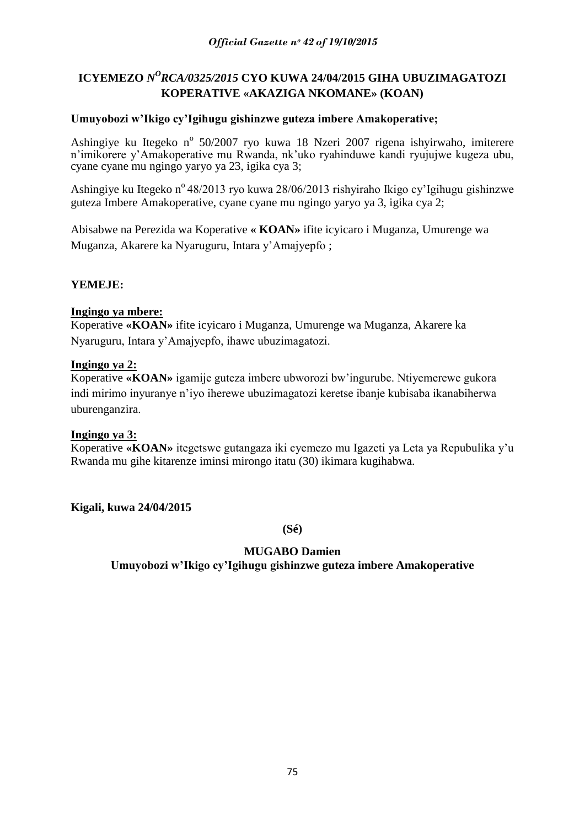# ICYEMEZO *N<sup>O</sup>RCA/0325/2015* CYO KUWA 24/04/2015 GIHA UBUZIMAGATOZI **KOPERATIVE «AKAZIGA NKOMANE» (KOAN)**

## **Umuyobozi w'Ikigo cy'Igihugu gishinzwe guteza imbere Amakoperative;**

Ashingiye ku Itegeko nº 50/2007 ryo kuwa 18 Nzeri 2007 rigena ishyirwaho, imiterere n'imikorere y'Amakoperative mu Rwanda, nk'uko ryahinduwe kandi ryujujwe kugeza ubu, cyane cyane mu ngingo yaryo ya 23, igika cya 3;

Ashingiye ku Itegeko n<sup>o</sup> 48/2013 ryo kuwa 28/06/2013 rishyiraho Ikigo cy'Igihugu gishinzwe guteza Imbere Amakoperative, cyane cyane mu ngingo yaryo ya 3, igika cya 2;

Abisabwe na Perezida wa Koperative **« KOAN»** ifite icyicaro i Muganza, Umurenge wa Muganza, Akarere ka Nyaruguru, Intara y"Amajyepfo ;

## **YEMEJE:**

## **Ingingo ya mbere:**

Koperative **«KOAN»** ifite icyicaro i Muganza, Umurenge wa Muganza, Akarere ka Nyaruguru, Intara y"Amajyepfo, ihawe ubuzimagatozi.

## **Ingingo ya 2:**

Koperative **«KOAN»** igamije guteza imbere ubworozi bw"ingurube. Ntiyemerewe gukora indi mirimo inyuranye n"iyo iherewe ubuzimagatozi keretse ibanje kubisaba ikanabiherwa uburenganzira.

#### **Ingingo ya 3:**

Koperative **«KOAN»** itegetswe gutangaza iki cyemezo mu Igazeti ya Leta ya Repubulika y"u Rwanda mu gihe kitarenze iminsi mirongo itatu (30) ikimara kugihabwa.

**Kigali, kuwa 24/04/2015**

**(Sé)**

## **MUGABO Damien**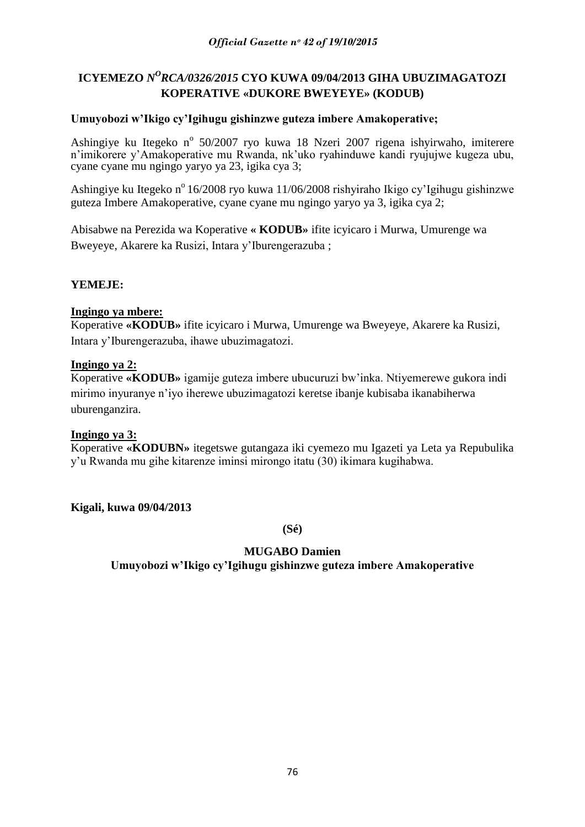# ICYEMEZO *N<sup>O</sup>RCA/0326/2015* CYO KUWA 09/04/2013 GIHA UBUZIMAGATOZI **KOPERATIVE «DUKORE BWEYEYE» (KODUB)**

## **Umuyobozi w'Ikigo cy'Igihugu gishinzwe guteza imbere Amakoperative;**

Ashingiye ku Itegeko nº 50/2007 ryo kuwa 18 Nzeri 2007 rigena ishyirwaho, imiterere n"imikorere y"Amakoperative mu Rwanda, nk"uko ryahinduwe kandi ryujujwe kugeza ubu, cyane cyane mu ngingo yaryo ya 23, igika cya 3;

Ashingiye ku Itegeko n<sup>o</sup> 16/2008 ryo kuwa 11/06/2008 rishyiraho Ikigo cy'Igihugu gishinzwe guteza Imbere Amakoperative, cyane cyane mu ngingo yaryo ya 3, igika cya 2;

Abisabwe na Perezida wa Koperative **« KODUB»** ifite icyicaro i Murwa, Umurenge wa Bweyeye, Akarere ka Rusizi, Intara y"Iburengerazuba ;

## **YEMEJE:**

## **Ingingo ya mbere:**

Koperative **«KODUB»** ifite icyicaro i Murwa, Umurenge wa Bweyeye, Akarere ka Rusizi, Intara y"Iburengerazuba, ihawe ubuzimagatozi.

## **Ingingo ya 2:**

Koperative **«KODUB»** igamije guteza imbere ubucuruzi bw"inka. Ntiyemerewe gukora indi mirimo inyuranye n"iyo iherewe ubuzimagatozi keretse ibanje kubisaba ikanabiherwa uburenganzira.

#### **Ingingo ya 3:**

Koperative **«KODUBN»** itegetswe gutangaza iki cyemezo mu Igazeti ya Leta ya Repubulika y"u Rwanda mu gihe kitarenze iminsi mirongo itatu (30) ikimara kugihabwa.

**Kigali, kuwa 09/04/2013**

**(Sé)**

## **MUGABO Damien**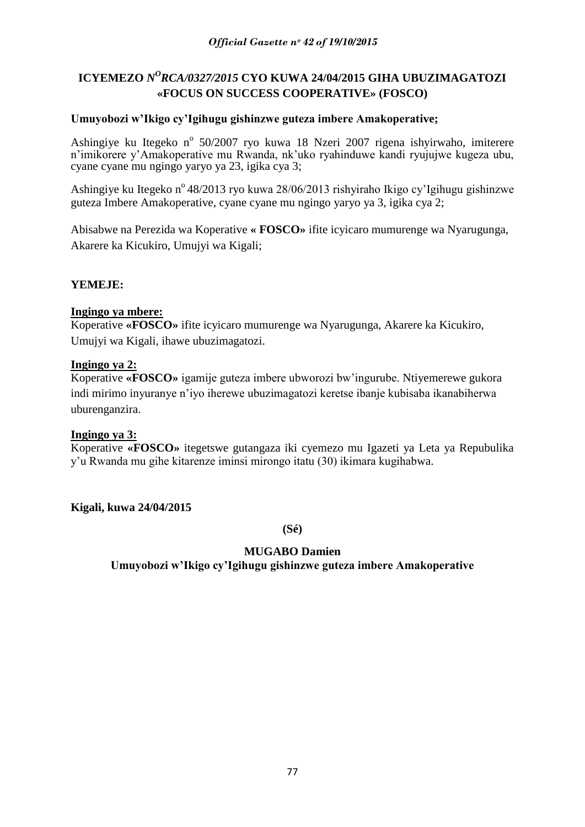# ICYEMEZO *N<sup>O</sup>RCA/0327/2015* CYO KUWA 24/04/2015 GIHA UBUZIMAGATOZI **«FOCUS ON SUCCESS COOPERATIVE» (FOSCO)**

## **Umuyobozi w'Ikigo cy'Igihugu gishinzwe guteza imbere Amakoperative;**

Ashingiye ku Itegeko nº 50/2007 ryo kuwa 18 Nzeri 2007 rigena ishyirwaho, imiterere n"imikorere y"Amakoperative mu Rwanda, nk"uko ryahinduwe kandi ryujujwe kugeza ubu, cyane cyane mu ngingo yaryo ya 23, igika cya 3;

Ashingiye ku Itegeko n<sup>o</sup> 48/2013 ryo kuwa 28/06/2013 rishyiraho Ikigo cy'Igihugu gishinzwe guteza Imbere Amakoperative, cyane cyane mu ngingo yaryo ya 3, igika cya 2;

Abisabwe na Perezida wa Koperative **« FOSCO»** ifite icyicaro mumurenge wa Nyarugunga, Akarere ka Kicukiro, Umujyi wa Kigali;

## **YEMEJE:**

#### **Ingingo ya mbere:**

Koperative **«FOSCO»** ifite icyicaro mumurenge wa Nyarugunga, Akarere ka Kicukiro, Umujyi wa Kigali, ihawe ubuzimagatozi.

## **Ingingo ya 2:**

Koperative **«FOSCO»** igamije guteza imbere ubworozi bw"ingurube. Ntiyemerewe gukora indi mirimo inyuranye n"iyo iherewe ubuzimagatozi keretse ibanje kubisaba ikanabiherwa uburenganzira.

#### **Ingingo ya 3:**

Koperative **«FOSCO»** itegetswe gutangaza iki cyemezo mu Igazeti ya Leta ya Repubulika y"u Rwanda mu gihe kitarenze iminsi mirongo itatu (30) ikimara kugihabwa.

**Kigali, kuwa 24/04/2015**

**(Sé)**

## **MUGABO Damien**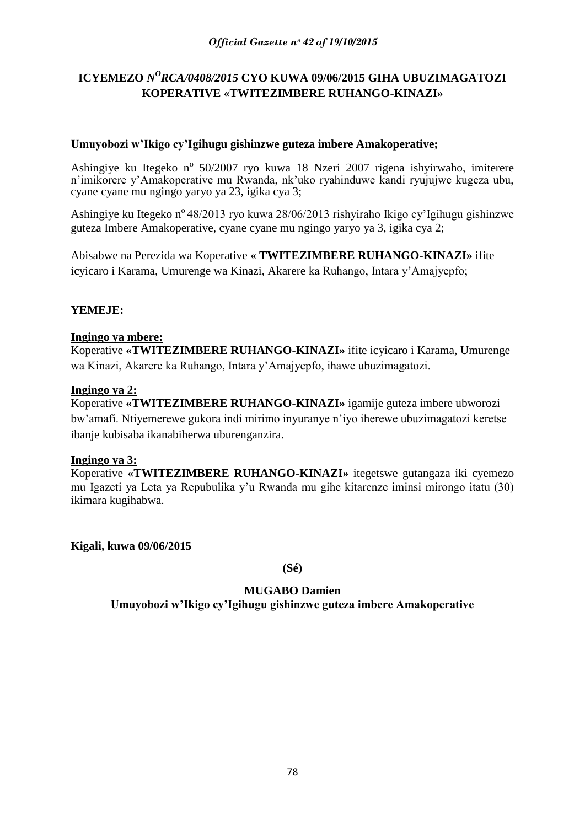# ICYEMEZO *N<sup>O</sup>RCA/0408/2015* CYO KUWA 09/06/2015 GIHA UBUZIMAGATOZI **KOPERATIVE «TWITEZIMBERE RUHANGO-KINAZI»**

## **Umuyobozi w'Ikigo cy'Igihugu gishinzwe guteza imbere Amakoperative;**

Ashingiye ku Itegeko nº 50/2007 ryo kuwa 18 Nzeri 2007 rigena ishyirwaho, imiterere n"imikorere y"Amakoperative mu Rwanda, nk"uko ryahinduwe kandi ryujujwe kugeza ubu, cyane cyane mu ngingo yaryo ya 23, igika cya 3;

Ashingiye ku Itegeko n<sup>o</sup> 48/2013 ryo kuwa 28/06/2013 rishyiraho Ikigo cy'Igihugu gishinzwe guteza Imbere Amakoperative, cyane cyane mu ngingo yaryo ya 3, igika cya 2;

Abisabwe na Perezida wa Koperative **« TWITEZIMBERE RUHANGO-KINAZI»** ifite icyicaro i Karama, Umurenge wa Kinazi, Akarere ka Ruhango, Intara y"Amajyepfo;

## **YEMEJE:**

## **Ingingo ya mbere:**

Koperative **«TWITEZIMBERE RUHANGO-KINAZI»** ifite icyicaro i Karama, Umurenge wa Kinazi, Akarere ka Ruhango, Intara y"Amajyepfo, ihawe ubuzimagatozi.

#### **Ingingo ya 2:**

Koperative **«TWITEZIMBERE RUHANGO-KINAZI»** igamije guteza imbere ubworozi bw"amafi. Ntiyemerewe gukora indi mirimo inyuranye n"iyo iherewe ubuzimagatozi keretse ibanje kubisaba ikanabiherwa uburenganzira.

#### **Ingingo ya 3:**

Koperative **«TWITEZIMBERE RUHANGO-KINAZI»** itegetswe gutangaza iki cyemezo mu Igazeti ya Leta ya Repubulika y"u Rwanda mu gihe kitarenze iminsi mirongo itatu (30) ikimara kugihabwa.

**Kigali, kuwa 09/06/2015**

**(Sé)**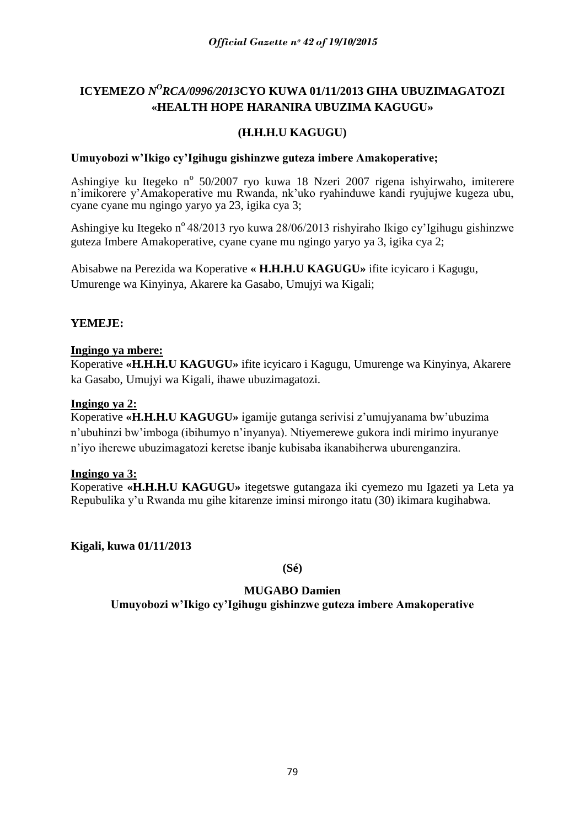# ICYEMEZO *N<sup>O</sup>RCA/0996/2013*CYO KUWA 01/11/2013 GIHA UBUZIMAGATOZI **«HEALTH HOPE HARANIRA UBUZIMA KAGUGU»**

# **(H.H.H.U KAGUGU)**

## **Umuyobozi w'Ikigo cy'Igihugu gishinzwe guteza imbere Amakoperative;**

Ashingiye ku Itegeko nº 50/2007 ryo kuwa 18 Nzeri 2007 rigena ishyirwaho, imiterere n"imikorere y"Amakoperative mu Rwanda, nk"uko ryahinduwe kandi ryujujwe kugeza ubu, cyane cyane mu ngingo yaryo ya 23, igika cya 3;

Ashingiye ku Itegeko n<sup>o</sup> 48/2013 ryo kuwa 28/06/2013 rishyiraho Ikigo cy'Igihugu gishinzwe guteza Imbere Amakoperative, cyane cyane mu ngingo yaryo ya 3, igika cya 2;

Abisabwe na Perezida wa Koperative **« H.H.H.U KAGUGU»** ifite icyicaro i Kagugu, Umurenge wa Kinyinya, Akarere ka Gasabo, Umujyi wa Kigali;

## **YEMEJE:**

## **Ingingo ya mbere:**

Koperative **«H.H.H.U KAGUGU»** ifite icyicaro i Kagugu, Umurenge wa Kinyinya, Akarere ka Gasabo, Umujyi wa Kigali, ihawe ubuzimagatozi.

## **Ingingo ya 2:**

Koperative **«H.H.H.U KAGUGU»** igamije gutanga serivisi z"umujyanama bw"ubuzima n"ubuhinzi bw"imboga (ibihumyo n"inyanya). Ntiyemerewe gukora indi mirimo inyuranye n"iyo iherewe ubuzimagatozi keretse ibanje kubisaba ikanabiherwa uburenganzira.

#### **Ingingo ya 3:**

Koperative **«H.H.H.U KAGUGU»** itegetswe gutangaza iki cyemezo mu Igazeti ya Leta ya Repubulika y"u Rwanda mu gihe kitarenze iminsi mirongo itatu (30) ikimara kugihabwa.

**Kigali, kuwa 01/11/2013**

**(Sé)**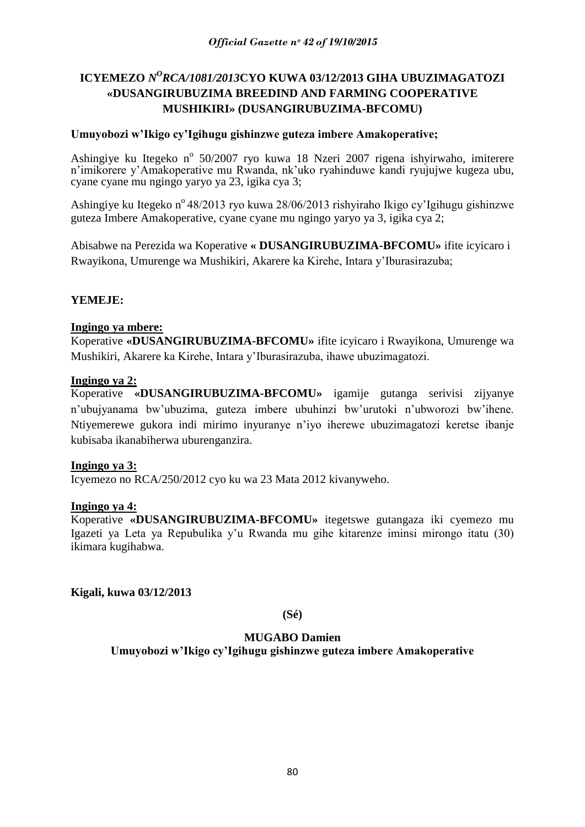# ICYEMEZO *N<sup>O</sup>RCA/1081/2013*CYO KUWA 03/12/2013 GIHA UBUZIMAGATOZI **«DUSANGIRUBUZIMA BREEDIND AND FARMING COOPERATIVE MUSHIKIRI» (DUSANGIRUBUZIMA-BFCOMU)**

## **Umuyobozi w'Ikigo cy'Igihugu gishinzwe guteza imbere Amakoperative;**

Ashingiye ku Itegeko nº 50/2007 ryo kuwa 18 Nzeri 2007 rigena ishyirwaho, imiterere n'imikorere y'Amakoperative mu Rwanda, nk'uko ryahinduwe kandi ryujujwe kugeza ubu, cyane cyane mu ngingo yaryo ya 23, igika cya 3;

Ashingiye ku Itegeko nº 48/2013 ryo kuwa 28/06/2013 rishyiraho Ikigo cy'Igihugu gishinzwe guteza Imbere Amakoperative, cyane cyane mu ngingo yaryo ya 3, igika cya 2;

Abisabwe na Perezida wa Koperative **« DUSANGIRUBUZIMA-BFCOMU»** ifite icyicaro i Rwayikona, Umurenge wa Mushikiri, Akarere ka Kirehe, Intara y"Iburasirazuba;

## **YEMEJE:**

#### **Ingingo ya mbere:**

Koperative **«DUSANGIRUBUZIMA-BFCOMU»** ifite icyicaro i Rwayikona, Umurenge wa Mushikiri, Akarere ka Kirehe, Intara y"Iburasirazuba, ihawe ubuzimagatozi.

#### **Ingingo ya 2:**

Koperative **«DUSANGIRUBUZIMA-BFCOMU»** igamije gutanga serivisi zijyanye n"ubujyanama bw"ubuzima, guteza imbere ubuhinzi bw"urutoki n"ubworozi bw"ihene. Ntiyemerewe gukora indi mirimo inyuranye n"iyo iherewe ubuzimagatozi keretse ibanje kubisaba ikanabiherwa uburenganzira.

#### **Ingingo ya 3:**

Icyemezo no RCA/250/2012 cyo ku wa 23 Mata 2012 kivanyweho.

#### **Ingingo ya 4:**

Koperative **«DUSANGIRUBUZIMA-BFCOMU»** itegetswe gutangaza iki cyemezo mu Igazeti ya Leta ya Repubulika y"u Rwanda mu gihe kitarenze iminsi mirongo itatu (30) ikimara kugihabwa.

**Kigali, kuwa 03/12/2013**

**(Sé)**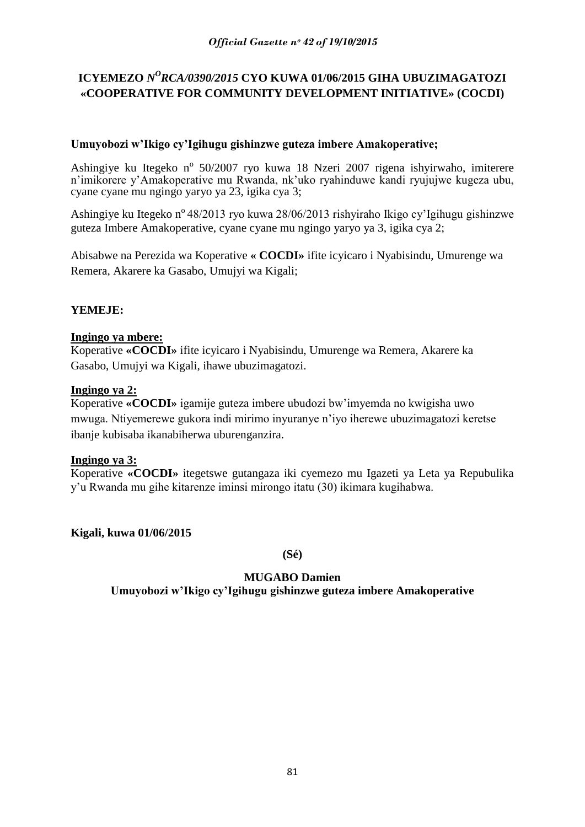# ICYEMEZO *N<sup>O</sup>RCA/0390/2015* CYO KUWA 01/06/2015 GIHA UBUZIMAGATOZI **«COOPERATIVE FOR COMMUNITY DEVELOPMENT INITIATIVE» (COCDI)**

## **Umuyobozi w'Ikigo cy'Igihugu gishinzwe guteza imbere Amakoperative;**

Ashingiye ku Itegeko nº 50/2007 ryo kuwa 18 Nzeri 2007 rigena ishyirwaho, imiterere n"imikorere y"Amakoperative mu Rwanda, nk"uko ryahinduwe kandi ryujujwe kugeza ubu, cyane cyane mu ngingo yaryo ya 23, igika cya 3;

Ashingiye ku Itegeko n<sup>o</sup> 48/2013 ryo kuwa 28/06/2013 rishyiraho Ikigo cy'Igihugu gishinzwe guteza Imbere Amakoperative, cyane cyane mu ngingo yaryo ya 3, igika cya 2;

Abisabwe na Perezida wa Koperative **« COCDI»** ifite icyicaro i Nyabisindu, Umurenge wa Remera, Akarere ka Gasabo, Umujyi wa Kigali;

## **YEMEJE:**

## **Ingingo ya mbere:**

Koperative **«COCDI»** ifite icyicaro i Nyabisindu, Umurenge wa Remera, Akarere ka Gasabo, Umujyi wa Kigali, ihawe ubuzimagatozi.

#### **Ingingo ya 2:**

Koperative **«COCDI»** igamije guteza imbere ubudozi bw"imyemda no kwigisha uwo mwuga. Ntiyemerewe gukora indi mirimo inyuranye n"iyo iherewe ubuzimagatozi keretse ibanje kubisaba ikanabiherwa uburenganzira.

#### **Ingingo ya 3:**

Koperative **«COCDI»** itegetswe gutangaza iki cyemezo mu Igazeti ya Leta ya Repubulika y"u Rwanda mu gihe kitarenze iminsi mirongo itatu (30) ikimara kugihabwa.

**Kigali, kuwa 01/06/2015**

**(Sé)**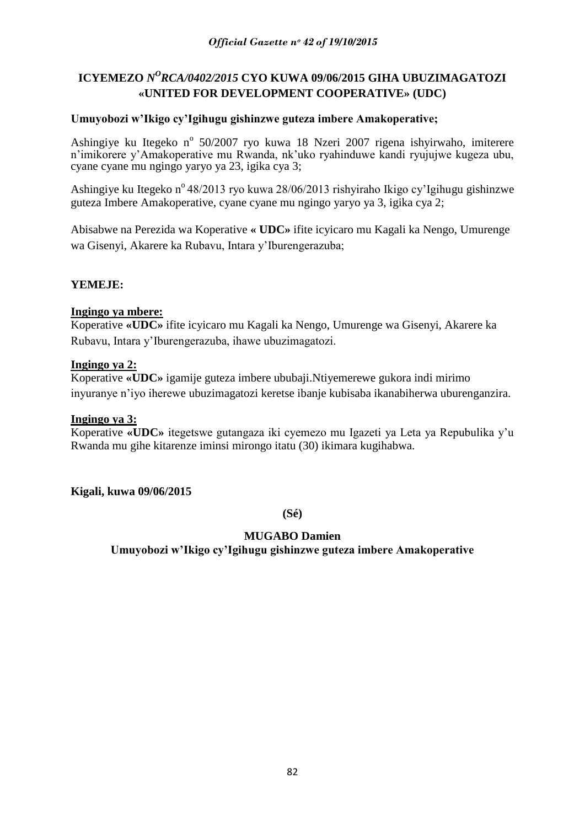# ICYEMEZO *N<sup>O</sup>RCA/0402/2015* CYO KUWA 09/06/2015 GIHA UBUZIMAGATOZI **«UNITED FOR DEVELOPMENT COOPERATIVE» (UDC)**

## **Umuyobozi w'Ikigo cy'Igihugu gishinzwe guteza imbere Amakoperative;**

Ashingiye ku Itegeko nº 50/2007 ryo kuwa 18 Nzeri 2007 rigena ishyirwaho, imiterere n"imikorere y"Amakoperative mu Rwanda, nk"uko ryahinduwe kandi ryujujwe kugeza ubu, cyane cyane mu ngingo yaryo ya 23, igika cya 3;

Ashingiye ku Itegeko n<sup>o</sup> 48/2013 ryo kuwa 28/06/2013 rishyiraho Ikigo cy'Igihugu gishinzwe guteza Imbere Amakoperative, cyane cyane mu ngingo yaryo ya 3, igika cya 2;

Abisabwe na Perezida wa Koperative **« UDC»** ifite icyicaro mu Kagali ka Nengo, Umurenge wa Gisenyi, Akarere ka Rubavu, Intara y"Iburengerazuba;

## **YEMEJE:**

#### **Ingingo ya mbere:**

Koperative **«UDC»** ifite icyicaro mu Kagali ka Nengo, Umurenge wa Gisenyi, Akarere ka Rubavu, Intara y"Iburengerazuba, ihawe ubuzimagatozi.

#### **Ingingo ya 2:**

Koperative **«UDC»** igamije guteza imbere ububaji.Ntiyemerewe gukora indi mirimo inyuranye n"iyo iherewe ubuzimagatozi keretse ibanje kubisaba ikanabiherwa uburenganzira.

#### **Ingingo ya 3:**

Koperative **«UDC»** itegetswe gutangaza iki cyemezo mu Igazeti ya Leta ya Repubulika y"u Rwanda mu gihe kitarenze iminsi mirongo itatu (30) ikimara kugihabwa.

**Kigali, kuwa 09/06/2015**

**(Sé)**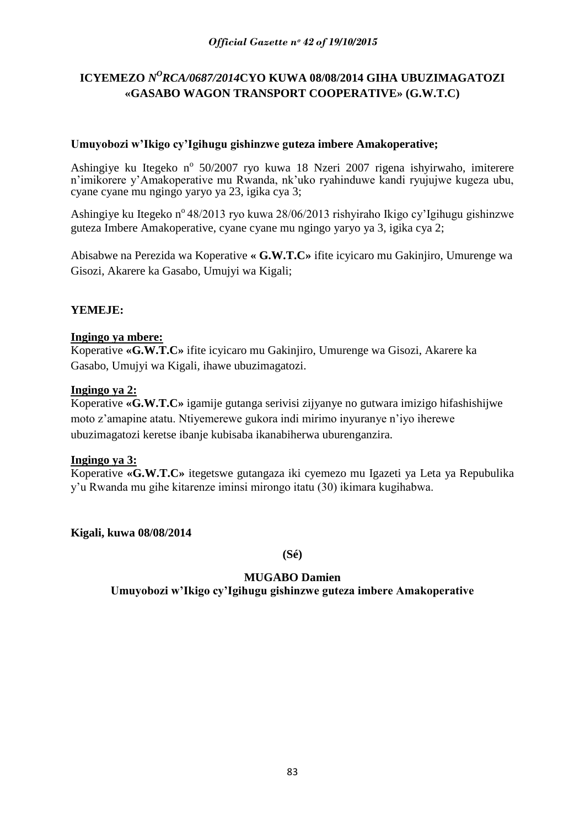# ICYEMEZO *N<sup>O</sup>RCA/0687/2014*CYO KUWA 08/08/2014 GIHA UBUZIMAGATOZI **«GASABO WAGON TRANSPORT COOPERATIVE» (G.W.T.C)**

## **Umuyobozi w'Ikigo cy'Igihugu gishinzwe guteza imbere Amakoperative;**

Ashingiye ku Itegeko nº 50/2007 ryo kuwa 18 Nzeri 2007 rigena ishyirwaho, imiterere n"imikorere y"Amakoperative mu Rwanda, nk"uko ryahinduwe kandi ryujujwe kugeza ubu, cyane cyane mu ngingo yaryo ya 23, igika cya 3;

Ashingiye ku Itegeko n<sup>o</sup> 48/2013 ryo kuwa 28/06/2013 rishyiraho Ikigo cy'Igihugu gishinzwe guteza Imbere Amakoperative, cyane cyane mu ngingo yaryo ya 3, igika cya 2;

Abisabwe na Perezida wa Koperative **« G.W.T.C»** ifite icyicaro mu Gakinjiro, Umurenge wa Gisozi, Akarere ka Gasabo, Umujyi wa Kigali;

## **YEMEJE:**

## **Ingingo ya mbere:**

Koperative **«G.W.T.C»** ifite icyicaro mu Gakinjiro, Umurenge wa Gisozi, Akarere ka Gasabo, Umujyi wa Kigali, ihawe ubuzimagatozi.

#### **Ingingo ya 2:**

Koperative **«G.W.T.C»** igamije gutanga serivisi zijyanye no gutwara imizigo hifashishijwe moto z"amapine atatu. Ntiyemerewe gukora indi mirimo inyuranye n"iyo iherewe ubuzimagatozi keretse ibanje kubisaba ikanabiherwa uburenganzira.

#### **Ingingo ya 3:**

Koperative **«G.W.T.C»** itegetswe gutangaza iki cyemezo mu Igazeti ya Leta ya Repubulika y"u Rwanda mu gihe kitarenze iminsi mirongo itatu (30) ikimara kugihabwa.

**Kigali, kuwa 08/08/2014**

**(Sé)**

# **MUGABO Damien**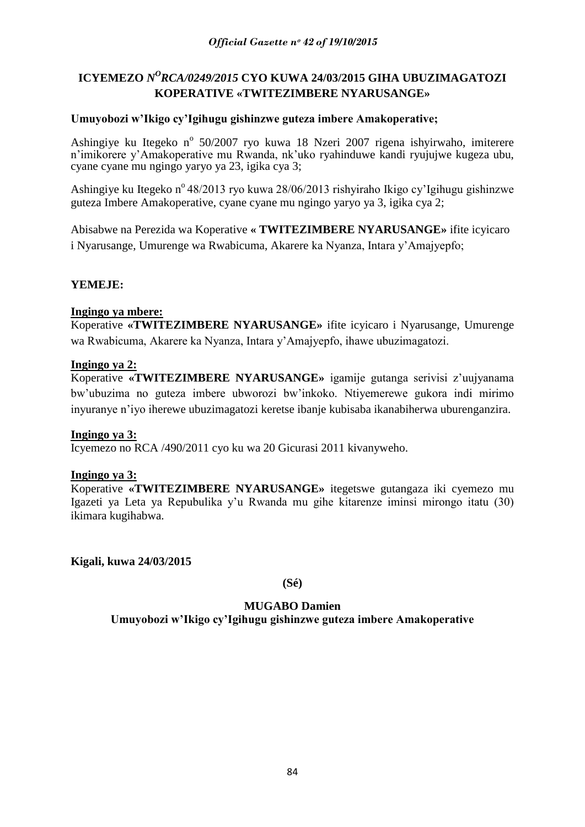# ICYEMEZO *N<sup>O</sup>RCA/0249/2015* CYO KUWA 24/03/2015 GIHA UBUZIMAGATOZI **KOPERATIVE «TWITEZIMBERE NYARUSANGE»**

## **Umuyobozi w'Ikigo cy'Igihugu gishinzwe guteza imbere Amakoperative;**

Ashingiye ku Itegeko nº 50/2007 ryo kuwa 18 Nzeri 2007 rigena ishyirwaho, imiterere n'imikorere y'Amakoperative mu Rwanda, nk'uko ryahinduwe kandi ryujujwe kugeza ubu, cyane cyane mu ngingo yaryo ya 23, igika cya 3;

Ashingiye ku Itegeko n<sup>o</sup> 48/2013 ryo kuwa 28/06/2013 rishyiraho Ikigo cy'Igihugu gishinzwe guteza Imbere Amakoperative, cyane cyane mu ngingo yaryo ya 3, igika cya 2;

Abisabwe na Perezida wa Koperative **« TWITEZIMBERE NYARUSANGE»** ifite icyicaro i Nyarusange, Umurenge wa Rwabicuma, Akarere ka Nyanza, Intara y"Amajyepfo;

## **YEMEJE:**

#### **Ingingo ya mbere:**

Koperative **«TWITEZIMBERE NYARUSANGE»** ifite icyicaro i Nyarusange, Umurenge wa Rwabicuma, Akarere ka Nyanza, Intara y"Amajyepfo, ihawe ubuzimagatozi.

#### **Ingingo ya 2:**

Koperative **«TWITEZIMBERE NYARUSANGE»** igamije gutanga serivisi z"uujyanama bw"ubuzima no guteza imbere ubworozi bw"inkoko. Ntiyemerewe gukora indi mirimo inyuranye n"iyo iherewe ubuzimagatozi keretse ibanje kubisaba ikanabiherwa uburenganzira.

#### **Ingingo ya 3:**

Icyemezo no RCA /490/2011 cyo ku wa 20 Gicurasi 2011 kivanyweho.

#### **Ingingo ya 3:**

Koperative **«TWITEZIMBERE NYARUSANGE»** itegetswe gutangaza iki cyemezo mu Igazeti ya Leta ya Repubulika y"u Rwanda mu gihe kitarenze iminsi mirongo itatu (30) ikimara kugihabwa.

**Kigali, kuwa 24/03/2015**

**(Sé)**

#### **MUGABO Damien**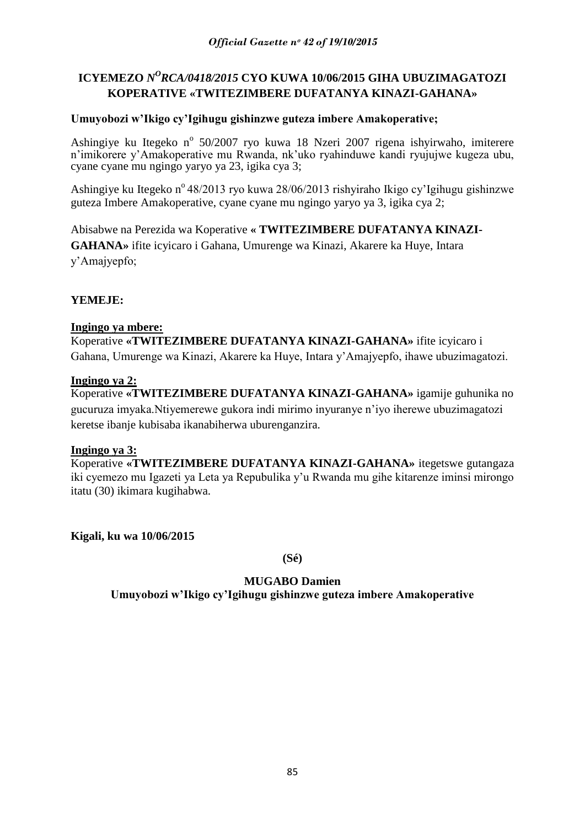# ICYEMEZO *N<sup>O</sup>RCA/0418/2015* CYO KUWA 10/06/2015 GIHA UBUZIMAGATOZI **KOPERATIVE «TWITEZIMBERE DUFATANYA KINAZI-GAHANA»**

## **Umuyobozi w'Ikigo cy'Igihugu gishinzwe guteza imbere Amakoperative;**

Ashingiye ku Itegeko nº 50/2007 ryo kuwa 18 Nzeri 2007 rigena ishyirwaho, imiterere n"imikorere y"Amakoperative mu Rwanda, nk"uko ryahinduwe kandi ryujujwe kugeza ubu, cyane cyane mu ngingo yaryo ya 23, igika cya 3;

Ashingiye ku Itegeko n<sup>o</sup> 48/2013 ryo kuwa 28/06/2013 rishyiraho Ikigo cy'Igihugu gishinzwe guteza Imbere Amakoperative, cyane cyane mu ngingo yaryo ya 3, igika cya 2;

Abisabwe na Perezida wa Koperative **« TWITEZIMBERE DUFATANYA KINAZI-GAHANA»** ifite icyicaro i Gahana, Umurenge wa Kinazi, Akarere ka Huye, Intara y"Amajyepfo;

## **YEMEJE:**

#### **Ingingo ya mbere:**

Koperative **«TWITEZIMBERE DUFATANYA KINAZI-GAHANA»** ifite icyicaro i Gahana, Umurenge wa Kinazi, Akarere ka Huye, Intara y"Amajyepfo, ihawe ubuzimagatozi.

#### **Ingingo ya 2:**

Koperative **«TWITEZIMBERE DUFATANYA KINAZI-GAHANA»** igamije guhunika no gucuruza imyaka.Ntiyemerewe gukora indi mirimo inyuranye n"iyo iherewe ubuzimagatozi keretse ibanje kubisaba ikanabiherwa uburenganzira.

#### **Ingingo ya 3:**

Koperative **«TWITEZIMBERE DUFATANYA KINAZI-GAHANA»** itegetswe gutangaza iki cyemezo mu Igazeti ya Leta ya Repubulika y"u Rwanda mu gihe kitarenze iminsi mirongo itatu (30) ikimara kugihabwa.

**Kigali, ku wa 10/06/2015**

**(Sé)**

# **MUGABO Damien**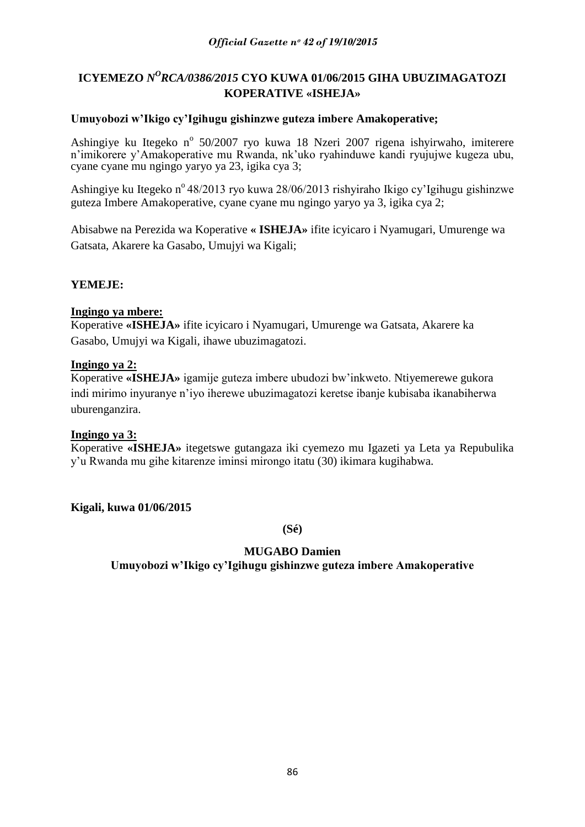# ICYEMEZO *N<sup>O</sup>RCA/0386/2015* CYO KUWA 01/06/2015 GIHA UBUZIMAGATOZI **KOPERATIVE «ISHEJA»**

## **Umuyobozi w'Ikigo cy'Igihugu gishinzwe guteza imbere Amakoperative;**

Ashingiye ku Itegeko nº 50/2007 ryo kuwa 18 Nzeri 2007 rigena ishyirwaho, imiterere n"imikorere y"Amakoperative mu Rwanda, nk"uko ryahinduwe kandi ryujujwe kugeza ubu, cyane cyane mu ngingo yaryo ya 23, igika cya 3;

Ashingiye ku Itegeko n<sup>o</sup> 48/2013 ryo kuwa 28/06/2013 rishyiraho Ikigo cy'Igihugu gishinzwe guteza Imbere Amakoperative, cyane cyane mu ngingo yaryo ya 3, igika cya 2;

Abisabwe na Perezida wa Koperative **« ISHEJA»** ifite icyicaro i Nyamugari, Umurenge wa Gatsata, Akarere ka Gasabo, Umujyi wa Kigali;

## **YEMEJE:**

## **Ingingo ya mbere:**

Koperative **«ISHEJA»** ifite icyicaro i Nyamugari, Umurenge wa Gatsata, Akarere ka Gasabo, Umujyi wa Kigali, ihawe ubuzimagatozi.

## **Ingingo ya 2:**

Koperative **«ISHEJA»** igamije guteza imbere ubudozi bw"inkweto. Ntiyemerewe gukora indi mirimo inyuranye n"iyo iherewe ubuzimagatozi keretse ibanje kubisaba ikanabiherwa uburenganzira.

## **Ingingo ya 3:**

Koperative **«ISHEJA»** itegetswe gutangaza iki cyemezo mu Igazeti ya Leta ya Repubulika y"u Rwanda mu gihe kitarenze iminsi mirongo itatu (30) ikimara kugihabwa.

**Kigali, kuwa 01/06/2015**

**(Sé)**

## **MUGABO Damien**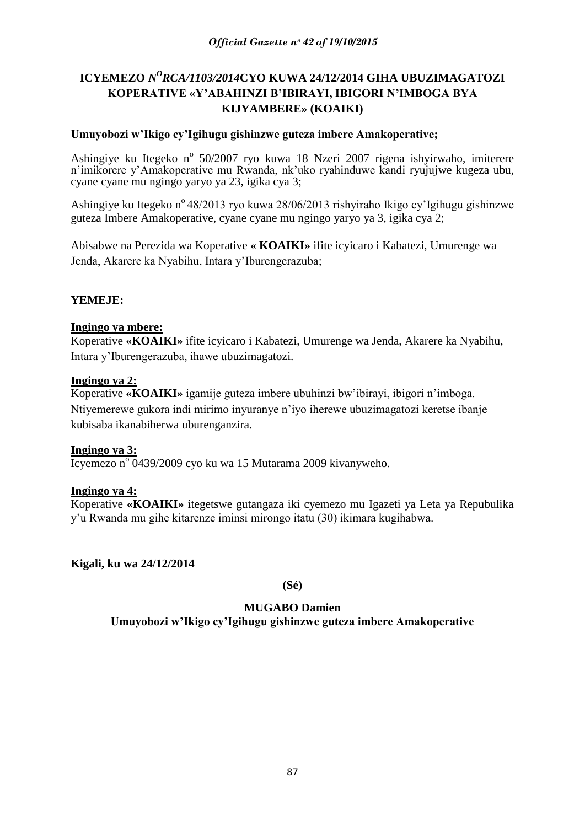# ICYEMEZO *N<sup>O</sup>RCA/1103/2014*CYO KUWA 24/12/2014 GIHA UBUZIMAGATOZI **KOPERATIVE «Y'ABAHINZI B'IBIRAYI, IBIGORI N'IMBOGA BYA KIJYAMBERE» (KOAIKI)**

## **Umuyobozi w'Ikigo cy'Igihugu gishinzwe guteza imbere Amakoperative;**

Ashingiye ku Itegeko nº 50/2007 ryo kuwa 18 Nzeri 2007 rigena ishyirwaho, imiterere n'imikorere y'Amakoperative mu Rwanda, nk'uko ryahinduwe kandi ryujujwe kugeza ubu, cyane cyane mu ngingo yaryo ya 23, igika cya 3;

Ashingiye ku Itegeko nº 48/2013 ryo kuwa 28/06/2013 rishyiraho Ikigo cy'Igihugu gishinzwe guteza Imbere Amakoperative, cyane cyane mu ngingo yaryo ya 3, igika cya 2;

Abisabwe na Perezida wa Koperative **« KOAIKI»** ifite icyicaro i Kabatezi, Umurenge wa Jenda, Akarere ka Nyabihu, Intara y"Iburengerazuba;

## **YEMEJE:**

#### **Ingingo ya mbere:**

Koperative **«KOAIKI»** ifite icyicaro i Kabatezi, Umurenge wa Jenda, Akarere ka Nyabihu, Intara y"Iburengerazuba, ihawe ubuzimagatozi.

#### **Ingingo ya 2:**

Koperative **«KOAIKI»** igamije guteza imbere ubuhinzi bw"ibirayi, ibigori n"imboga. Ntiyemerewe gukora indi mirimo inyuranye n"iyo iherewe ubuzimagatozi keretse ibanje kubisaba ikanabiherwa uburenganzira.

#### **Ingingo ya 3:**

Icyemezo n<sup>o</sup> 0439/2009 cyo ku wa 15 Mutarama 2009 kivanyweho.

#### **Ingingo ya 4:**

Koperative **«KOAIKI»** itegetswe gutangaza iki cyemezo mu Igazeti ya Leta ya Repubulika y"u Rwanda mu gihe kitarenze iminsi mirongo itatu (30) ikimara kugihabwa.

**Kigali, ku wa 24/12/2014**

**(Sé)**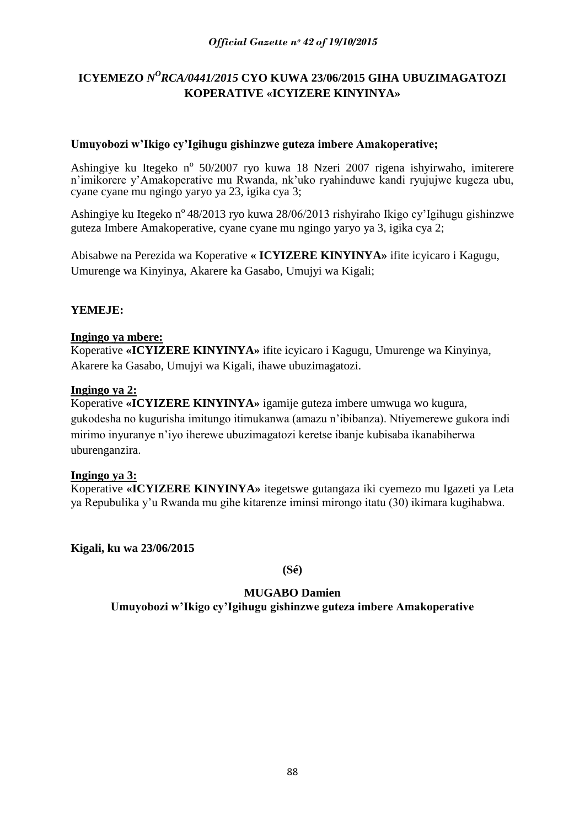# ICYEMEZO *N<sup>O</sup>RCA/0441/2015* CYO KUWA 23/06/2015 GIHA UBUZIMAGATOZI **KOPERATIVE «ICYIZERE KINYINYA»**

## **Umuyobozi w'Ikigo cy'Igihugu gishinzwe guteza imbere Amakoperative;**

Ashingiye ku Itegeko nº 50/2007 ryo kuwa 18 Nzeri 2007 rigena ishyirwaho, imiterere n"imikorere y"Amakoperative mu Rwanda, nk"uko ryahinduwe kandi ryujujwe kugeza ubu, cyane cyane mu ngingo yaryo ya 23, igika cya 3;

Ashingiye ku Itegeko n<sup>o</sup> 48/2013 ryo kuwa 28/06/2013 rishyiraho Ikigo cy'Igihugu gishinzwe guteza Imbere Amakoperative, cyane cyane mu ngingo yaryo ya 3, igika cya 2;

Abisabwe na Perezida wa Koperative **« ICYIZERE KINYINYA»** ifite icyicaro i Kagugu, Umurenge wa Kinyinya, Akarere ka Gasabo, Umujyi wa Kigali;

## **YEMEJE:**

## **Ingingo ya mbere:**

Koperative **«ICYIZERE KINYINYA»** ifite icyicaro i Kagugu, Umurenge wa Kinyinya, Akarere ka Gasabo, Umujyi wa Kigali, ihawe ubuzimagatozi.

#### **Ingingo ya 2:**

Koperative **«ICYIZERE KINYINYA»** igamije guteza imbere umwuga wo kugura, gukodesha no kugurisha imitungo itimukanwa (amazu n"ibibanza). Ntiyemerewe gukora indi mirimo inyuranye n"iyo iherewe ubuzimagatozi keretse ibanje kubisaba ikanabiherwa uburenganzira.

#### **Ingingo ya 3:**

Koperative **«ICYIZERE KINYINYA»** itegetswe gutangaza iki cyemezo mu Igazeti ya Leta ya Repubulika y"u Rwanda mu gihe kitarenze iminsi mirongo itatu (30) ikimara kugihabwa.

**Kigali, ku wa 23/06/2015**

**(Sé)**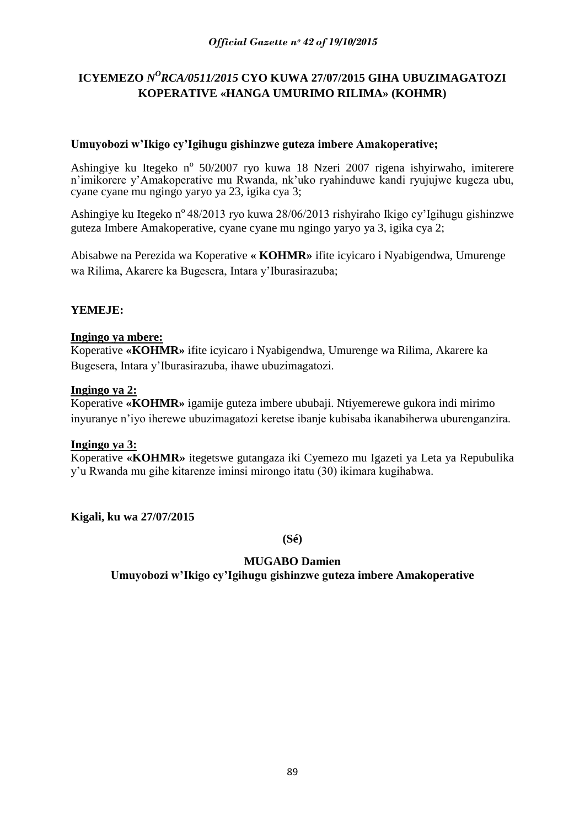# ICYEMEZO *N<sup>O</sup>RCA/0511/2015* CYO KUWA 27/07/2015 GIHA UBUZIMAGATOZI **KOPERATIVE «HANGA UMURIMO RILIMA» (KOHMR)**

## **Umuyobozi w'Ikigo cy'Igihugu gishinzwe guteza imbere Amakoperative;**

Ashingiye ku Itegeko nº 50/2007 ryo kuwa 18 Nzeri 2007 rigena ishyirwaho, imiterere n"imikorere y"Amakoperative mu Rwanda, nk"uko ryahinduwe kandi ryujujwe kugeza ubu, cyane cyane mu ngingo yaryo ya 23, igika cya 3;

Ashingiye ku Itegeko n<sup>o</sup> 48/2013 ryo kuwa 28/06/2013 rishyiraho Ikigo cy'Igihugu gishinzwe guteza Imbere Amakoperative, cyane cyane mu ngingo yaryo ya 3, igika cya 2;

Abisabwe na Perezida wa Koperative **« KOHMR»** ifite icyicaro i Nyabigendwa, Umurenge wa Rilima, Akarere ka Bugesera, Intara y"Iburasirazuba;

## **YEMEJE:**

## **Ingingo ya mbere:**

Koperative **«KOHMR»** ifite icyicaro i Nyabigendwa, Umurenge wa Rilima, Akarere ka Bugesera, Intara y"Iburasirazuba, ihawe ubuzimagatozi.

#### **Ingingo ya 2:**

Koperative **«KOHMR»** igamije guteza imbere ububaji. Ntiyemerewe gukora indi mirimo inyuranye n"iyo iherewe ubuzimagatozi keretse ibanje kubisaba ikanabiherwa uburenganzira.

#### **Ingingo ya 3:**

Koperative **«KOHMR»** itegetswe gutangaza iki Cyemezo mu Igazeti ya Leta ya Repubulika y"u Rwanda mu gihe kitarenze iminsi mirongo itatu (30) ikimara kugihabwa.

**Kigali, ku wa 27/07/2015**

**(Sé)**

# **MUGABO Damien**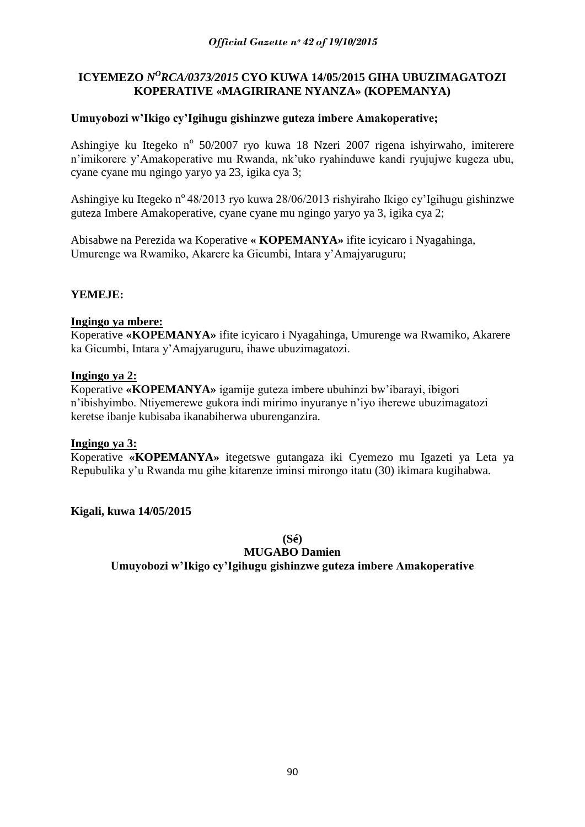## ICYEMEZO *N<sup>O</sup>RCA/0373/2015* CYO KUWA 14/05/2015 GIHA UBUZIMAGATOZI **KOPERATIVE «MAGIRIRANE NYANZA» (KOPEMANYA)**

## **Umuyobozi w'Ikigo cy'Igihugu gishinzwe guteza imbere Amakoperative;**

Ashingiye ku Itegeko nº 50/2007 ryo kuwa 18 Nzeri 2007 rigena ishyirwaho, imiterere n"imikorere y"Amakoperative mu Rwanda, nk"uko ryahinduwe kandi ryujujwe kugeza ubu, cyane cyane mu ngingo yaryo ya 23, igika cya 3;

Ashingiye ku Itegeko n<sup>o</sup> 48/2013 ryo kuwa 28/06/2013 rishyiraho Ikigo cy'Igihugu gishinzwe guteza Imbere Amakoperative, cyane cyane mu ngingo yaryo ya 3, igika cya 2;

Abisabwe na Perezida wa Koperative **« KOPEMANYA»** ifite icyicaro i Nyagahinga, Umurenge wa Rwamiko, Akarere ka Gicumbi, Intara y"Amajyaruguru;

## **YEMEJE:**

#### **Ingingo ya mbere:**

Koperative **«KOPEMANYA»** ifite icyicaro i Nyagahinga, Umurenge wa Rwamiko, Akarere ka Gicumbi, Intara y"Amajyaruguru, ihawe ubuzimagatozi.

#### **Ingingo ya 2:**

Koperative **«KOPEMANYA»** igamije guteza imbere ubuhinzi bw"ibarayi, ibigori n"ibishyimbo. Ntiyemerewe gukora indi mirimo inyuranye n"iyo iherewe ubuzimagatozi keretse ibanje kubisaba ikanabiherwa uburenganzira.

#### **Ingingo ya 3:**

Koperative **«KOPEMANYA»** itegetswe gutangaza iki Cyemezo mu Igazeti ya Leta ya Repubulika y"u Rwanda mu gihe kitarenze iminsi mirongo itatu (30) ikimara kugihabwa.

#### **Kigali, kuwa 14/05/2015**

**(Sé)**

**MUGABO Damien**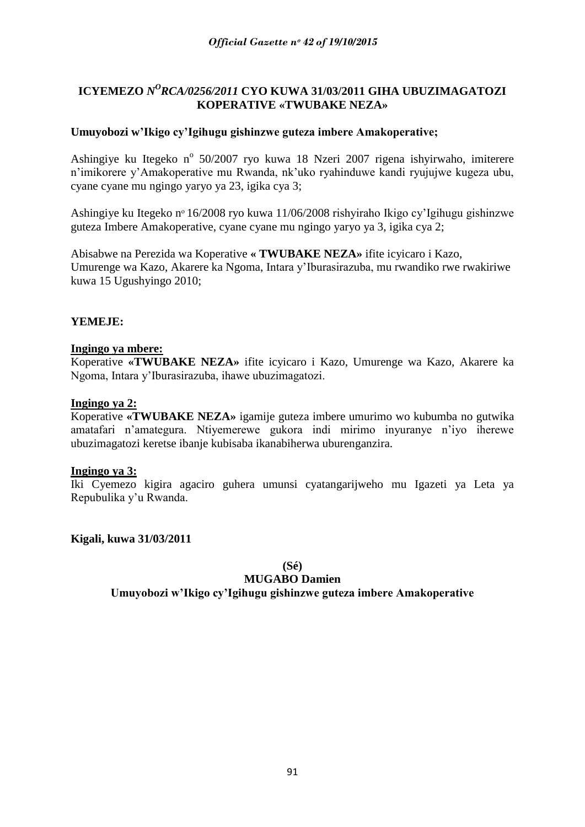## ICYEMEZO *N<sup>O</sup>RCA/0256/2011* CYO KUWA 31/03/2011 GIHA UBUZIMAGATOZI **KOPERATIVE «TWUBAKE NEZA»**

## **Umuyobozi w'Ikigo cy'Igihugu gishinzwe guteza imbere Amakoperative;**

Ashingiye ku Itegeko nº 50/2007 ryo kuwa 18 Nzeri 2007 rigena ishyirwaho, imiterere n"imikorere y"Amakoperative mu Rwanda, nk"uko ryahinduwe kandi ryujujwe kugeza ubu, cyane cyane mu ngingo yaryo ya 23, igika cya 3;

Ashingiye ku Itegeko nᵒ 16/2008 ryo kuwa 11/06/2008 rishyiraho Ikigo cy"Igihugu gishinzwe guteza Imbere Amakoperative, cyane cyane mu ngingo yaryo ya 3, igika cya 2;

Abisabwe na Perezida wa Koperative **« TWUBAKE NEZA»** ifite icyicaro i Kazo, Umurenge wa Kazo, Akarere ka Ngoma, Intara y"Iburasirazuba, mu rwandiko rwe rwakiriwe kuwa 15 Ugushyingo 2010;

## **YEMEJE:**

#### **Ingingo ya mbere:**

Koperative **«TWUBAKE NEZA»** ifite icyicaro i Kazo, Umurenge wa Kazo, Akarere ka Ngoma, Intara y"Iburasirazuba, ihawe ubuzimagatozi.

#### **Ingingo ya 2:**

Koperative **«TWUBAKE NEZA»** igamije guteza imbere umurimo wo kubumba no gutwika amatafari n"amategura. Ntiyemerewe gukora indi mirimo inyuranye n"iyo iherewe ubuzimagatozi keretse ibanje kubisaba ikanabiherwa uburenganzira.

#### **Ingingo ya 3:**

Iki Cyemezo kigira agaciro guhera umunsi cyatangarijweho mu Igazeti ya Leta ya Repubulika y"u Rwanda.

**Kigali, kuwa 31/03/2011**

**(Sé)**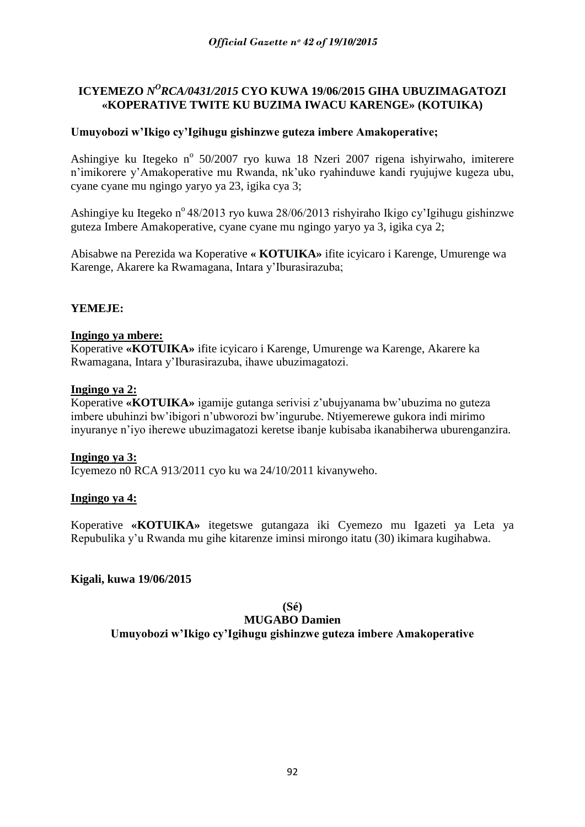# ICYEMEZO *N<sup>O</sup>RCA/0431/2015* CYO KUWA 19/06/2015 GIHA UBUZIMAGATOZI **«KOPERATIVE TWITE KU BUZIMA IWACU KARENGE» (KOTUIKA)**

## **Umuyobozi w'Ikigo cy'Igihugu gishinzwe guteza imbere Amakoperative;**

Ashingiye ku Itegeko nº 50/2007 ryo kuwa 18 Nzeri 2007 rigena ishyirwaho, imiterere n"imikorere y"Amakoperative mu Rwanda, nk"uko ryahinduwe kandi ryujujwe kugeza ubu, cyane cyane mu ngingo yaryo ya 23, igika cya 3;

Ashingiye ku Itegeko n<sup>o</sup> 48/2013 ryo kuwa 28/06/2013 rishyiraho Ikigo cy'Igihugu gishinzwe guteza Imbere Amakoperative, cyane cyane mu ngingo yaryo ya 3, igika cya 2;

Abisabwe na Perezida wa Koperative **« KOTUIKA»** ifite icyicaro i Karenge, Umurenge wa Karenge, Akarere ka Rwamagana, Intara y"Iburasirazuba;

## **YEMEJE:**

#### **Ingingo ya mbere:**

Koperative **«KOTUIKA»** ifite icyicaro i Karenge, Umurenge wa Karenge, Akarere ka Rwamagana, Intara y"Iburasirazuba, ihawe ubuzimagatozi.

#### **Ingingo ya 2:**

Koperative **«KOTUIKA»** igamije gutanga serivisi z"ubujyanama bw"ubuzima no guteza imbere ubuhinzi bw"ibigori n"ubworozi bw"ingurube. Ntiyemerewe gukora indi mirimo inyuranye n"iyo iherewe ubuzimagatozi keretse ibanje kubisaba ikanabiherwa uburenganzira.

#### **Ingingo ya 3:**

Icyemezo n0 RCA 913/2011 cyo ku wa 24/10/2011 kivanyweho.

#### **Ingingo ya 4:**

Koperative **«KOTUIKA»** itegetswe gutangaza iki Cyemezo mu Igazeti ya Leta ya Repubulika y"u Rwanda mu gihe kitarenze iminsi mirongo itatu (30) ikimara kugihabwa.

#### **Kigali, kuwa 19/06/2015**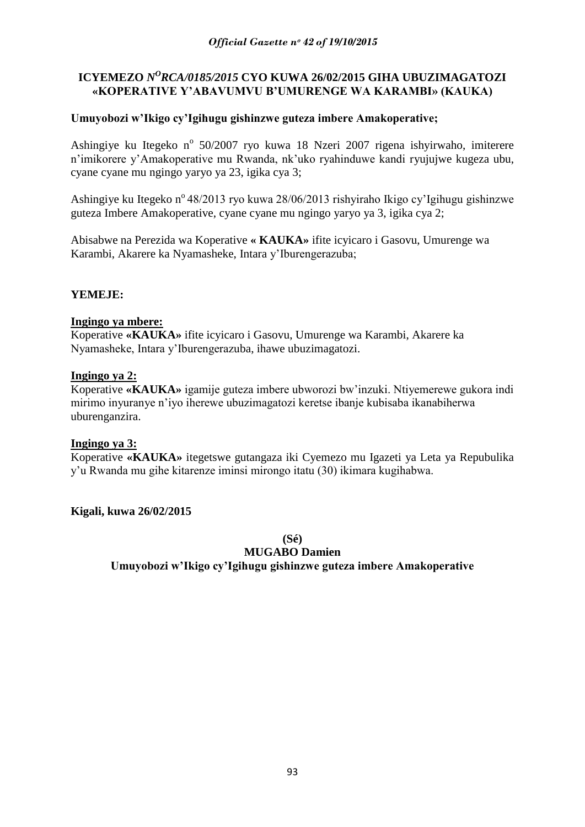## ICYEMEZO *N<sup>O</sup>RCA/0185/2015* CYO KUWA 26/02/2015 GIHA UBUZIMAGATOZI **«KOPERATIVE Y'ABAVUMVU B'UMURENGE WA KARAMBI» (KAUKA)**

## **Umuyobozi w'Ikigo cy'Igihugu gishinzwe guteza imbere Amakoperative;**

Ashingiye ku Itegeko nº 50/2007 ryo kuwa 18 Nzeri 2007 rigena ishyirwaho, imiterere n"imikorere y"Amakoperative mu Rwanda, nk"uko ryahinduwe kandi ryujujwe kugeza ubu, cyane cyane mu ngingo yaryo ya 23, igika cya 3;

Ashingiye ku Itegeko n<sup>o</sup> 48/2013 ryo kuwa 28/06/2013 rishyiraho Ikigo cy'Igihugu gishinzwe guteza Imbere Amakoperative, cyane cyane mu ngingo yaryo ya 3, igika cya 2;

Abisabwe na Perezida wa Koperative **« KAUKA»** ifite icyicaro i Gasovu, Umurenge wa Karambi, Akarere ka Nyamasheke, Intara y"Iburengerazuba;

## **YEMEJE:**

#### **Ingingo ya mbere:**

Koperative **«KAUKA»** ifite icyicaro i Gasovu, Umurenge wa Karambi, Akarere ka Nyamasheke, Intara y"Iburengerazuba, ihawe ubuzimagatozi.

#### **Ingingo ya 2:**

Koperative **«KAUKA»** igamije guteza imbere ubworozi bw"inzuki. Ntiyemerewe gukora indi mirimo inyuranye n"iyo iherewe ubuzimagatozi keretse ibanje kubisaba ikanabiherwa uburenganzira.

#### **Ingingo ya 3:**

Koperative **«KAUKA»** itegetswe gutangaza iki Cyemezo mu Igazeti ya Leta ya Repubulika y"u Rwanda mu gihe kitarenze iminsi mirongo itatu (30) ikimara kugihabwa.

#### **Kigali, kuwa 26/02/2015**

**(Sé)**

**MUGABO Damien**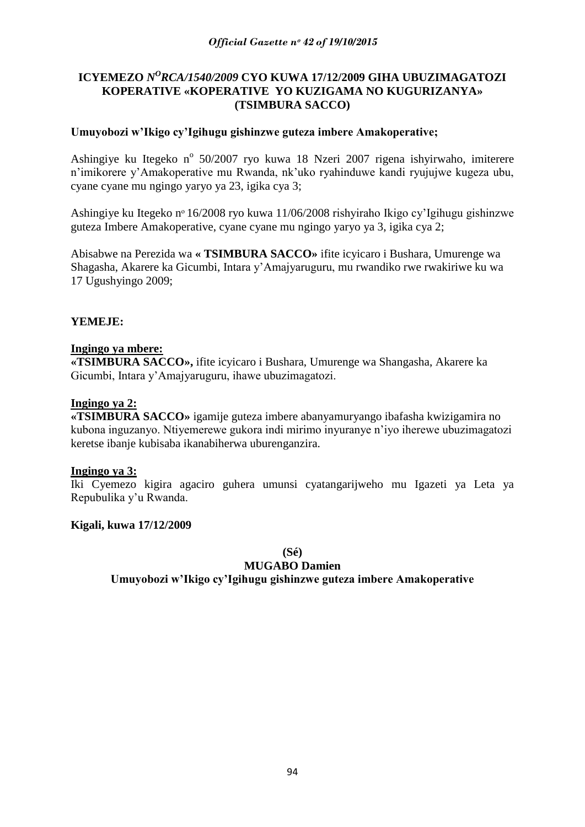## ICYEMEZO *N<sup>O</sup>RCA/1540/2009* CYO KUWA 17/12/2009 GIHA UBUZIMAGATOZI **KOPERATIVE «KOPERATIVE YO KUZIGAMA NO KUGURIZANYA» (TSIMBURA SACCO)**

## **Umuyobozi w'Ikigo cy'Igihugu gishinzwe guteza imbere Amakoperative;**

Ashingiye ku Itegeko nº 50/2007 ryo kuwa 18 Nzeri 2007 rigena ishyirwaho, imiterere n"imikorere y"Amakoperative mu Rwanda, nk"uko ryahinduwe kandi ryujujwe kugeza ubu, cyane cyane mu ngingo yaryo ya 23, igika cya 3;

Ashingiye ku Itegeko nᵒ 16/2008 ryo kuwa 11/06/2008 rishyiraho Ikigo cy"Igihugu gishinzwe guteza Imbere Amakoperative, cyane cyane mu ngingo yaryo ya 3, igika cya 2;

Abisabwe na Perezida wa **« TSIMBURA SACCO»** ifite icyicaro i Bushara, Umurenge wa Shagasha, Akarere ka Gicumbi, Intara y"Amajyaruguru, mu rwandiko rwe rwakiriwe ku wa 17 Ugushyingo 2009;

## **YEMEJE:**

#### **Ingingo ya mbere:**

**«TSIMBURA SACCO»,** ifite icyicaro i Bushara, Umurenge wa Shangasha, Akarere ka Gicumbi, Intara y"Amajyaruguru, ihawe ubuzimagatozi.

#### **Ingingo ya 2:**

**«TSIMBURA SACCO»** igamije guteza imbere abanyamuryango ibafasha kwizigamira no kubona inguzanyo. Ntiyemerewe gukora indi mirimo inyuranye n"iyo iherewe ubuzimagatozi keretse ibanje kubisaba ikanabiherwa uburenganzira.

#### **Ingingo ya 3:**

Iki Cyemezo kigira agaciro guhera umunsi cyatangarijweho mu Igazeti ya Leta ya Repubulika y"u Rwanda.

#### **Kigali, kuwa 17/12/2009**

**(Sé)**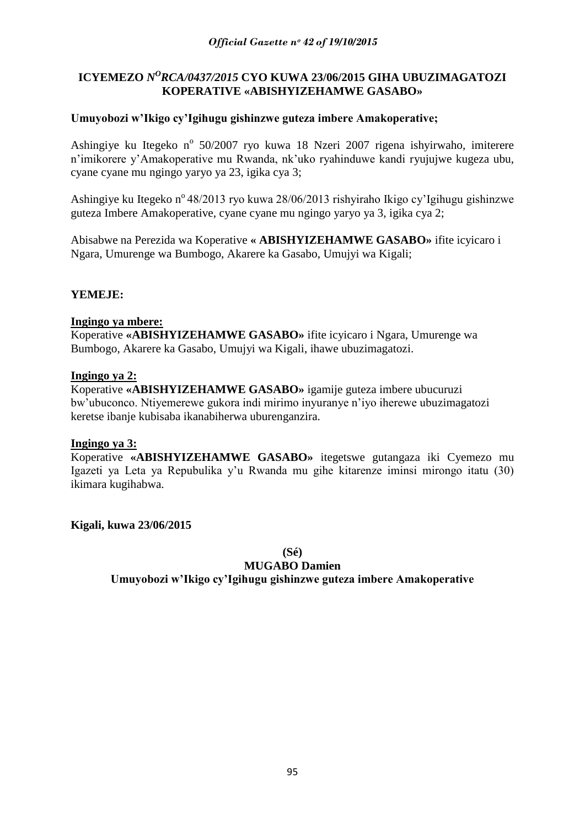## ICYEMEZO *N<sup>O</sup>RCA/0437/2015* CYO KUWA 23/06/2015 GIHA UBUZIMAGATOZI **KOPERATIVE «ABISHYIZEHAMWE GASABO»**

## **Umuyobozi w'Ikigo cy'Igihugu gishinzwe guteza imbere Amakoperative;**

Ashingiye ku Itegeko nº 50/2007 ryo kuwa 18 Nzeri 2007 rigena ishyirwaho, imiterere n"imikorere y"Amakoperative mu Rwanda, nk"uko ryahinduwe kandi ryujujwe kugeza ubu, cyane cyane mu ngingo yaryo ya 23, igika cya 3;

Ashingiye ku Itegeko n<sup>o</sup> 48/2013 ryo kuwa 28/06/2013 rishyiraho Ikigo cy'Igihugu gishinzwe guteza Imbere Amakoperative, cyane cyane mu ngingo yaryo ya 3, igika cya 2;

Abisabwe na Perezida wa Koperative **« ABISHYIZEHAMWE GASABO»** ifite icyicaro i Ngara, Umurenge wa Bumbogo, Akarere ka Gasabo, Umujyi wa Kigali;

## **YEMEJE:**

#### **Ingingo ya mbere:**

Koperative **«ABISHYIZEHAMWE GASABO»** ifite icyicaro i Ngara, Umurenge wa Bumbogo, Akarere ka Gasabo, Umujyi wa Kigali, ihawe ubuzimagatozi.

#### **Ingingo ya 2:**

Koperative **«ABISHYIZEHAMWE GASABO»** igamije guteza imbere ubucuruzi bw"ubuconco. Ntiyemerewe gukora indi mirimo inyuranye n"iyo iherewe ubuzimagatozi keretse ibanje kubisaba ikanabiherwa uburenganzira.

#### **Ingingo ya 3:**

Koperative **«ABISHYIZEHAMWE GASABO»** itegetswe gutangaza iki Cyemezo mu Igazeti ya Leta ya Repubulika y"u Rwanda mu gihe kitarenze iminsi mirongo itatu (30) ikimara kugihabwa.

**Kigali, kuwa 23/06/2015**

**(Sé)**